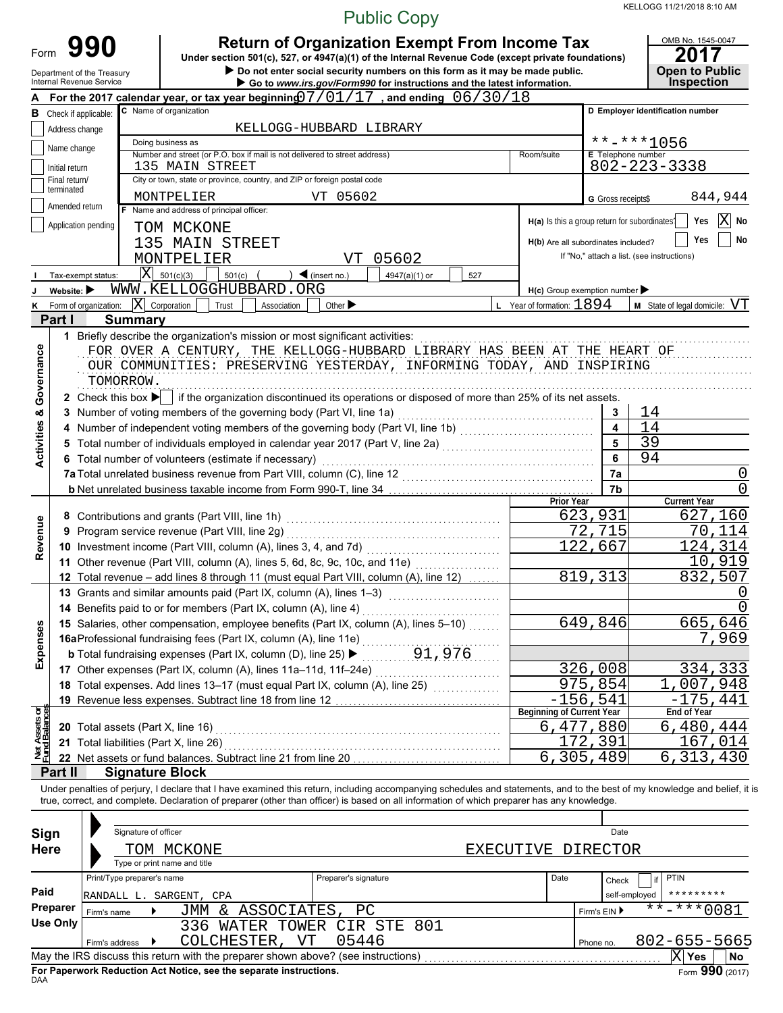KELLOGG 11/21/2018 8:10 AM

|                                                         |                                |                                                                             |                                                                                                                                                                                                                                                                                                                          |                                                                                                                                                                                                               | <b>Public Copy</b> |            |                                               |                         | 11/21/2018 8:10 AM                                                      |  |  |  |  |  |
|---------------------------------------------------------|--------------------------------|-----------------------------------------------------------------------------|--------------------------------------------------------------------------------------------------------------------------------------------------------------------------------------------------------------------------------------------------------------------------------------------------------------------------|---------------------------------------------------------------------------------------------------------------------------------------------------------------------------------------------------------------|--------------------|------------|-----------------------------------------------|-------------------------|-------------------------------------------------------------------------|--|--|--|--|--|
| Form                                                    |                                | 990<br>Department of the Treasury<br>Internal Revenue Service               | Under section 501(c), 527, or 4947(a)(1) of the Internal Revenue Code (except private foundations)                                                                                                                                                                                                                       | <b>Return of Organization Exempt From Income Tax</b><br>Do not enter social security numbers on this form as it may be made public.<br>Go to www.irs.gov/Form990 for instructions and the latest information. |                    |            |                                               |                         | OMB No. 1545-0047<br>2017<br><b>Open to Public</b><br><b>Inspection</b> |  |  |  |  |  |
|                                                         |                                |                                                                             | For the 2017 calendar year, or tax year beginning $7/01/17$ , and ending $06/30/18$                                                                                                                                                                                                                                      |                                                                                                                                                                                                               |                    |            |                                               |                         |                                                                         |  |  |  |  |  |
|                                                         |                                | <b>B</b> Check if applicable:                                               | C Name of organization                                                                                                                                                                                                                                                                                                   |                                                                                                                                                                                                               |                    |            |                                               |                         | D Employer identification number                                        |  |  |  |  |  |
|                                                         | Address change                 |                                                                             |                                                                                                                                                                                                                                                                                                                          | KELLOGG-HUBBARD LIBRARY                                                                                                                                                                                       |                    |            |                                               |                         |                                                                         |  |  |  |  |  |
|                                                         | Name change                    |                                                                             | Doing business as<br>Number and street (or P.O. box if mail is not delivered to street address)                                                                                                                                                                                                                          |                                                                                                                                                                                                               |                    |            | Room/suite                                    | E Telephone number      | $******1056$                                                            |  |  |  |  |  |
|                                                         | Initial return                 |                                                                             | 135 MAIN STREET                                                                                                                                                                                                                                                                                                          |                                                                                                                                                                                                               |                    |            |                                               |                         | 802-223-3338                                                            |  |  |  |  |  |
|                                                         | Final return/                  |                                                                             | City or town, state or province, country, and ZIP or foreign postal code                                                                                                                                                                                                                                                 |                                                                                                                                                                                                               |                    |            |                                               |                         |                                                                         |  |  |  |  |  |
|                                                         | terminated                     |                                                                             | MONTPELIER                                                                                                                                                                                                                                                                                                               | VT 05602                                                                                                                                                                                                      |                    |            |                                               | G Gross receipts\$      | 844,944                                                                 |  |  |  |  |  |
|                                                         | Amended return                 | $ \mathbf{X} $<br>Yes<br>No                                                 |                                                                                                                                                                                                                                                                                                                          |                                                                                                                                                                                                               |                    |            |                                               |                         |                                                                         |  |  |  |  |  |
|                                                         |                                | Application pending                                                         | TOM MCKONE                                                                                                                                                                                                                                                                                                               |                                                                                                                                                                                                               |                    |            | H(a) Is this a group return for subordinates? |                         |                                                                         |  |  |  |  |  |
|                                                         |                                |                                                                             | 135 MAIN STREET                                                                                                                                                                                                                                                                                                          |                                                                                                                                                                                                               |                    |            | H(b) Are all subordinates included?           |                         | No<br>Yes                                                               |  |  |  |  |  |
|                                                         |                                |                                                                             | MONTPELIER                                                                                                                                                                                                                                                                                                               | VT                                                                                                                                                                                                            | 05602              |            |                                               |                         | If "No," attach a list. (see instructions)                              |  |  |  |  |  |
|                                                         |                                | Tax-exempt status:                                                          | $ \bar{X} $ 501(c)(3)<br>501(c)                                                                                                                                                                                                                                                                                          | $\triangleleft$ (insert no.)                                                                                                                                                                                  | 4947(a)(1) or      | 527        |                                               |                         |                                                                         |  |  |  |  |  |
|                                                         | Website: $\blacktriangleright$ |                                                                             | WWW.KELLOGGHUBBARD.ORG<br>$ \mathbf{X} $ Corporation                                                                                                                                                                                                                                                                     |                                                                                                                                                                                                               |                    |            | $H(c)$ Group exemption number                 |                         |                                                                         |  |  |  |  |  |
| κ                                                       | Part I                         | Form of organization:<br><b>Summary</b>                                     | Trust<br>Association                                                                                                                                                                                                                                                                                                     | Other $\blacktriangleright$                                                                                                                                                                                   |                    |            | <b>L</b> Year of formation: $1894$            |                         | $M$ State of legal domicile: $VT$                                       |  |  |  |  |  |
| Governance                                              |                                | TOMORROW.                                                                   | 1 Briefly describe the organization's mission or most significant activities:<br>FOR OVER A CENTURY, THE KELLOGG-HUBBARD LIBRARY HAS BEEN AT THE HEART OF<br>OUR COMMUNITIES: PRESERVING YESTERDAY, INFORMING TODAY, AND INSPIRING                                                                                       |                                                                                                                                                                                                               |                    |            |                                               |                         |                                                                         |  |  |  |  |  |
|                                                         |                                |                                                                             | 2 Check this box $\blacktriangleright$ if the organization discontinued its operations or disposed of more than 25% of its net assets.                                                                                                                                                                                   |                                                                                                                                                                                                               |                    |            |                                               |                         |                                                                         |  |  |  |  |  |
|                                                         |                                |                                                                             | 3 Number of voting members of the governing body (Part VI, line 1a)                                                                                                                                                                                                                                                      |                                                                                                                                                                                                               |                    |            |                                               | 3                       | 14                                                                      |  |  |  |  |  |
| <b>Activities &amp;</b>                                 |                                |                                                                             | 4 Number of independent voting members of the governing body (Part VI, line 1b) [[[[[[[[[[[[[[[[[[[[[[[[[[[[[                                                                                                                                                                                                            |                                                                                                                                                                                                               |                    |            |                                               | $\overline{\mathbf{A}}$ | 14                                                                      |  |  |  |  |  |
|                                                         |                                |                                                                             |                                                                                                                                                                                                                                                                                                                          |                                                                                                                                                                                                               |                    |            |                                               | 5                       | 39                                                                      |  |  |  |  |  |
|                                                         |                                |                                                                             | 6 Total number of volunteers (estimate if necessary)                                                                                                                                                                                                                                                                     |                                                                                                                                                                                                               |                    |            |                                               | 6<br>7a                 | 94<br>0                                                                 |  |  |  |  |  |
|                                                         |                                |                                                                             |                                                                                                                                                                                                                                                                                                                          |                                                                                                                                                                                                               |                    |            |                                               | 7b                      |                                                                         |  |  |  |  |  |
|                                                         |                                |                                                                             |                                                                                                                                                                                                                                                                                                                          |                                                                                                                                                                                                               |                    |            | <b>Prior Year</b>                             |                         | <b>Current Year</b>                                                     |  |  |  |  |  |
|                                                         |                                |                                                                             |                                                                                                                                                                                                                                                                                                                          |                                                                                                                                                                                                               |                    |            |                                               | 623,931                 | 627,160                                                                 |  |  |  |  |  |
|                                                         |                                |                                                                             |                                                                                                                                                                                                                                                                                                                          |                                                                                                                                                                                                               | 715                | 70<br>.114 |                                               |                         |                                                                         |  |  |  |  |  |
| Revenue                                                 |                                |                                                                             |                                                                                                                                                                                                                                                                                                                          |                                                                                                                                                                                                               |                    | 122,667    | 124,314                                       |                         |                                                                         |  |  |  |  |  |
|                                                         |                                |                                                                             | 11 Other revenue (Part VIII, column (A), lines 5, 6d, 8c, 9c, 10c, and 11e) [[[[[[[[[[[[[[[[[[[[[[[[                                                                                                                                                                                                                     |                                                                                                                                                                                                               |                    |            |                                               |                         | 10<br>,919                                                              |  |  |  |  |  |
|                                                         |                                |                                                                             | 12 Total revenue - add lines 8 through 11 (must equal Part VIII, column (A), line 12)                                                                                                                                                                                                                                    |                                                                                                                                                                                                               |                    |            |                                               | 819, 313                | 832<br>,507                                                             |  |  |  |  |  |
|                                                         |                                |                                                                             | 13 Grants and similar amounts paid (Part IX, column (A), lines 1-3)<br>14 Benefits paid to or for members (Part IX, column (A), line 4)                                                                                                                                                                                  |                                                                                                                                                                                                               |                    |            |                                               |                         | 0                                                                       |  |  |  |  |  |
|                                                         |                                |                                                                             | 15 Salaries, other compensation, employee benefits (Part IX, column (A), lines 5-10)                                                                                                                                                                                                                                     |                                                                                                                                                                                                               |                    |            |                                               | 649,846                 | 665,646                                                                 |  |  |  |  |  |
| Expenses                                                |                                |                                                                             | 16aProfessional fundraising fees (Part IX, column (A), line 11e)                                                                                                                                                                                                                                                         |                                                                                                                                                                                                               |                    |            |                                               |                         | 7,969                                                                   |  |  |  |  |  |
|                                                         |                                |                                                                             |                                                                                                                                                                                                                                                                                                                          |                                                                                                                                                                                                               |                    |            |                                               |                         |                                                                         |  |  |  |  |  |
|                                                         |                                |                                                                             | 17 Other expenses (Part IX, column (A), lines 11a-11d, 11f-24e)                                                                                                                                                                                                                                                          |                                                                                                                                                                                                               |                    |            |                                               | 326,008                 | 334,333                                                                 |  |  |  |  |  |
|                                                         |                                |                                                                             | 18 Total expenses. Add lines 13-17 (must equal Part IX, column (A), line 25) [11, 12, 12, 12, 12, 12, 12, 12, 1                                                                                                                                                                                                          |                                                                                                                                                                                                               |                    |            |                                               | 975,854                 | 1.<br>,007,948                                                          |  |  |  |  |  |
|                                                         |                                |                                                                             | 19 Revenue less expenses. Subtract line 18 from line 12                                                                                                                                                                                                                                                                  |                                                                                                                                                                                                               |                    |            |                                               | $-156,541$              | $-175.441$                                                              |  |  |  |  |  |
| Jet Assets or<br>und Balances                           |                                |                                                                             |                                                                                                                                                                                                                                                                                                                          |                                                                                                                                                                                                               |                    |            | <b>Beginning of Current Year</b>              | 6,477,880               | End of Year<br>6,480,444                                                |  |  |  |  |  |
|                                                         |                                | 20 Total assets (Part X, line 16)<br>21 Total liabilities (Part X, line 26) |                                                                                                                                                                                                                                                                                                                          |                                                                                                                                                                                                               |                    |            |                                               | 172,391                 | 167,014                                                                 |  |  |  |  |  |
| 츠군                                                      |                                |                                                                             | 22 Net assets or fund balances. Subtract line 21 from line 20                                                                                                                                                                                                                                                            |                                                                                                                                                                                                               |                    |            |                                               | 6,305,489               | $\overline{6}$ , 313, 430                                               |  |  |  |  |  |
|                                                         | Part II                        | <b>Signature Block</b>                                                      |                                                                                                                                                                                                                                                                                                                          |                                                                                                                                                                                                               |                    |            |                                               |                         |                                                                         |  |  |  |  |  |
|                                                         |                                |                                                                             | Under penalties of perjury, I declare that I have examined this return, including accompanying schedules and statements, and to the best of my knowledge and belief, it is<br>true, correct, and complete. Declaration of preparer (other than officer) is based on all information of which preparer has any knowledge. |                                                                                                                                                                                                               |                    |            |                                               |                         |                                                                         |  |  |  |  |  |
|                                                         |                                | Signature of officer                                                        |                                                                                                                                                                                                                                                                                                                          |                                                                                                                                                                                                               |                    | Date       |                                               |                         |                                                                         |  |  |  |  |  |
| Sign<br><b>Here</b><br>TOM MCKONE<br>EXECUTIVE DIRECTOR |                                |                                                                             |                                                                                                                                                                                                                                                                                                                          |                                                                                                                                                                                                               |                    |            |                                               |                         |                                                                         |  |  |  |  |  |
|                                                         |                                |                                                                             | Type or print name and title                                                                                                                                                                                                                                                                                             |                                                                                                                                                                                                               |                    |            |                                               |                         |                                                                         |  |  |  |  |  |
|                                                         |                                | Print/Type preparer's name                                                  |                                                                                                                                                                                                                                                                                                                          | Preparer's signature                                                                                                                                                                                          |                    |            | Date                                          | Check                   | <b>PTIN</b><br>if                                                       |  |  |  |  |  |
| Paid                                                    |                                | RANDALL L. SARGENT, CPA                                                     |                                                                                                                                                                                                                                                                                                                          |                                                                                                                                                                                                               |                    |            |                                               | self-employed           | *********                                                               |  |  |  |  |  |
|                                                         | Preparer                       | Firm's name                                                                 | JMM & ASSOCIATES,                                                                                                                                                                                                                                                                                                        | PC                                                                                                                                                                                                            |                    |            |                                               | Firm's EIN ▶            | $\frac{1}{11}$ **-**0081                                                |  |  |  |  |  |
|                                                         | Use Only                       |                                                                             | 336 WATER TOWER                                                                                                                                                                                                                                                                                                          |                                                                                                                                                                                                               | CIR STE<br>801     |            |                                               |                         |                                                                         |  |  |  |  |  |
|                                                         |                                | Firm's address ▶                                                            | COLCHESTER, VT                                                                                                                                                                                                                                                                                                           | 05446                                                                                                                                                                                                         |                    |            |                                               | Phone no.               | 802-655-5665                                                            |  |  |  |  |  |
|                                                         |                                |                                                                             | May the IRS discuss this return with the preparer shown above? (see instructions)                                                                                                                                                                                                                                        |                                                                                                                                                                                                               |                    |            |                                               |                         | $ X $ Yes<br>No                                                         |  |  |  |  |  |

| Sign<br><b>Here</b> | Signature of officer                                  | TOM MCKONE<br>Type or print name and title                                        |                            | EXECUTIVE DIRECTOR |              | Date                   |                                |
|---------------------|-------------------------------------------------------|-----------------------------------------------------------------------------------|----------------------------|--------------------|--------------|------------------------|--------------------------------|
| Paid                | Print/Type preparer's name<br>RANDALL L. SARGENT, CPA |                                                                                   | Preparer's signature       |                    | Date         | Check<br>self-emploved | if PTIN<br>*********           |
| Preparer            | Firm's name                                           | & ASSOCIATES,<br><b>JMM</b>                                                       | РC                         |                    | Firm's EIN ▶ | $***$ $***$ 0081       |                                |
| <b>Use Only</b>     | Firm's address                                        | WATER<br>336<br>COLCHESTER,<br>VT                                                 | TOWER CIR STE 801<br>05446 |                    |              | Phone no.              | 802-655-5665                   |
|                     |                                                       | May the IRS discuss this return with the preparer shown above? (see instructions) |                            |                    |              |                        | ΙXΙ<br><b>Yes</b><br><b>No</b> |
|                     |                                                       | Fig. Books, and Bodiestics Ast Mother are the concerte tratamental                |                            |                    |              |                        | $\overline{\phantom{a}}$       |

**For Paperwork Reduction Act Notice, see the separate instructions.**<br><sub>DAA</sub>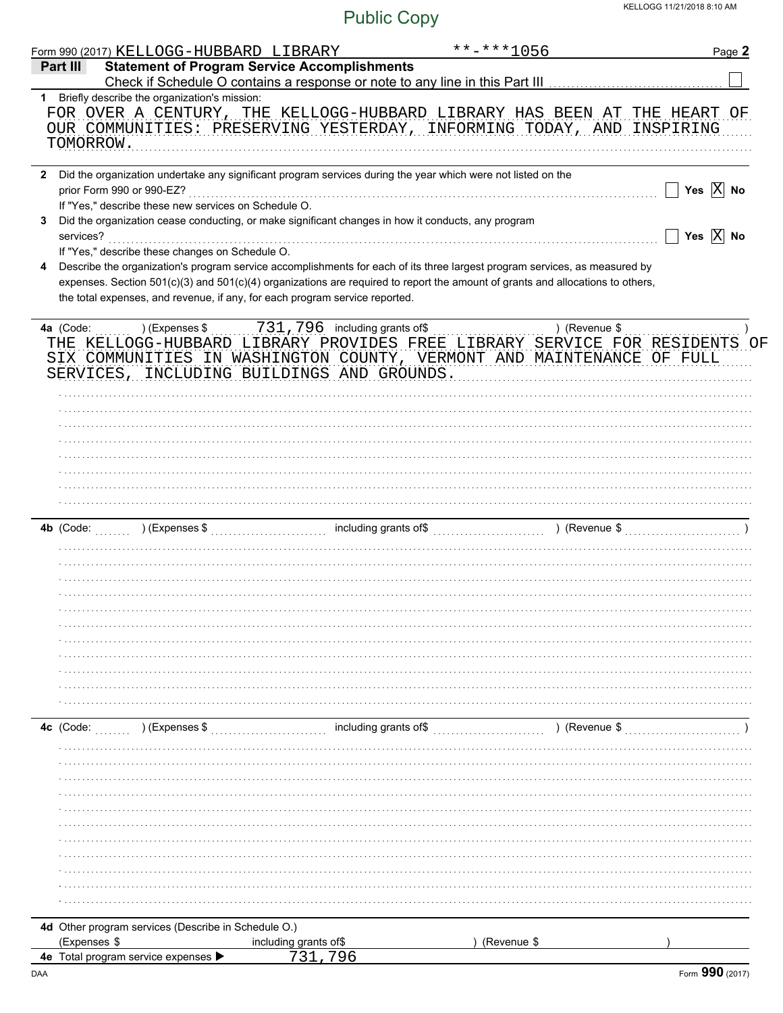|   | Form 990 (2017) KELLOGG-HUBBARD LIBRARY                                                                                                                    |                       | $******1056$                                                                                                                                        | Page 2                |
|---|------------------------------------------------------------------------------------------------------------------------------------------------------------|-----------------------|-----------------------------------------------------------------------------------------------------------------------------------------------------|-----------------------|
|   | <b>Statement of Program Service Accomplishments</b><br>Part III                                                                                            |                       |                                                                                                                                                     |                       |
|   |                                                                                                                                                            |                       |                                                                                                                                                     |                       |
|   | 1 Briefly describe the organization's mission:<br>TOMORROW.                                                                                                |                       | FOR OVER A CENTURY, THE KELLOGG-HUBBARD LIBRARY HAS BEEN AT THE HEART OF<br>OUR COMMUNITIES: PRESERVING YESTERDAY, INFORMING TODAY, AND INSPIRING   |                       |
|   | prior Form 990 or 990-EZ?                                                                                                                                  |                       | 2 Did the organization undertake any significant program services during the year which were not listed on the                                      | Yes $\overline{X}$ No |
| 3 | If "Yes," describe these new services on Schedule O.<br>Did the organization cease conducting, or make significant changes in how it conducts, any program |                       |                                                                                                                                                     |                       |
|   | services?                                                                                                                                                  |                       |                                                                                                                                                     | Yes $\overline{X}$ No |
| 4 | If "Yes," describe these changes on Schedule O.                                                                                                            |                       | Describe the organization's program service accomplishments for each of its three largest program services, as measured by                          |                       |
|   |                                                                                                                                                            |                       | expenses. Section 501(c)(3) and 501(c)(4) organizations are required to report the amount of grants and allocations to others,                      |                       |
|   | the total expenses, and revenue, if any, for each program service reported.                                                                                |                       |                                                                                                                                                     |                       |
|   | SERVICES, INCLUDING BUILDINGS AND GROUNDS.                                                                                                                 |                       | THE KELLOGG-HUBBARD LIBRARY PROVIDES FREE LIBRARY SERVICE FOR RESIDENTS OF<br>SIX COMMUNITIES IN WASHINGTON COUNTY, VERMONT AND MAINTENANCE OF FULL |                       |
|   |                                                                                                                                                            |                       |                                                                                                                                                     |                       |
|   |                                                                                                                                                            |                       |                                                                                                                                                     |                       |
|   |                                                                                                                                                            |                       |                                                                                                                                                     |                       |
|   | $4b$ (Code:                                                                                                                                                |                       |                                                                                                                                                     |                       |
|   |                                                                                                                                                            |                       |                                                                                                                                                     |                       |
|   |                                                                                                                                                            |                       |                                                                                                                                                     |                       |
|   |                                                                                                                                                            |                       |                                                                                                                                                     |                       |
|   |                                                                                                                                                            |                       |                                                                                                                                                     |                       |
|   |                                                                                                                                                            |                       |                                                                                                                                                     |                       |
|   |                                                                                                                                                            |                       |                                                                                                                                                     |                       |
|   |                                                                                                                                                            |                       |                                                                                                                                                     |                       |
|   |                                                                                                                                                            |                       |                                                                                                                                                     |                       |
|   | 4c (Code:<br>) (Expenses \$                                                                                                                                |                       | including grants of\$<br>) (Revenue \$                                                                                                              |                       |
|   |                                                                                                                                                            |                       |                                                                                                                                                     |                       |
|   |                                                                                                                                                            |                       |                                                                                                                                                     |                       |
|   |                                                                                                                                                            |                       |                                                                                                                                                     |                       |
|   |                                                                                                                                                            |                       |                                                                                                                                                     |                       |
|   |                                                                                                                                                            |                       |                                                                                                                                                     |                       |
|   |                                                                                                                                                            |                       |                                                                                                                                                     |                       |
|   |                                                                                                                                                            |                       |                                                                                                                                                     |                       |
|   |                                                                                                                                                            |                       |                                                                                                                                                     |                       |
|   |                                                                                                                                                            |                       |                                                                                                                                                     |                       |
|   |                                                                                                                                                            |                       |                                                                                                                                                     |                       |
|   | 4d Other program services (Describe in Schedule O.)<br>(Expenses \$                                                                                        | including grants of\$ | (Revenue \$                                                                                                                                         |                       |
|   | 4e Total program service expenses                                                                                                                          | 731,796               |                                                                                                                                                     |                       |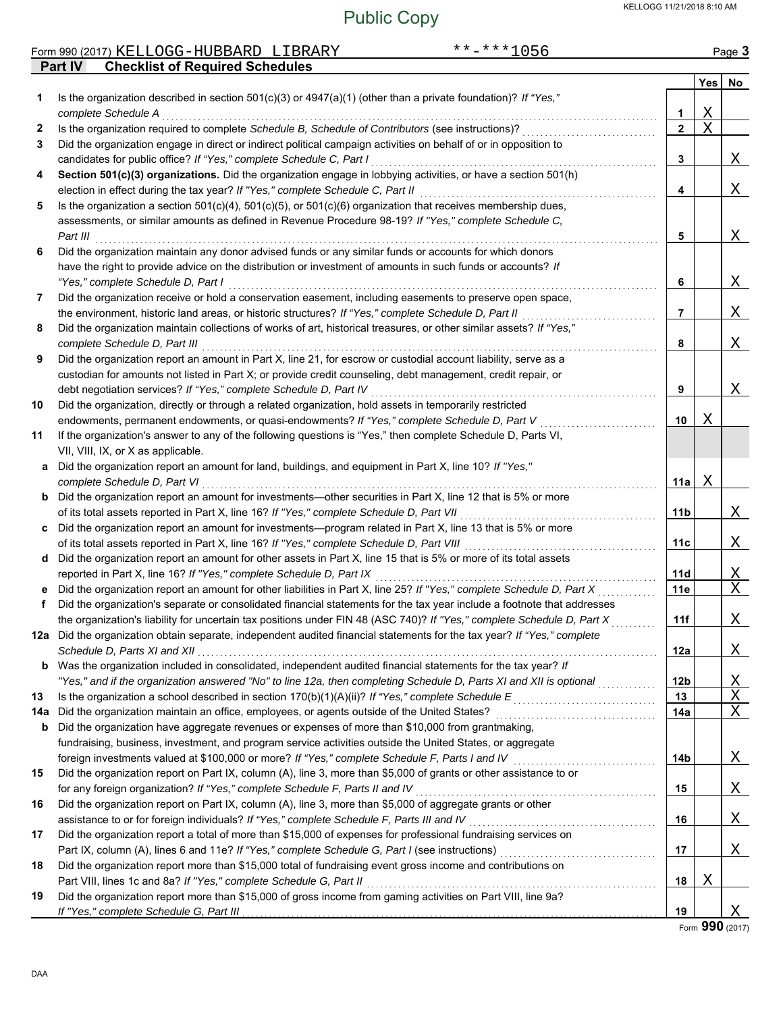#### Public Copy

|              | $******1056$<br>Form 990 (2017) KELLOGG-HUBBARD LIBRARY                                                                                                                                                  |                 |                       | Page 3      |
|--------------|----------------------------------------------------------------------------------------------------------------------------------------------------------------------------------------------------------|-----------------|-----------------------|-------------|
|              | Part IV<br><b>Checklist of Required Schedules</b>                                                                                                                                                        |                 |                       |             |
| 1.           | Is the organization described in section $501(c)(3)$ or $4947(a)(1)$ (other than a private foundation)? If "Yes,"                                                                                        |                 | Yes                   | No          |
|              | complete Schedule A                                                                                                                                                                                      | 1               | $\mathbf X$           |             |
| $\mathbf{2}$ | Is the organization required to complete Schedule B, Schedule of Contributors (see instructions)?                                                                                                        | $\mathbf{2}$    | $\overline{\text{X}}$ |             |
| 3            | Did the organization engage in direct or indirect political campaign activities on behalf of or in opposition to                                                                                         |                 |                       |             |
|              | candidates for public office? If "Yes," complete Schedule C, Part I                                                                                                                                      | 3               |                       | X           |
| 4            | Section 501(c)(3) organizations. Did the organization engage in lobbying activities, or have a section 501(h)                                                                                            |                 |                       |             |
|              | election in effect during the tax year? If "Yes," complete Schedule C, Part II<br>Is the organization a section $501(c)(4)$ , $501(c)(5)$ , or $501(c)(6)$ organization that receives membership dues,   | 4               |                       | Χ           |
| 5            | assessments, or similar amounts as defined in Revenue Procedure 98-19? If "Yes," complete Schedule C,                                                                                                    |                 |                       |             |
|              | Part III                                                                                                                                                                                                 | 5               |                       | Χ           |
| 6            | Did the organization maintain any donor advised funds or any similar funds or accounts for which donors                                                                                                  |                 |                       |             |
|              | have the right to provide advice on the distribution or investment of amounts in such funds or accounts? If                                                                                              |                 |                       |             |
|              | "Yes," complete Schedule D, Part I                                                                                                                                                                       | 6               |                       | Χ           |
| 7            | Did the organization receive or hold a conservation easement, including easements to preserve open space,                                                                                                |                 |                       |             |
|              | the environment, historic land areas, or historic structures? If "Yes," complete Schedule D, Part II                                                                                                     | 7               |                       | X           |
| 8            | Did the organization maintain collections of works of art, historical treasures, or other similar assets? If "Yes,"                                                                                      |                 |                       |             |
|              | complete Schedule D, Part III                                                                                                                                                                            | 8               |                       | Χ           |
| 9            | Did the organization report an amount in Part X, line 21, for escrow or custodial account liability, serve as a                                                                                          |                 |                       |             |
|              | custodian for amounts not listed in Part X; or provide credit counseling, debt management, credit repair, or                                                                                             |                 |                       |             |
|              | debt negotiation services? If "Yes," complete Schedule D, Part IV                                                                                                                                        | 9               |                       | Χ           |
| 10           | Did the organization, directly or through a related organization, hold assets in temporarily restricted                                                                                                  |                 |                       |             |
|              | endowments, permanent endowments, or quasi-endowments? If "Yes," complete Schedule D, Part V                                                                                                             | 10              | Χ                     |             |
| 11           | If the organization's answer to any of the following questions is "Yes," then complete Schedule D, Parts VI,                                                                                             |                 |                       |             |
|              | VII, VIII, IX, or X as applicable.                                                                                                                                                                       |                 |                       |             |
| a            | Did the organization report an amount for land, buildings, and equipment in Part X, line 10? If "Yes,"                                                                                                   |                 |                       |             |
|              | complete Schedule D, Part VI                                                                                                                                                                             | 11a             | Χ                     |             |
| b            | Did the organization report an amount for investments-other securities in Part X, line 12 that is 5% or more                                                                                             |                 |                       |             |
|              | of its total assets reported in Part X, line 16? If "Yes," complete Schedule D, Part VII                                                                                                                 | 11 <sub>b</sub> |                       | X           |
| C            | Did the organization report an amount for investments—program related in Part X, line 13 that is 5% or more<br>of its total assets reported in Part X, line 16? If "Yes," complete Schedule D, Part VIII |                 |                       | Χ           |
|              | d Did the organization report an amount for other assets in Part X, line 15 that is 5% or more of its total assets                                                                                       | 11c             |                       |             |
|              | reported in Part X, line 16? If "Yes," complete Schedule D, Part IX                                                                                                                                      | 11d             |                       | <u>X</u>    |
| е            | Did the organization report an amount for other liabilities in Part X, line 25? If "Yes," complete Schedule D, Part X                                                                                    | 11e             |                       | $\mathbf X$ |
| f            | Did the organization's separate or consolidated financial statements for the tax year include a footnote that addresses                                                                                  |                 |                       |             |
|              | the organization's liability for uncertain tax positions under FIN 48 (ASC 740)? If "Yes," complete Schedule D, Part X                                                                                   | 11f             |                       | X           |
|              | 12a Did the organization obtain separate, independent audited financial statements for the tax year? If "Yes," complete                                                                                  |                 |                       |             |
|              | Schedule D, Parts XI and XII                                                                                                                                                                             | 12a             |                       | <u>X</u>    |
| b            | Was the organization included in consolidated, independent audited financial statements for the tax year? If                                                                                             |                 |                       |             |
|              | "Yes," and if the organization answered "No" to line 12a, then completing Schedule D, Parts XI and XII is optional                                                                                       | 12 <sub>b</sub> |                       | <u>X</u>    |
| 13           | Is the organization a school described in section $170(b)(1)(A)(ii)?$ If "Yes," complete Schedule E                                                                                                      | 13              |                       | $\mathbf X$ |
| 14a          | Did the organization maintain an office, employees, or agents outside of the United States?                                                                                                              | 14a             |                       | X           |
| b            | Did the organization have aggregate revenues or expenses of more than \$10,000 from grantmaking,                                                                                                         |                 |                       |             |
|              | fundraising, business, investment, and program service activities outside the United States, or aggregate                                                                                                |                 |                       |             |
|              | foreign investments valued at \$100,000 or more? If "Yes," complete Schedule F, Parts I and IV                                                                                                           | 14b             |                       | <u>X</u>    |
| 15           | Did the organization report on Part IX, column (A), line 3, more than \$5,000 of grants or other assistance to or                                                                                        |                 |                       |             |
|              | for any foreign organization? If "Yes," complete Schedule F, Parts II and IV<br>Did the organization report on Part IX, column (A), line 3, more than \$5,000 of aggregate grants or other               | 15              |                       | Χ           |
| 16           | assistance to or for foreign individuals? If "Yes," complete Schedule F, Parts III and IV                                                                                                                | 16              |                       | Χ           |
| 17           | Did the organization report a total of more than \$15,000 of expenses for professional fundraising services on                                                                                           |                 |                       |             |
|              | Part IX, column (A), lines 6 and 11e? If "Yes," complete Schedule G, Part I (see instructions)                                                                                                           | 17              |                       | X           |
| 18           | Did the organization report more than \$15,000 total of fundraising event gross income and contributions on                                                                                              |                 |                       |             |
|              | Part VIII, lines 1c and 8a? If "Yes," complete Schedule G, Part II                                                                                                                                       | 18              | Χ                     |             |
| 19           | Did the organization report more than \$15,000 of gross income from gaming activities on Part VIII, line 9a?                                                                                             |                 |                       |             |

Form **990** (2017)

X

**19**

If "Yes," complete Schedule G, Part III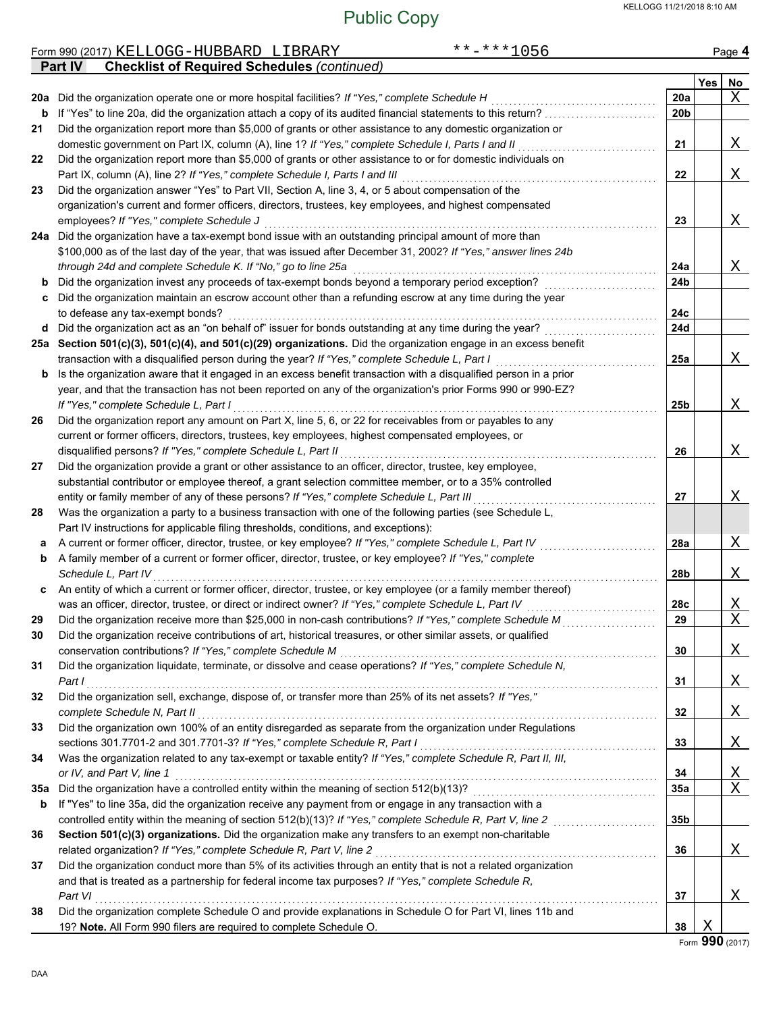|     | $***$ -***1056<br>Form 990 (2017) KELLOGG-HUBBARD LIBRARY                                                                                                                                                                |                 |     | Page 4         |
|-----|--------------------------------------------------------------------------------------------------------------------------------------------------------------------------------------------------------------------------|-----------------|-----|----------------|
|     | <b>Checklist of Required Schedules (continued)</b><br><b>Part IV</b>                                                                                                                                                     |                 |     |                |
|     |                                                                                                                                                                                                                          |                 | Yes | No             |
|     | 20a Did the organization operate one or more hospital facilities? If "Yes," complete Schedule H                                                                                                                          | 20a             |     | X              |
| b   | If "Yes" to line 20a, did the organization attach a copy of its audited financial statements to this return?                                                                                                             | 20 <sub>b</sub> |     |                |
| 21  | Did the organization report more than \$5,000 of grants or other assistance to any domestic organization or                                                                                                              |                 |     |                |
|     | domestic government on Part IX, column (A), line 1? If "Yes," complete Schedule I, Parts I and II                                                                                                                        | 21              |     | Χ              |
| 22  | Did the organization report more than \$5,000 of grants or other assistance to or for domestic individuals on                                                                                                            |                 |     |                |
|     | Part IX, column (A), line 2? If "Yes," complete Schedule I, Parts I and III<br>Did the organization answer "Yes" to Part VII, Section A, line 3, 4, or 5 about compensation of the                                       | 22              |     | Χ              |
| 23  | organization's current and former officers, directors, trustees, key employees, and highest compensated                                                                                                                  |                 |     |                |
|     | employees? If "Yes," complete Schedule J                                                                                                                                                                                 | 23              |     | Χ              |
|     | 24a Did the organization have a tax-exempt bond issue with an outstanding principal amount of more than                                                                                                                  |                 |     |                |
|     | \$100,000 as of the last day of the year, that was issued after December 31, 2002? If "Yes," answer lines 24b                                                                                                            |                 |     |                |
|     | through 24d and complete Schedule K. If "No," go to line 25a                                                                                                                                                             | 24a             |     | Χ              |
| b   | Did the organization invest any proceeds of tax-exempt bonds beyond a temporary period exception?                                                                                                                        | 24b             |     |                |
| c   | Did the organization maintain an escrow account other than a refunding escrow at any time during the year                                                                                                                |                 |     |                |
|     | to defease any tax-exempt bonds?                                                                                                                                                                                         | 24c             |     |                |
| d   | Did the organization act as an "on behalf of" issuer for bonds outstanding at any time during the year?                                                                                                                  | 24d             |     |                |
|     | 25a Section 501(c)(3), 501(c)(4), and 501(c)(29) organizations. Did the organization engage in an excess benefit                                                                                                         |                 |     |                |
|     | transaction with a disqualified person during the year? If "Yes," complete Schedule L, Part I                                                                                                                            | 25a             |     | Χ              |
| b   | Is the organization aware that it engaged in an excess benefit transaction with a disqualified person in a prior                                                                                                         |                 |     |                |
|     | year, and that the transaction has not been reported on any of the organization's prior Forms 990 or 990-EZ?                                                                                                             |                 |     |                |
|     | If "Yes," complete Schedule L, Part I                                                                                                                                                                                    | 25b             |     | Χ              |
| 26  | Did the organization report any amount on Part X, line 5, 6, or 22 for receivables from or payables to any                                                                                                               |                 |     |                |
|     | current or former officers, directors, trustees, key employees, highest compensated employees, or                                                                                                                        |                 |     |                |
|     | disqualified persons? If "Yes," complete Schedule L, Part II                                                                                                                                                             | 26              |     | Χ              |
| 27  | Did the organization provide a grant or other assistance to an officer, director, trustee, key employee,                                                                                                                 |                 |     |                |
|     | substantial contributor or employee thereof, a grant selection committee member, or to a 35% controlled                                                                                                                  |                 |     |                |
|     | entity or family member of any of these persons? If "Yes," complete Schedule L, Part III                                                                                                                                 | 27              |     | Χ              |
| 28  | Was the organization a party to a business transaction with one of the following parties (see Schedule L,                                                                                                                |                 |     |                |
|     | Part IV instructions for applicable filing thresholds, conditions, and exceptions):                                                                                                                                      |                 |     |                |
| а   | A current or former officer, director, trustee, or key employee? If "Yes," complete Schedule L, Part IV                                                                                                                  | 28a             |     | Χ              |
| b   | A family member of a current or former officer, director, trustee, or key employee? If "Yes," complete                                                                                                                   |                 |     |                |
|     | Schedule L, Part IV                                                                                                                                                                                                      | 28b             |     | Χ              |
| c   | An entity of which a current or former officer, director, trustee, or key employee (or a family member thereof)                                                                                                          |                 |     |                |
|     | was an officer, director, trustee, or direct or indirect owner? If "Yes," complete Schedule L, Part IV                                                                                                                   | 28c             |     | Χ              |
| 29  | Did the organization receive more than \$25,000 in non-cash contributions? If "Yes," complete Schedule M                                                                                                                 | 29              |     | $\overline{X}$ |
| 30  | Did the organization receive contributions of art, historical treasures, or other similar assets, or qualified                                                                                                           |                 |     |                |
|     | conservation contributions? If "Yes," complete Schedule M                                                                                                                                                                | 30              |     | Χ              |
| 31  | Did the organization liquidate, terminate, or dissolve and cease operations? If "Yes," complete Schedule N,                                                                                                              |                 |     |                |
|     | Part I                                                                                                                                                                                                                   | 31              |     | Χ              |
| 32  | Did the organization sell, exchange, dispose of, or transfer more than 25% of its net assets? If "Yes,"                                                                                                                  |                 |     |                |
|     | complete Schedule N, Part II                                                                                                                                                                                             | 32              |     | Χ              |
| 33  | Did the organization own 100% of an entity disregarded as separate from the organization under Regulations                                                                                                               |                 |     |                |
|     | sections 301.7701-2 and 301.7701-3? If "Yes," complete Schedule R, Part I                                                                                                                                                | 33              |     | Χ              |
| 34  | Was the organization related to any tax-exempt or taxable entity? If "Yes," complete Schedule R, Part II, III,                                                                                                           |                 |     |                |
|     | or IV, and Part V, line 1                                                                                                                                                                                                | 34              |     | Χ              |
| 35а | Did the organization have a controlled entity within the meaning of section 512(b)(13)?                                                                                                                                  | 35a             |     | X              |
| b   | If "Yes" to line 35a, did the organization receive any payment from or engage in any transaction with a                                                                                                                  |                 |     |                |
|     | controlled entity within the meaning of section 512(b)(13)? If "Yes," complete Schedule R, Part V, line 2                                                                                                                | 35b             |     |                |
| 36  | Section 501(c)(3) organizations. Did the organization make any transfers to an exempt non-charitable                                                                                                                     |                 |     |                |
|     | related organization? If "Yes," complete Schedule R, Part V, line 2                                                                                                                                                      | 36              |     | Χ              |
| 37  | Did the organization conduct more than 5% of its activities through an entity that is not a related organization<br>and that is treated as a partnership for federal income tax purposes? If "Yes," complete Schedule R, |                 |     |                |
|     | Part VI                                                                                                                                                                                                                  | 37              |     | Χ              |
| 38  | Did the organization complete Schedule O and provide explanations in Schedule O for Part VI, lines 11b and                                                                                                               |                 |     |                |
|     | 19? Note. All Form 990 filers are required to complete Schedule O.                                                                                                                                                       | 38              | Χ   |                |
|     |                                                                                                                                                                                                                          |                 |     |                |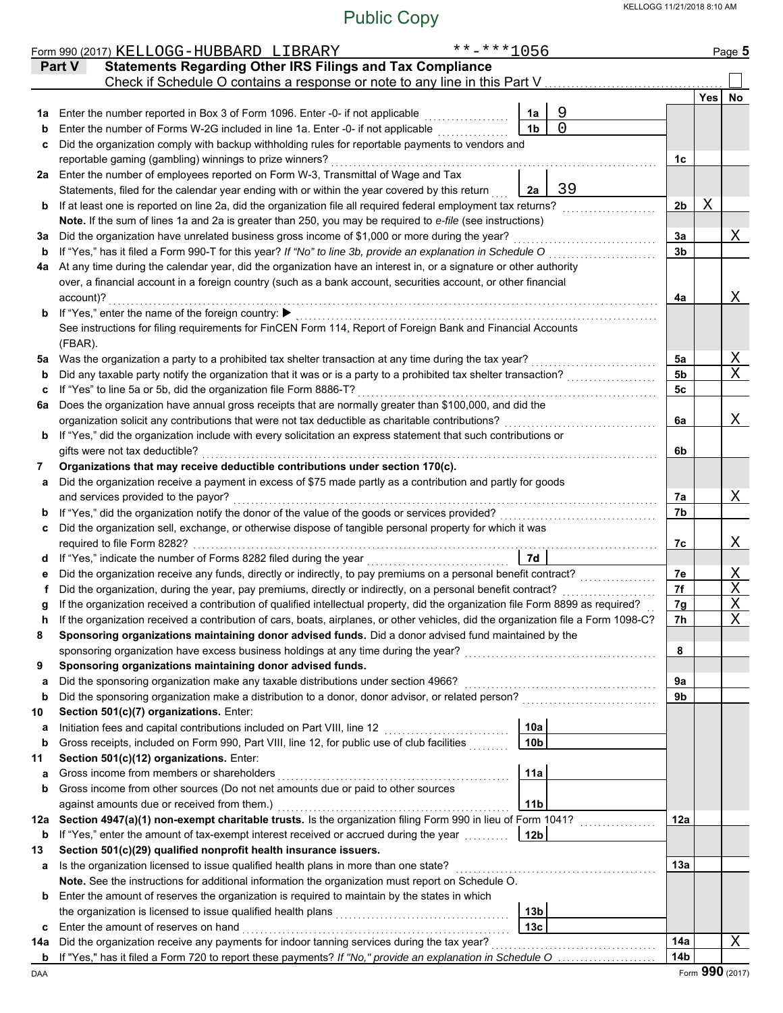|          | **-***1056<br>Form 990 (2017) KELLOGG-HUBBARD LIBRARY                                                                                                                                                                                            |                 |     | Page 5           |  |  |  |  |  |  |
|----------|--------------------------------------------------------------------------------------------------------------------------------------------------------------------------------------------------------------------------------------------------|-----------------|-----|------------------|--|--|--|--|--|--|
|          | <b>Statements Regarding Other IRS Filings and Tax Compliance</b><br><b>Part V</b>                                                                                                                                                                |                 |     |                  |  |  |  |  |  |  |
|          | Check if Schedule O contains a response or note to any line in this Part V                                                                                                                                                                       |                 |     |                  |  |  |  |  |  |  |
|          |                                                                                                                                                                                                                                                  |                 | Yes | No               |  |  |  |  |  |  |
| 1а       | 9<br>Enter the number reported in Box 3 of Form 1096. Enter -0- if not applicable<br>1a                                                                                                                                                          |                 |     |                  |  |  |  |  |  |  |
| b        | $\Omega$<br>Enter the number of Forms W-2G included in line 1a. Enter -0- if not applicable<br>1 <sub>b</sub>                                                                                                                                    |                 |     |                  |  |  |  |  |  |  |
| c        | Did the organization comply with backup withholding rules for reportable payments to vendors and<br>reportable gaming (gambling) winnings to prize winners?                                                                                      |                 |     |                  |  |  |  |  |  |  |
|          | 2a Enter the number of employees reported on Form W-3, Transmittal of Wage and Tax                                                                                                                                                               | 1c              |     |                  |  |  |  |  |  |  |
|          | 39<br>Statements, filed for the calendar year ending with or within the year covered by this return<br>2a                                                                                                                                        |                 |     |                  |  |  |  |  |  |  |
| b        | If at least one is reported on line 2a, did the organization file all required federal employment tax returns?                                                                                                                                   | 2 <sub>b</sub>  | Χ   |                  |  |  |  |  |  |  |
|          | Note. If the sum of lines 1a and 2a is greater than 250, you may be required to e-file (see instructions)                                                                                                                                        |                 |     |                  |  |  |  |  |  |  |
| за       | Did the organization have unrelated business gross income of \$1,000 or more during the year?                                                                                                                                                    | 3a              |     | Χ                |  |  |  |  |  |  |
| b        | If "Yes," has it filed a Form 990-T for this year? If "No" to line 3b, provide an explanation in Schedule O                                                                                                                                      | 3b              |     |                  |  |  |  |  |  |  |
| 4a       | At any time during the calendar year, did the organization have an interest in, or a signature or other authority                                                                                                                                |                 |     |                  |  |  |  |  |  |  |
|          | over, a financial account in a foreign country (such as a bank account, securities account, or other financial                                                                                                                                   |                 |     |                  |  |  |  |  |  |  |
|          | account)?                                                                                                                                                                                                                                        | 4a              |     | Χ                |  |  |  |  |  |  |
|          | <b>b</b> If "Yes," enter the name of the foreign country:                                                                                                                                                                                        |                 |     |                  |  |  |  |  |  |  |
|          | See instructions for filing requirements for FinCEN Form 114, Report of Foreign Bank and Financial Accounts                                                                                                                                      |                 |     |                  |  |  |  |  |  |  |
|          | (FBAR).                                                                                                                                                                                                                                          |                 |     |                  |  |  |  |  |  |  |
| 5a       | Was the organization a party to a prohibited tax shelter transaction at any time during the tax year?                                                                                                                                            | 5a              |     | Χ<br>X           |  |  |  |  |  |  |
| b        | Did any taxable party notify the organization that it was or is a party to a prohibited tax shelter transaction?<br>If "Yes" to line 5a or 5b, did the organization file Form 8886-T?                                                            | 5b<br>5с        |     |                  |  |  |  |  |  |  |
| c<br>6a  | Does the organization have annual gross receipts that are normally greater than \$100,000, and did the                                                                                                                                           |                 |     |                  |  |  |  |  |  |  |
|          | organization solicit any contributions that were not tax deductible as charitable contributions?                                                                                                                                                 | 6a              |     | Χ                |  |  |  |  |  |  |
| b        | If "Yes," did the organization include with every solicitation an express statement that such contributions or                                                                                                                                   |                 |     |                  |  |  |  |  |  |  |
|          | gifts were not tax deductible?                                                                                                                                                                                                                   | 6b              |     |                  |  |  |  |  |  |  |
| 7        | Organizations that may receive deductible contributions under section 170(c).                                                                                                                                                                    |                 |     |                  |  |  |  |  |  |  |
| a        | Did the organization receive a payment in excess of \$75 made partly as a contribution and partly for goods                                                                                                                                      |                 |     |                  |  |  |  |  |  |  |
|          | and services provided to the payor?                                                                                                                                                                                                              | 7a              |     | Χ                |  |  |  |  |  |  |
| b        | If "Yes," did the organization notify the donor of the value of the goods or services provided?                                                                                                                                                  |                 |     |                  |  |  |  |  |  |  |
| c        | Did the organization sell, exchange, or otherwise dispose of tangible personal property for which it was                                                                                                                                         |                 |     |                  |  |  |  |  |  |  |
|          | required to file Form 8282?                                                                                                                                                                                                                      | 7c              |     | Χ                |  |  |  |  |  |  |
| d        | 7d                                                                                                                                                                                                                                               |                 |     |                  |  |  |  |  |  |  |
|          | Did the organization receive any funds, directly or indirectly, to pay premiums on a personal benefit contract?                                                                                                                                  | 7е              |     | Χ                |  |  |  |  |  |  |
|          | Did the organization, during the year, pay premiums, directly or indirectly, on a personal benefit contract?<br>If the organization received a contribution of qualified intellectual property, did the organization file Form 8899 as required? | 7f              |     | Χ<br>$\mathbf X$ |  |  |  |  |  |  |
|          | If the organization received a contribution of cars, boats, airplanes, or other vehicles, did the organization file a Form 1098-C?                                                                                                               | 7g<br>7h        |     | $\mathbf X$      |  |  |  |  |  |  |
| 8        | Sponsoring organizations maintaining donor advised funds. Did a donor advised fund maintained by the                                                                                                                                             |                 |     |                  |  |  |  |  |  |  |
|          | sponsoring organization have excess business holdings at any time during the year?                                                                                                                                                               | 8               |     |                  |  |  |  |  |  |  |
| 9        | Sponsoring organizations maintaining donor advised funds.                                                                                                                                                                                        |                 |     |                  |  |  |  |  |  |  |
| a        | Did the sponsoring organization make any taxable distributions under section 4966?                                                                                                                                                               | 9a              |     |                  |  |  |  |  |  |  |
| b        | Did the sponsoring organization make a distribution to a donor, donor advisor, or related person?                                                                                                                                                | 9b              |     |                  |  |  |  |  |  |  |
| 10       | Section 501(c)(7) organizations. Enter:                                                                                                                                                                                                          |                 |     |                  |  |  |  |  |  |  |
| а        | Initiation fees and capital contributions included on Part VIII, line 12<br>10a                                                                                                                                                                  |                 |     |                  |  |  |  |  |  |  |
| b        | Gross receipts, included on Form 990, Part VIII, line 12, for public use of club facilities<br>10 <sub>b</sub>                                                                                                                                   |                 |     |                  |  |  |  |  |  |  |
| 11       | Section 501(c)(12) organizations. Enter:                                                                                                                                                                                                         |                 |     |                  |  |  |  |  |  |  |
| a        | Gross income from members or shareholders<br>11a                                                                                                                                                                                                 |                 |     |                  |  |  |  |  |  |  |
| b        | Gross income from other sources (Do not net amounts due or paid to other sources<br>against amounts due or received from them.)                                                                                                                  |                 |     |                  |  |  |  |  |  |  |
|          | 11 <sub>b</sub><br>Section 4947(a)(1) non-exempt charitable trusts. Is the organization filing Form 990 in lieu of Form 1041?                                                                                                                    |                 |     |                  |  |  |  |  |  |  |
| 12a<br>b | If "Yes," enter the amount of tax-exempt interest received or accrued during the year [[[[[[[[[[[[[[[[]]]]]]]<br>12 <sub>b</sub>                                                                                                                 | 12a             |     |                  |  |  |  |  |  |  |
| 13       | Section 501(c)(29) qualified nonprofit health insurance issuers.                                                                                                                                                                                 |                 |     |                  |  |  |  |  |  |  |
| а        | Is the organization licensed to issue qualified health plans in more than one state?                                                                                                                                                             | 13а             |     |                  |  |  |  |  |  |  |
|          | Note. See the instructions for additional information the organization must report on Schedule O.                                                                                                                                                |                 |     |                  |  |  |  |  |  |  |
| b        | Enter the amount of reserves the organization is required to maintain by the states in which                                                                                                                                                     |                 |     |                  |  |  |  |  |  |  |
|          | 13 <sub>b</sub>                                                                                                                                                                                                                                  |                 |     |                  |  |  |  |  |  |  |
| c        | Enter the amount of reserves on hand<br>13c                                                                                                                                                                                                      |                 |     |                  |  |  |  |  |  |  |
| 14a      | Did the organization receive any payments for indoor tanning services during the tax year?                                                                                                                                                       | 14a             |     | X                |  |  |  |  |  |  |
| b        |                                                                                                                                                                                                                                                  | 14 <sub>b</sub> |     |                  |  |  |  |  |  |  |
| DAA      |                                                                                                                                                                                                                                                  |                 |     | Form 990 (2017)  |  |  |  |  |  |  |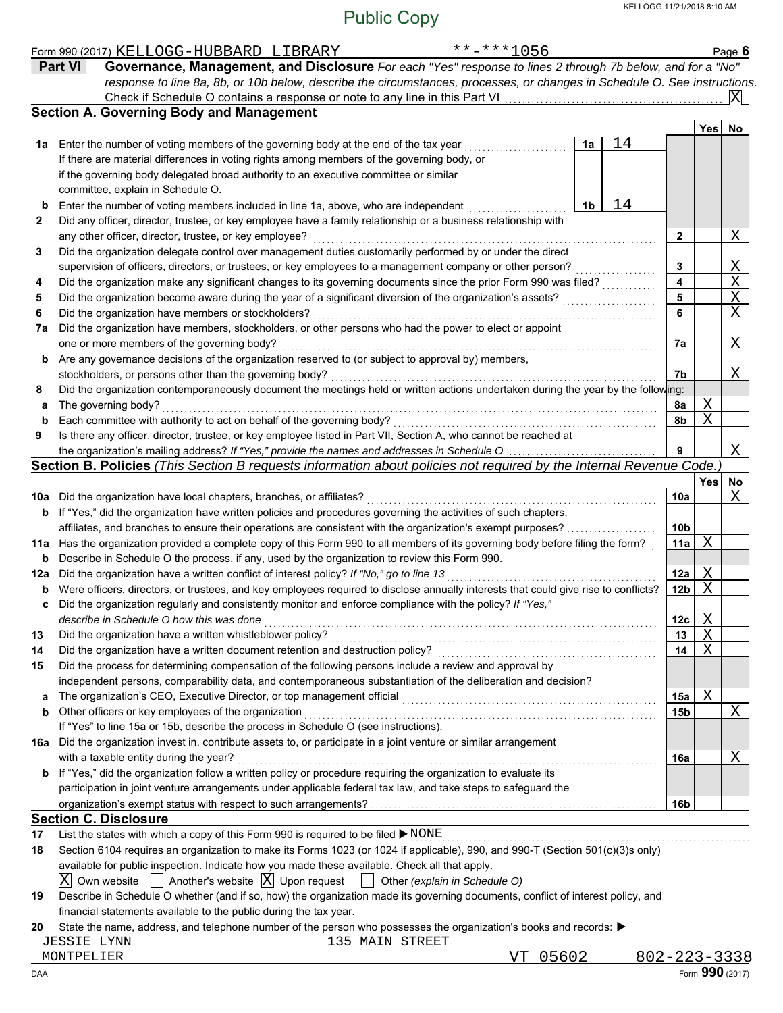|     | $***$ -***1056<br>Form 990 (2017) KELLOGG-HUBBARD LIBRARY                                                                           |                 |            | Page $6$      |
|-----|-------------------------------------------------------------------------------------------------------------------------------------|-----------------|------------|---------------|
|     | Governance, Management, and Disclosure For each "Yes" response to lines 2 through 7b below, and for a "No"<br><b>Part VI</b>        |                 |            |               |
|     | response to line 8a, 8b, or 10b below, describe the circumstances, processes, or changes in Schedule O. See instructions.           |                 |            |               |
|     | Check if Schedule O contains a response or note to any line in this Part VI.                                                        |                 |            |               |
|     | <b>Section A. Governing Body and Management</b>                                                                                     |                 |            |               |
|     |                                                                                                                                     |                 | Yes        | No            |
|     | 14<br>1a<br><b>1a</b> Enter the number of voting members of the governing body at the end of the tax year                           |                 |            |               |
|     | If there are material differences in voting rights among members of the governing body, or                                          |                 |            |               |
|     | if the governing body delegated broad authority to an executive committee or similar                                                |                 |            |               |
|     | committee, explain in Schedule O.                                                                                                   |                 |            |               |
| b   | 14<br>Enter the number of voting members included in line 1a, above, who are independent<br>1b                                      |                 |            |               |
| 2   | Did any officer, director, trustee, or key employee have a family relationship or a business relationship with                      |                 |            |               |
|     | any other officer, director, trustee, or key employee?                                                                              | 2               |            | Χ             |
| 3   | Did the organization delegate control over management duties customarily performed by or under the direct                           |                 |            |               |
|     | supervision of officers, directors, or trustees, or key employees to a management company or other person?                          | 3               |            |               |
| 4   | Did the organization make any significant changes to its governing documents since the prior Form 990 was filed?                    | 4               |            | $\frac{X}{X}$ |
| 5   | Did the organization become aware during the year of a significant diversion of the organization's assets?                          | 5               |            |               |
| 6   | Did the organization have members or stockholders?                                                                                  | 6               |            |               |
| 7a  | Did the organization have members, stockholders, or other persons who had the power to elect or appoint                             |                 |            |               |
|     | one or more members of the governing body?                                                                                          | 7a              |            | X             |
| b   | Are any governance decisions of the organization reserved to (or subject to approval by) members,                                   |                 |            |               |
|     | stockholders, or persons other than the governing body?                                                                             | 7b              |            | X             |
| 8   | Did the organization contemporaneously document the meetings held or written actions undertaken during the year by the following:   |                 |            |               |
| a   | The governing body?                                                                                                                 | 8a              | Χ          |               |
| b   | Each committee with authority to act on behalf of the governing body?                                                               | 8b              | X          |               |
| 9   | Is there any officer, director, trustee, or key employee listed in Part VII, Section A, who cannot be reached at                    |                 |            |               |
|     | the organization's mailing address? If "Yes," provide the names and addresses in Schedule O                                         | 9               |            | X             |
|     | Section B. Policies (This Section B requests information about policies not required by the Internal Revenue Code.                  |                 |            |               |
|     |                                                                                                                                     |                 | <b>Yes</b> | No            |
| 10a | Did the organization have local chapters, branches, or affiliates?                                                                  | 10a             |            | Χ             |
| b   | If "Yes," did the organization have written policies and procedures governing the activities of such chapters,                      |                 |            |               |
|     | affiliates, and branches to ensure their operations are consistent with the organization's exempt purposes?                         | 10 <sub>b</sub> |            |               |
| 11a | Has the organization provided a complete copy of this Form 990 to all members of its governing body before filing the form?         | 11a             | X          |               |
| b   | Describe in Schedule O the process, if any, used by the organization to review this Form 990.                                       |                 |            |               |
| 12a | Did the organization have a written conflict of interest policy? If "No," go to line 13                                             | 12a             | Χ          |               |
| b   | Were officers, directors, or trustees, and key employees required to disclose annually interests that could give rise to conflicts? | 12 <sub>b</sub> | X          |               |
|     | Did the organization regularly and consistently monitor and enforce compliance with the policy? If "Yes,"                           |                 |            |               |
|     | describe in Schedule O how this was done                                                                                            | 12c             | Χ          |               |
| 13  | Did the organization have a written whistleblower policy?                                                                           | 13              | Χ          |               |
| 14  | Did the organization have a written document retention and destruction policy?                                                      | 14              | Χ          |               |
| 15  | Did the process for determining compensation of the following persons include a review and approval by                              |                 |            |               |
|     | independent persons, comparability data, and contemporaneous substantiation of the deliberation and decision?                       |                 |            |               |
| a   | The organization's CEO, Executive Director, or top management official                                                              | 15a             | Χ          |               |
| b   | Other officers or key employees of the organization                                                                                 | 15 <sub>b</sub> |            | Χ             |
|     | If "Yes" to line 15a or 15b, describe the process in Schedule O (see instructions).                                                 |                 |            |               |
| 16a | Did the organization invest in, contribute assets to, or participate in a joint venture or similar arrangement                      |                 |            |               |
|     | with a taxable entity during the year?                                                                                              | 16a             |            | Χ             |
| b   | If "Yes," did the organization follow a written policy or procedure requiring the organization to evaluate its                      |                 |            |               |
|     | participation in joint venture arrangements under applicable federal tax law, and take steps to safeguard the                       |                 |            |               |
|     |                                                                                                                                     | 16b             |            |               |
|     | <b>Section C. Disclosure</b>                                                                                                        |                 |            |               |
| 17  | List the states with which a copy of this Form 990 is required to be filed ▶ NONE                                                   |                 |            |               |
| 18  | Section 6104 requires an organization to make its Forms 1023 (or 1024 if applicable), 990, and 990-T (Section 501(c)(3)s only)      |                 |            |               |
|     | available for public inspection. Indicate how you made these available. Check all that apply.                                       |                 |            |               |
|     | Another's website $ X $ Upon request<br>ΙXΙ<br>Own website<br>Other (explain in Schedule O)                                         |                 |            |               |
| 19  | Describe in Schedule O whether (and if so, how) the organization made its governing documents, conflict of interest policy, and     |                 |            |               |
|     |                                                                                                                                     |                 |            |               |

financial statements available to the public during the tax year.

**20** State the name, address, and telephone number of the person who possesses the organization's books and records: ▶

JESSIE LYNN 135 MAIN STREET

DAA Form **990** (2017)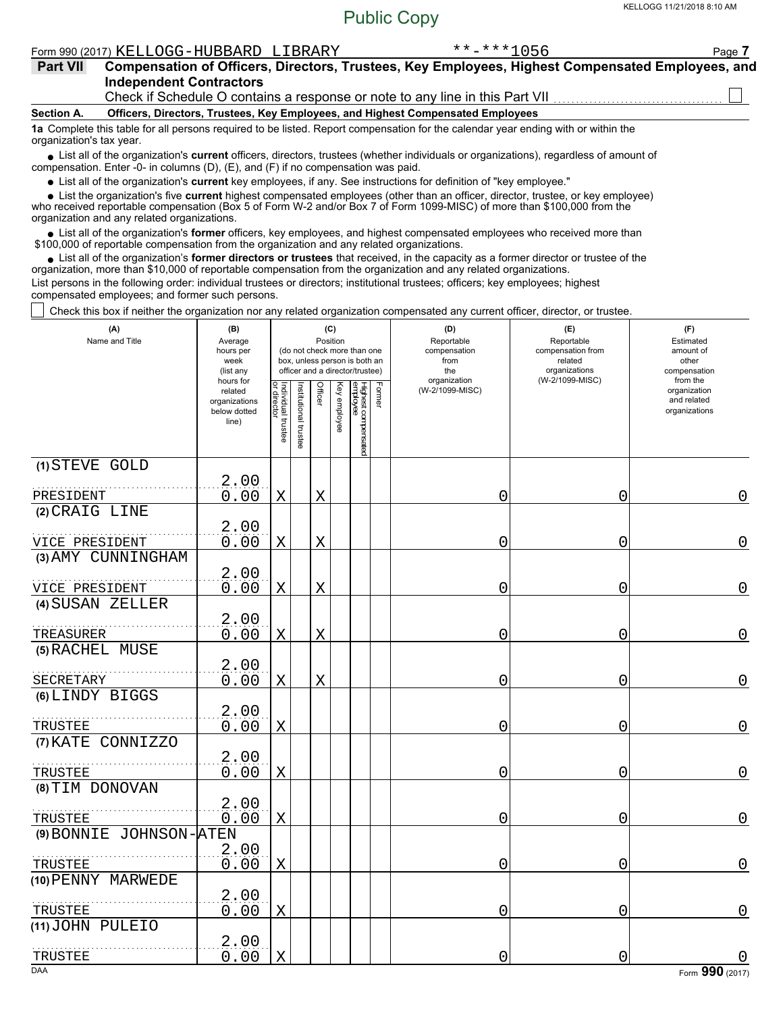| Form 990 (2017) KELLOGG-HUBBARD | LIBRARY | 056<br>المالون والمر<br>- - -<br>⊼ ⊼ | Page |
|---------------------------------|---------|--------------------------------------|------|
|                                 |         |                                      |      |

| <b>Part VII</b> | Compensation of Officers, Directors, Trustees, Key Employees, Highest Compensated Employees, and |
|-----------------|--------------------------------------------------------------------------------------------------|
|                 | <b>Independent Contractors</b>                                                                   |
|                 | Check if Schedule O contains a response or note to any line in this Part VII                     |

**Section A. Officers, Directors, Trustees, Key Employees, and Highest Compensated Employees**

**1a** Complete this table for all persons required to be listed. Report compensation for the calendar year ending with or within the

organization's tax year.

■ List all of the organization's **current** officers, directors, trustees (whether individuals or organizations), regardless of amount of compensation. Enter -0- in columns (D), (E), and (F) if no compensation was paid.

List all of the organization's **current** key employees, if any. See instructions for definition of "key employee."

■ List all of the organization's **current** key employees, if any. See instructions for definition of "key employee."<br>■ List the organization's five **current** highest compensated employees (other than an officer, director,

who received reportable compensation (Box 5 of Form W-2 and/or Box 7 of Form 1099-MISC) of more than \$100,000 from the organization and any related organizations.

• List all of the organization's **former** officers, key employees, and highest compensated employees who received more than<br>00,000 of reportable compensation from the organization and any related organizations. \$100,000 of reportable compensation from the organization and any related organizations.

• List all of the organization's **former directors or trustees** that received, in the capacity as a former director or trustee of the organization, more than \$10,000 of reportable compensation from the organization and any related organizations. List persons in the following order: individual trustees or directors; institutional trustees; officers; key employees; highest compensated employees; and former such persons.

Check this box if neither the organization nor any related organization compensated any current officer, director, or trustee.

| (A)<br>Name and Title              | (B)<br>Average<br>hours per<br>week<br>(list any               |                                   |                       | (C)<br>Position |              | (do not check more than one<br>box, unless person is both an<br>officer and a director/trustee) |        | (D)<br>Reportable<br>compensation<br>from<br>the<br>organization | (E)<br>Reportable<br>compensation from<br>related<br>organizations<br>(W-2/1099-MISC) | (F)<br>Estimated<br>amount of<br>other<br>compensation<br>from the |
|------------------------------------|----------------------------------------------------------------|-----------------------------------|-----------------------|-----------------|--------------|-------------------------------------------------------------------------------------------------|--------|------------------------------------------------------------------|---------------------------------------------------------------------------------------|--------------------------------------------------------------------|
|                                    | hours for<br>related<br>organizations<br>below dotted<br>line) | Individual trustee<br>or director | Institutional trustee | Officer         | Key employee | Highest compensated<br>employee                                                                 | Former | (W-2/1099-MISC)                                                  |                                                                                       |                                                                    |
| (1) STEVE GOLD                     | 2,00                                                           |                                   |                       |                 |              |                                                                                                 |        |                                                                  |                                                                                       |                                                                    |
| PRESIDENT                          | 0.00                                                           | X                                 |                       | X               |              |                                                                                                 |        | 0                                                                | 0                                                                                     | 0                                                                  |
| (2) CRAIG LINE                     |                                                                |                                   |                       |                 |              |                                                                                                 |        |                                                                  |                                                                                       |                                                                    |
| VICE PRESIDENT                     | 2.00<br>0.00                                                   | X                                 |                       | X               |              |                                                                                                 |        | 0                                                                | 0                                                                                     | $\mathbf 0$                                                        |
| (3) AMY CUNNINGHAM                 |                                                                |                                   |                       |                 |              |                                                                                                 |        |                                                                  |                                                                                       |                                                                    |
|                                    | 2.00                                                           |                                   |                       |                 |              |                                                                                                 |        |                                                                  |                                                                                       |                                                                    |
| VICE PRESIDENT                     | 0.00                                                           | Χ                                 |                       | Χ               |              |                                                                                                 |        | 0                                                                | 0                                                                                     | $\overline{0}$                                                     |
| (4) SUSAN ZELLER                   |                                                                |                                   |                       |                 |              |                                                                                                 |        |                                                                  |                                                                                       |                                                                    |
| TREASURER                          | 2.00<br>0.00                                                   | Χ                                 |                       | Χ               |              |                                                                                                 |        | 0                                                                | 0                                                                                     | $\mathbf 0$                                                        |
| (5) RACHEL MUSE                    |                                                                |                                   |                       |                 |              |                                                                                                 |        |                                                                  |                                                                                       |                                                                    |
|                                    | 2.00                                                           |                                   |                       |                 |              |                                                                                                 |        |                                                                  |                                                                                       |                                                                    |
| SECRETARY                          | 0.00                                                           | X                                 |                       | X               |              |                                                                                                 |        | 0                                                                | 0                                                                                     | 0                                                                  |
| (6) LINDY BIGGS                    | 2.00                                                           |                                   |                       |                 |              |                                                                                                 |        |                                                                  |                                                                                       |                                                                    |
| TRUSTEE                            | 0.00                                                           | $\underline{X}$                   |                       |                 |              |                                                                                                 |        | 0                                                                | 0                                                                                     | $\mathbf 0$                                                        |
| (7) KATE CONNIZZO                  |                                                                |                                   |                       |                 |              |                                                                                                 |        |                                                                  |                                                                                       |                                                                    |
| TRUSTEE                            | 2.00<br>0.00                                                   | $\mathbf X$                       |                       |                 |              |                                                                                                 |        | 0                                                                | 0                                                                                     | 0                                                                  |
| (8) TIM DONOVAN                    |                                                                |                                   |                       |                 |              |                                                                                                 |        |                                                                  |                                                                                       |                                                                    |
|                                    | 2.00                                                           |                                   |                       |                 |              |                                                                                                 |        |                                                                  |                                                                                       |                                                                    |
| TRUSTEE<br>(9) BONNIE JOHNSON-ATEN | 0.00                                                           | $\mathbf X$                       |                       |                 |              |                                                                                                 |        | 0                                                                | 0                                                                                     | $\overline{0}$                                                     |
|                                    | 2.00                                                           |                                   |                       |                 |              |                                                                                                 |        |                                                                  |                                                                                       |                                                                    |
| TRUSTEE                            | 0.00                                                           | Χ                                 |                       |                 |              |                                                                                                 |        | 0                                                                | 0                                                                                     | $\mathbf 0$                                                        |
| (10) PENNY MARWEDE                 |                                                                |                                   |                       |                 |              |                                                                                                 |        |                                                                  |                                                                                       |                                                                    |
|                                    | 2.00                                                           |                                   |                       |                 |              |                                                                                                 |        |                                                                  |                                                                                       |                                                                    |
| TRUSTEE<br>(11) JOHN PULEIO        | 0.00                                                           | Χ                                 |                       |                 |              |                                                                                                 |        | 0                                                                | 0                                                                                     | 0                                                                  |
|                                    | 2.00                                                           |                                   |                       |                 |              |                                                                                                 |        |                                                                  |                                                                                       |                                                                    |
| TRUSTEE                            | 0.00                                                           | X                                 |                       |                 |              |                                                                                                 |        | 0                                                                | 0                                                                                     |                                                                    |
| <b>DAA</b>                         |                                                                |                                   |                       |                 |              |                                                                                                 |        |                                                                  |                                                                                       | Form 990 (2017)                                                    |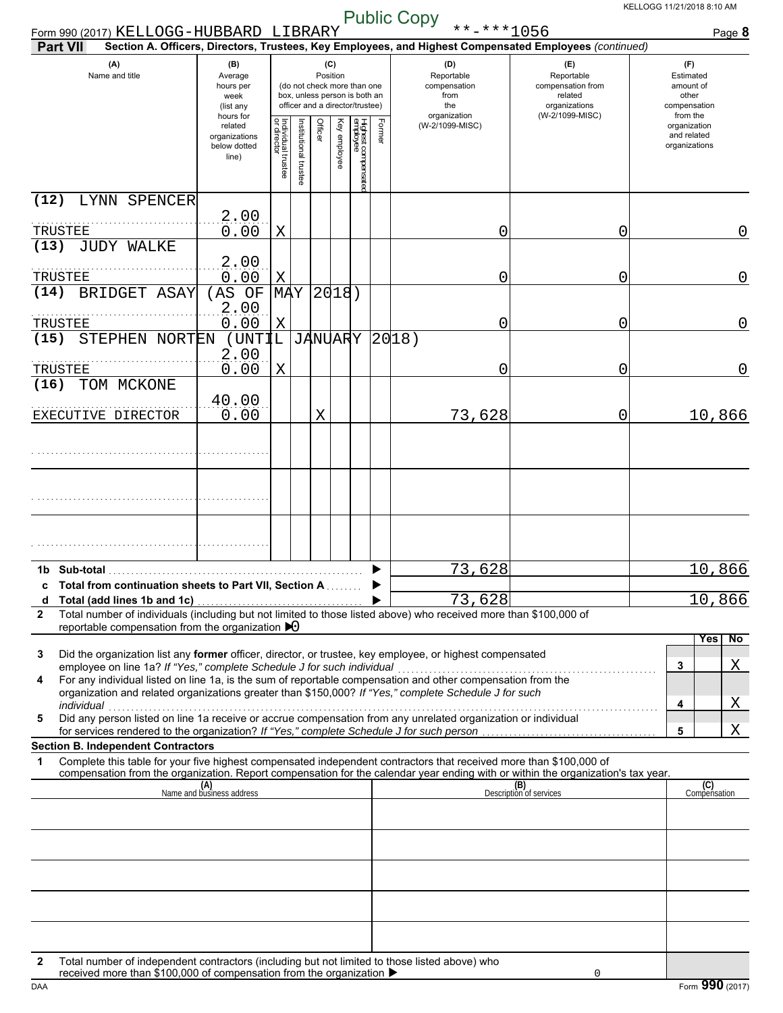| Form 990 (2017) KELLOGG-HUBBARD LIBRARY                                                                                                                                                                                                                                                                                                                                                                                                                                                                                                 |                                                               |                                   |                         |         |                 |                                                                                                 |        | $***$ -***1056                                                                                         |                                                                                       | Page 8                                                             |  |
|-----------------------------------------------------------------------------------------------------------------------------------------------------------------------------------------------------------------------------------------------------------------------------------------------------------------------------------------------------------------------------------------------------------------------------------------------------------------------------------------------------------------------------------------|---------------------------------------------------------------|-----------------------------------|-------------------------|---------|-----------------|-------------------------------------------------------------------------------------------------|--------|--------------------------------------------------------------------------------------------------------|---------------------------------------------------------------------------------------|--------------------------------------------------------------------|--|
| <b>Part VII</b>                                                                                                                                                                                                                                                                                                                                                                                                                                                                                                                         |                                                               |                                   |                         |         |                 |                                                                                                 |        | Section A. Officers, Directors, Trustees, Key Employees, and Highest Compensated Employees (continued) |                                                                                       |                                                                    |  |
| (A)<br>Name and title                                                                                                                                                                                                                                                                                                                                                                                                                                                                                                                   | (B)<br>Average<br>hours per<br>week<br>(list any<br>hours for |                                   |                         |         | (C)<br>Position | (do not check more than one<br>box, unless person is both an<br>officer and a director/trustee) |        | (D)<br>Reportable<br>compensation<br>from<br>the<br>organization                                       | (E)<br>Reportable<br>compensation from<br>related<br>organizations<br>(W-2/1099-MISC) | (F)<br>Estimated<br>amount of<br>other<br>compensation<br>from the |  |
|                                                                                                                                                                                                                                                                                                                                                                                                                                                                                                                                         | related<br>organizations<br>below dotted<br>line)             | Individual trustee<br>or director | nstitutional<br>trustee | Officer | Ķey<br>employee | Highest compensatec<br>employee                                                                 | Former | (W-2/1099-MISC)                                                                                        |                                                                                       | organization<br>and related<br>organizations                       |  |
| (12)<br>LYNN SPENCER                                                                                                                                                                                                                                                                                                                                                                                                                                                                                                                    |                                                               |                                   |                         |         |                 |                                                                                                 |        |                                                                                                        |                                                                                       |                                                                    |  |
| TRUSTEE                                                                                                                                                                                                                                                                                                                                                                                                                                                                                                                                 | 2.00<br>0.00                                                  | X                                 |                         |         |                 |                                                                                                 |        | 0                                                                                                      | 0                                                                                     | 0                                                                  |  |
| (13)<br><b>JUDY WALKE</b>                                                                                                                                                                                                                                                                                                                                                                                                                                                                                                               |                                                               |                                   |                         |         |                 |                                                                                                 |        |                                                                                                        |                                                                                       |                                                                    |  |
|                                                                                                                                                                                                                                                                                                                                                                                                                                                                                                                                         | 2.00                                                          |                                   |                         |         |                 |                                                                                                 |        |                                                                                                        |                                                                                       |                                                                    |  |
| TRUSTEE<br>BRIDGET ASAY<br>(14)                                                                                                                                                                                                                                                                                                                                                                                                                                                                                                         | 0.00<br>(AS OF                                                | X<br><b>MAY</b>                   |                         |         | 2018)           |                                                                                                 |        | 0                                                                                                      | 0                                                                                     | $\overline{0}$                                                     |  |
|                                                                                                                                                                                                                                                                                                                                                                                                                                                                                                                                         | 2.00                                                          |                                   |                         |         |                 |                                                                                                 |        |                                                                                                        |                                                                                       |                                                                    |  |
| TRUSTEE                                                                                                                                                                                                                                                                                                                                                                                                                                                                                                                                 | 0.00                                                          | X                                 |                         |         |                 |                                                                                                 |        | 0                                                                                                      | 0                                                                                     | $\overline{0}$                                                     |  |
| STEPHEN NORTEN<br>(15)                                                                                                                                                                                                                                                                                                                                                                                                                                                                                                                  | (UNTIL<br>2.00                                                |                                   |                         |         | <b>JANUARY</b>  |                                                                                                 |        | 20 18)                                                                                                 |                                                                                       |                                                                    |  |
| TRUSTEE                                                                                                                                                                                                                                                                                                                                                                                                                                                                                                                                 | 0.00                                                          | X                                 |                         |         |                 |                                                                                                 |        | 0                                                                                                      | 0                                                                                     | 0                                                                  |  |
| (16)<br>TOM MCKONE                                                                                                                                                                                                                                                                                                                                                                                                                                                                                                                      |                                                               |                                   |                         |         |                 |                                                                                                 |        |                                                                                                        |                                                                                       |                                                                    |  |
| EXECUTIVE DIRECTOR                                                                                                                                                                                                                                                                                                                                                                                                                                                                                                                      | 40.00<br>0.00                                                 |                                   |                         | X       |                 |                                                                                                 |        | 73,628                                                                                                 | 0                                                                                     | 10,866                                                             |  |
|                                                                                                                                                                                                                                                                                                                                                                                                                                                                                                                                         |                                                               |                                   |                         |         |                 |                                                                                                 |        |                                                                                                        |                                                                                       |                                                                    |  |
|                                                                                                                                                                                                                                                                                                                                                                                                                                                                                                                                         |                                                               |                                   |                         |         |                 |                                                                                                 |        |                                                                                                        |                                                                                       |                                                                    |  |
|                                                                                                                                                                                                                                                                                                                                                                                                                                                                                                                                         |                                                               |                                   |                         |         |                 |                                                                                                 |        |                                                                                                        |                                                                                       |                                                                    |  |
|                                                                                                                                                                                                                                                                                                                                                                                                                                                                                                                                         |                                                               |                                   |                         |         |                 |                                                                                                 |        |                                                                                                        |                                                                                       |                                                                    |  |
|                                                                                                                                                                                                                                                                                                                                                                                                                                                                                                                                         |                                                               |                                   |                         |         |                 |                                                                                                 |        |                                                                                                        |                                                                                       |                                                                    |  |
| 1b Sub-total                                                                                                                                                                                                                                                                                                                                                                                                                                                                                                                            |                                                               |                                   |                         |         |                 |                                                                                                 |        | 73,628                                                                                                 |                                                                                       | 10,866                                                             |  |
| c Total from continuation sheets to Part VII, Section A                                                                                                                                                                                                                                                                                                                                                                                                                                                                                 |                                                               |                                   |                         |         |                 |                                                                                                 |        | 73,628                                                                                                 |                                                                                       | 10,866                                                             |  |
| Total number of individuals (including but not limited to those listed above) who received more than \$100,000 of<br>2                                                                                                                                                                                                                                                                                                                                                                                                                  |                                                               |                                   |                         |         |                 |                                                                                                 |        |                                                                                                        |                                                                                       |                                                                    |  |
| reportable compensation from the organization $\triangleright$ 0                                                                                                                                                                                                                                                                                                                                                                                                                                                                        |                                                               |                                   |                         |         |                 |                                                                                                 |        |                                                                                                        |                                                                                       | Yes<br>$\overline{N}$                                              |  |
| Did the organization list any former officer, director, or trustee, key employee, or highest compensated<br>3<br>employee on line 1a? If "Yes," complete Schedule J for such individual<br>employee on line 1a c it res, complete Schedule J for such individual compensation and other compensation from the Tor any individual listed on line 1a, is the sum of reportable compensation and other compensation from the<br>4<br>organization and related organizations greater than \$150,000? If "Yes," complete Schedule J for such |                                                               |                                   |                         |         |                 |                                                                                                 |        |                                                                                                        |                                                                                       | Χ<br>3                                                             |  |
| Did any person listed on line 1a receive or accrue compensation from any unrelated organization or individual                                                                                                                                                                                                                                                                                                                                                                                                                           |                                                               |                                   |                         |         |                 |                                                                                                 |        |                                                                                                        |                                                                                       | Χ<br>4                                                             |  |
| 5<br>for services rendered to the organization? If "Yes," complete Schedule J for such person.                                                                                                                                                                                                                                                                                                                                                                                                                                          |                                                               |                                   |                         |         |                 |                                                                                                 |        |                                                                                                        |                                                                                       | X<br>5                                                             |  |
| <b>Section B. Independent Contractors</b>                                                                                                                                                                                                                                                                                                                                                                                                                                                                                               |                                                               |                                   |                         |         |                 |                                                                                                 |        |                                                                                                        |                                                                                       |                                                                    |  |
| Complete this table for your five highest compensated independent contractors that received more than \$100,000 of<br>1<br>compensation from the organization. Report compensation for the calendar year ending with or within the organization's tax year.                                                                                                                                                                                                                                                                             |                                                               |                                   |                         |         |                 |                                                                                                 |        |                                                                                                        |                                                                                       |                                                                    |  |
|                                                                                                                                                                                                                                                                                                                                                                                                                                                                                                                                         | (A)<br>Name and business address                              |                                   |                         |         |                 |                                                                                                 |        |                                                                                                        | (B)<br>Description of services                                                        | (C)<br>Compensation                                                |  |
|                                                                                                                                                                                                                                                                                                                                                                                                                                                                                                                                         |                                                               |                                   |                         |         |                 |                                                                                                 |        |                                                                                                        |                                                                                       |                                                                    |  |
|                                                                                                                                                                                                                                                                                                                                                                                                                                                                                                                                         |                                                               |                                   |                         |         |                 |                                                                                                 |        |                                                                                                        |                                                                                       |                                                                    |  |
|                                                                                                                                                                                                                                                                                                                                                                                                                                                                                                                                         |                                                               |                                   |                         |         |                 |                                                                                                 |        |                                                                                                        |                                                                                       |                                                                    |  |
|                                                                                                                                                                                                                                                                                                                                                                                                                                                                                                                                         |                                                               |                                   |                         |         |                 |                                                                                                 |        |                                                                                                        |                                                                                       |                                                                    |  |
|                                                                                                                                                                                                                                                                                                                                                                                                                                                                                                                                         |                                                               |                                   |                         |         |                 |                                                                                                 |        |                                                                                                        |                                                                                       |                                                                    |  |
|                                                                                                                                                                                                                                                                                                                                                                                                                                                                                                                                         |                                                               |                                   |                         |         |                 |                                                                                                 |        |                                                                                                        |                                                                                       |                                                                    |  |
| Total number of independent contractors (including but not limited to those listed above) who<br>2                                                                                                                                                                                                                                                                                                                                                                                                                                      |                                                               |                                   |                         |         |                 |                                                                                                 |        |                                                                                                        |                                                                                       |                                                                    |  |
| received more than \$100,000 of compensation from the organization ▶                                                                                                                                                                                                                                                                                                                                                                                                                                                                    |                                                               |                                   |                         |         |                 |                                                                                                 |        |                                                                                                        | 0                                                                                     |                                                                    |  |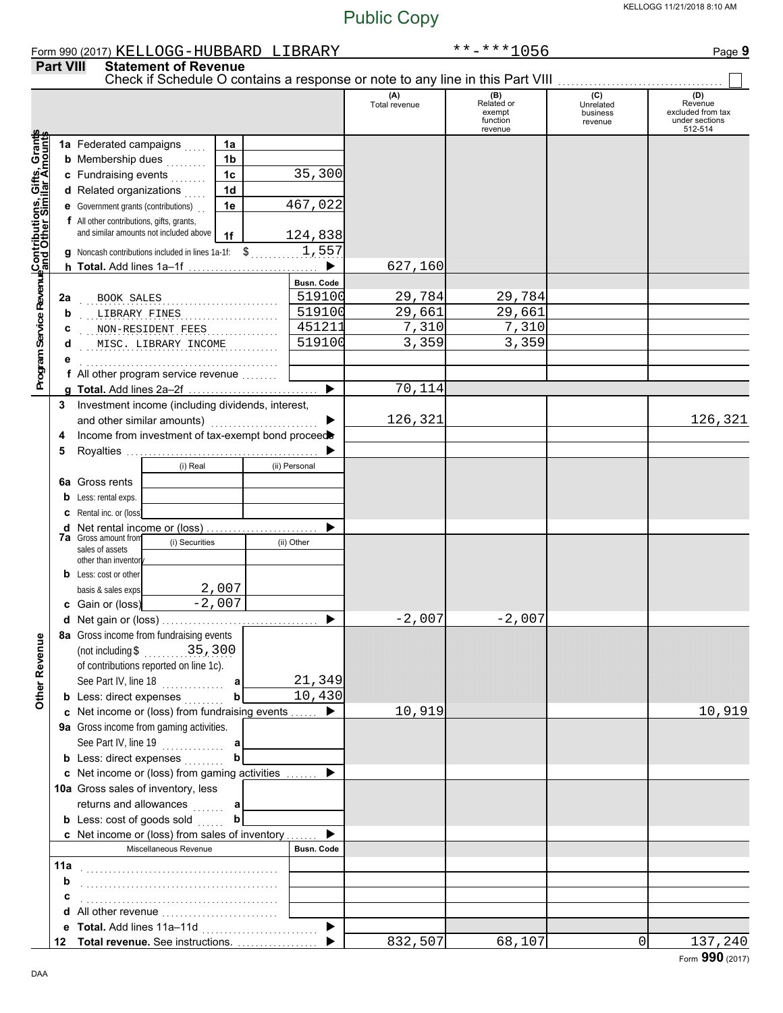|                                                                                                                       |                  | Form 990 (2017) KELLOGG-HUBBARD LIBRARY                                                                               |                             |                |  |                   |                       | $******1056$                                                                  |                                         | Page 9                                                           |
|-----------------------------------------------------------------------------------------------------------------------|------------------|-----------------------------------------------------------------------------------------------------------------------|-----------------------------|----------------|--|-------------------|-----------------------|-------------------------------------------------------------------------------|-----------------------------------------|------------------------------------------------------------------|
|                                                                                                                       | <b>Part VIII</b> |                                                                                                                       | <b>Statement of Revenue</b> |                |  |                   |                       | Check if Schedule O contains a response or note to any line in this Part VIII |                                         |                                                                  |
|                                                                                                                       |                  |                                                                                                                       |                             |                |  |                   | (A)<br>Total revenue  | $(B)$<br>Related or<br>exempt<br>function<br>revenue                          | (C)<br>Unrelated<br>business<br>revenue | (D)<br>Revenue<br>excluded from tax<br>under sections<br>512-514 |
|                                                                                                                       |                  | 1a Federated campaigns                                                                                                |                             | 1a             |  |                   |                       |                                                                               |                                         |                                                                  |
|                                                                                                                       |                  | <b>b</b> Membership dues                                                                                              |                             | 1 <sub>b</sub> |  |                   |                       |                                                                               |                                         |                                                                  |
|                                                                                                                       |                  | c Fundraising events                                                                                                  |                             | 1 <sub>c</sub> |  | 35,300            |                       |                                                                               |                                         |                                                                  |
|                                                                                                                       |                  | d Related organizations                                                                                               |                             | 1 <sub>d</sub> |  |                   |                       |                                                                               |                                         |                                                                  |
|                                                                                                                       |                  |                                                                                                                       |                             |                |  | 467,022           |                       |                                                                               |                                         |                                                                  |
|                                                                                                                       |                  | e Government grants (contributions)                                                                                   |                             | 1e             |  |                   |                       |                                                                               |                                         |                                                                  |
|                                                                                                                       |                  | f All other contributions, gifts, grants,                                                                             |                             |                |  |                   |                       |                                                                               |                                         |                                                                  |
|                                                                                                                       |                  | and similar amounts not included above<br>124,838<br>1f<br>1,557<br>Noncash contributions included in lines 1a-1f: \$ |                             |                |  |                   |                       |                                                                               |                                         |                                                                  |
|                                                                                                                       |                  |                                                                                                                       |                             |                |  |                   |                       |                                                                               |                                         |                                                                  |
|                                                                                                                       |                  |                                                                                                                       |                             |                |  | ▶                 | 627,160               |                                                                               |                                         |                                                                  |
|                                                                                                                       |                  |                                                                                                                       |                             |                |  | Busn. Code        |                       |                                                                               |                                         |                                                                  |
|                                                                                                                       | 2a               | BOOK SALES                                                                                                            |                             |                |  | 519100            | 29,784                | 29,784                                                                        |                                         |                                                                  |
|                                                                                                                       | b                | LIBRARY FINES                                                                                                         |                             |                |  | 519100            | $\overline{29}$ , 661 | 29,661                                                                        |                                         |                                                                  |
|                                                                                                                       | c                | NON-RESIDENT FEES                                                                                                     |                             |                |  | 451211            | 7,310                 | 7,310                                                                         |                                         |                                                                  |
|                                                                                                                       | d                |                                                                                                                       | MISC. LIBRARY INCOME        |                |  | 519100            | 3,359                 | 3,359                                                                         |                                         |                                                                  |
|                                                                                                                       |                  |                                                                                                                       |                             |                |  |                   |                       |                                                                               |                                         |                                                                  |
| Program Service Revenu <mark>e</mark> Contributions, Gifts, Grants<br>Program Service Revenuend Other Similar Amounts |                  | f All other program service revenue                                                                                   |                             |                |  |                   |                       |                                                                               |                                         |                                                                  |
|                                                                                                                       |                  |                                                                                                                       |                             |                |  |                   | 70,114                |                                                                               |                                         |                                                                  |
|                                                                                                                       | 3                | Investment income (including dividends, interest,                                                                     |                             |                |  |                   |                       |                                                                               |                                         |                                                                  |
|                                                                                                                       |                  | and other similar amounts)                                                                                            |                             |                |  |                   | 126,321               |                                                                               |                                         | 126,321                                                          |
|                                                                                                                       | 4                | Income from investment of tax-exempt bond proceed                                                                     |                             |                |  |                   |                       |                                                                               |                                         |                                                                  |
|                                                                                                                       | 5                |                                                                                                                       |                             |                |  |                   |                       |                                                                               |                                         |                                                                  |
|                                                                                                                       |                  |                                                                                                                       | (i) Real                    |                |  | (ii) Personal     |                       |                                                                               |                                         |                                                                  |
|                                                                                                                       | 6a               | Gross rents                                                                                                           |                             |                |  |                   |                       |                                                                               |                                         |                                                                  |
|                                                                                                                       | b                | Less: rental exps.                                                                                                    |                             |                |  |                   |                       |                                                                               |                                         |                                                                  |
|                                                                                                                       | c                | Rental inc. or (loss)                                                                                                 |                             |                |  |                   |                       |                                                                               |                                         |                                                                  |
|                                                                                                                       | d                |                                                                                                                       |                             |                |  |                   |                       |                                                                               |                                         |                                                                  |
|                                                                                                                       |                  | <b>7a</b> Gross amount from<br>(i) Securities<br>(ii) Other                                                           |                             |                |  |                   |                       |                                                                               |                                         |                                                                  |
|                                                                                                                       |                  | sales of assets<br>other than inventor                                                                                |                             |                |  |                   |                       |                                                                               |                                         |                                                                  |
|                                                                                                                       |                  | <b>b</b> Less: cost or other                                                                                          |                             |                |  |                   |                       |                                                                               |                                         |                                                                  |
|                                                                                                                       |                  | basis & sales exps.                                                                                                   |                             | 2,007          |  |                   |                       |                                                                               |                                         |                                                                  |
|                                                                                                                       |                  | c Gain or (loss)                                                                                                      |                             | $-2,007$       |  |                   |                       |                                                                               |                                         |                                                                  |
|                                                                                                                       |                  | d Net gain or (loss)                                                                                                  |                             |                |  |                   | 2,007                 | 2,007                                                                         |                                         |                                                                  |
|                                                                                                                       |                  | 8a Gross income from fundraising events                                                                               |                             |                |  |                   |                       |                                                                               |                                         |                                                                  |
|                                                                                                                       |                  | (not including $$35,300$                                                                                              |                             |                |  |                   |                       |                                                                               |                                         |                                                                  |
|                                                                                                                       |                  |                                                                                                                       |                             |                |  |                   |                       |                                                                               |                                         |                                                                  |
|                                                                                                                       |                  | of contributions reported on line 1c).                                                                                |                             |                |  |                   |                       |                                                                               |                                         |                                                                  |
| <b>Other Revenue</b>                                                                                                  |                  | See Part IV, line 18                                                                                                  |                             | a              |  | 21,349<br>10,430  |                       |                                                                               |                                         |                                                                  |
|                                                                                                                       |                  | <b>b</b> Less: direct expenses                                                                                        |                             | b              |  |                   |                       |                                                                               |                                         |                                                                  |
|                                                                                                                       |                  | c Net income or (loss) from fundraising events  ▶                                                                     |                             |                |  |                   | 10,919                |                                                                               |                                         | 10,919                                                           |
|                                                                                                                       |                  | 9a Gross income from gaming activities.                                                                               |                             |                |  |                   |                       |                                                                               |                                         |                                                                  |
|                                                                                                                       |                  |                                                                                                                       |                             |                |  |                   |                       |                                                                               |                                         |                                                                  |
|                                                                                                                       |                  | <b>b</b> Less: direct expenses                                                                                        |                             | $\mathbf b$    |  |                   |                       |                                                                               |                                         |                                                                  |
|                                                                                                                       |                  | c Net income or (loss) from gaming activities                                                                         |                             |                |  |                   |                       |                                                                               |                                         |                                                                  |
|                                                                                                                       |                  | 10a Gross sales of inventory, less                                                                                    |                             |                |  |                   |                       |                                                                               |                                         |                                                                  |
|                                                                                                                       |                  | returns and allowances  a                                                                                             |                             |                |  |                   |                       |                                                                               |                                         |                                                                  |
|                                                                                                                       |                  | <b>b</b> Less: cost of goods sold                                                                                     |                             | $\mathbf b$    |  |                   |                       |                                                                               |                                         |                                                                  |
|                                                                                                                       |                  | c Net income or (loss) from sales of inventory                                                                        |                             |                |  |                   |                       |                                                                               |                                         |                                                                  |
|                                                                                                                       |                  |                                                                                                                       | Miscellaneous Revenue       |                |  | <b>Busn. Code</b> |                       |                                                                               |                                         |                                                                  |
|                                                                                                                       | 11a              |                                                                                                                       |                             |                |  |                   |                       |                                                                               |                                         |                                                                  |
|                                                                                                                       | b                |                                                                                                                       |                             |                |  |                   |                       |                                                                               |                                         |                                                                  |
|                                                                                                                       | c                |                                                                                                                       |                             |                |  |                   |                       |                                                                               |                                         |                                                                  |
|                                                                                                                       | d                | All other revenue                                                                                                     |                             |                |  |                   |                       |                                                                               |                                         |                                                                  |
|                                                                                                                       |                  |                                                                                                                       |                             |                |  |                   |                       |                                                                               |                                         |                                                                  |
|                                                                                                                       |                  |                                                                                                                       |                             |                |  |                   | 832,507               | 68,107                                                                        | 0                                       | 137,240                                                          |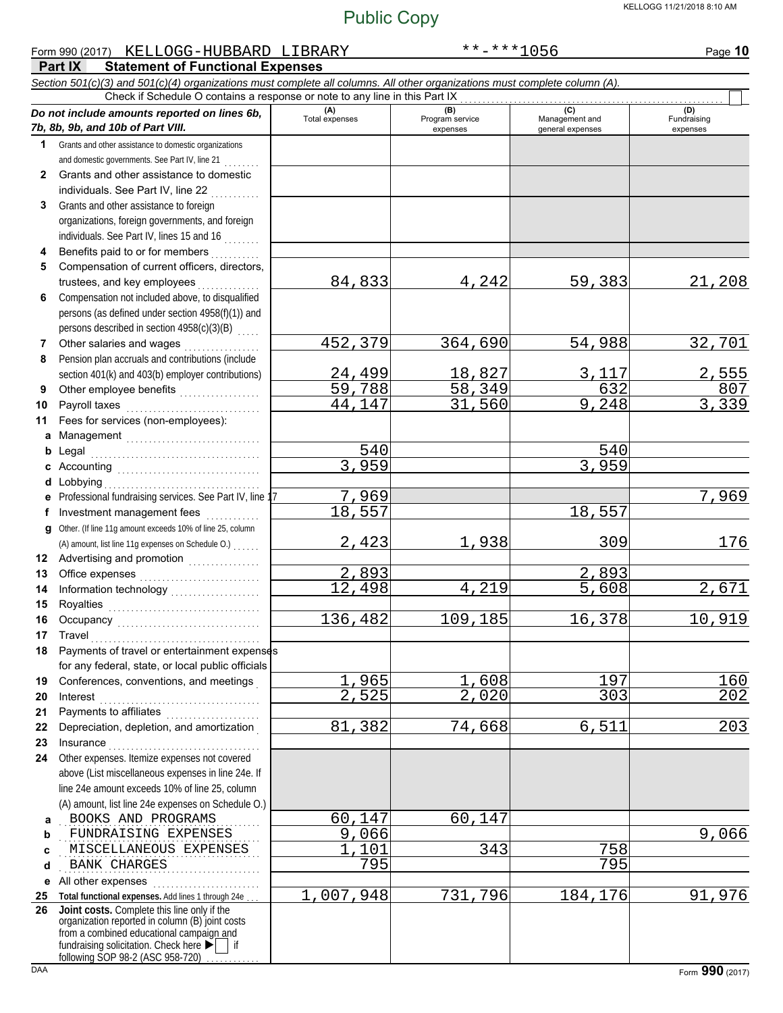#### **Part IX Statement of Functional Expenses** Form 990 (2017) Page **10** KELLOGG-HUBBARD LIBRARY \*\*-\*\*\*1056 *Section 501(c)(3) and 501(c)(4) organizations must complete all columns. All other organizations must complete column (A). Do not include amounts reported on lines 6b, 7b, 8b, 9b, and 10b of Part VIII.* **1 2 3 4 5 6 7 8 9 10 11 a** Management . . . . . . . . . . . . . . . . . . . . . . . . . . . . . . **b** Legal **c** Accounting . . . . . . . . . . . . . . . . . . . . . . . . . . . . . . . . **d** Lobbying . . . . . . . . . . . . . . . . . . . . . . . . . . . . . . . . . . . **e f g** Other. (If line 11g amount exceeds 10% of line 25, column **12** Advertising and promotion **. . . . . . . . . . . .** . . **13 14 15 16 17 18 19 20 21 22 23 24 a** . . . . . . . . . . . . . . . . . . . . . . . . . . . . . . . . . . . . . . . . . . . . . BOOKS AND PROGRAMS 60,147 60,147 **b c d e** All other expenses . . . . . . . . . . . . . . . . . . . . . . . . **25 Total functional expenses.** Add lines 1 through 24e . . . **26** Grants and other assistance to domestic organizations and domestic governments. See Part IV, line 21 . . . . . . . . Grants and other assistance to domestic individuals. See Part IV, line 22 Grants and other assistance to foreign organizations, foreign governments, and foreign individuals. See Part IV, lines 15 and 16 Benefits paid to or for members . . . . . . . . . . Compensation of current officers, directors, trustees, and key employees . . . . . . . . Compensation not included above, to disqualified persons (as defined under section 4958(f)(1)) and persons described in section  $4958(c)(3)(B)$ Other salaries and wages .................. Pension plan accruals and contributions (include section 401(k) and 403(b) employer contributions) Other employee benefits ................... Payroll taxes . . . . . . . . . . . . . . . . . . . . . . . . . . . . . . Fees for services (non-employees): Legal . . . . . . . . . . . . . . . . . . . . . . . . . . . . . . . . . . . . . . Professional fundraising services. See Part IV, line 17 Investment management fees ............. Office expenses . . . . . . . . . . . . . . . . . . . . . . . . . . . Information technology . . . . . . . . . . . . . . . . . . . . Royalties . . . . . . . . . . . . . . . . . . . . . . . . . . . . . . . . . . Occupancy . . . . . . . . . . . . . . . . . . . . . . . . . . . . . . . . Travel . . . . . . . . . . . . . . . . . . . . . . . . . . . . . . . . . . . . . . Payments of travel or entertainment expenses for any federal, state, or local public officials Conferences, conventions, and meetings . Interest . . . . . . . . . . . . . . . . . . . . . . . . . . . . . . . . . . . . Payments to affiliates . . . . . . . . . . . . . . . . . . . . . Depreciation, depletion, and amortization . Insurance . . . . . . . . . . . . . . . . . . . . . . . . . . . . . . . . . . Other expenses. Itemize expenses not covered above (List miscellaneous expenses in line 24e. If line 24e amount exceeds 10% of line 25, column (A) amount, list line 24e expenses on Schedule O.) fundraising solicitation. Check here  $\blacktriangleright$  | if organization reported in column (B) joint costs from a combined educational campaign and following SOP 98-2 (ASC 958-720) **(A)** (B) (B) (B) (C) (C) (A) (D)<br>Total expenses Program service Management and Fundrai expenses general expenses (D)<br>Fundraising expenses . . . . . . . . . . . . . . . . . . . . . . . . . . . . . . . . . . . . . . . . . . . . . FUNDRAISING EXPENSES 9,066 9,066 . . . . . . . . . . . . . . . . . . . . . . . . . . . . . . . . . . . . . . . . . . . . . MISCELLANEOUS EXPENSES 1,101 343 758 . . . . . . . . . . . . . . . . . . . . . . . . . . . . . . . . . . . . . . . . . . . . . BANK CHARGES 795 795 Check if Schedule O contains a response or note to any line in this Part IX **Joint costs.** Complete this line only if the (A) amount, list line 11g expenses on Schedule O.) . . . . . . 84,833 4,242 59,383 21,208 452,379 364,690 54,988 32,701 2<u>4,499 18,827 3,117 2,555</u><br>59,788 58,349 632 807 <u>59,788 58,349 632 807</u><br>44.147 31,560 9,248 3,339 31,560 540 540 3,959 3,959 7,969 7,969 18,557 18,557 2,423 1,938 309 176 2,893 2,893 12,498 4,219 5,608 2,671 <mark>136,482</mark> 109,185 16,378 10,919 <u>1,965 1,608 197 160</u> 2,525 2,020 303 202 81,382 74,668 6,511 203 1,007,948 731,796 184,176 91,976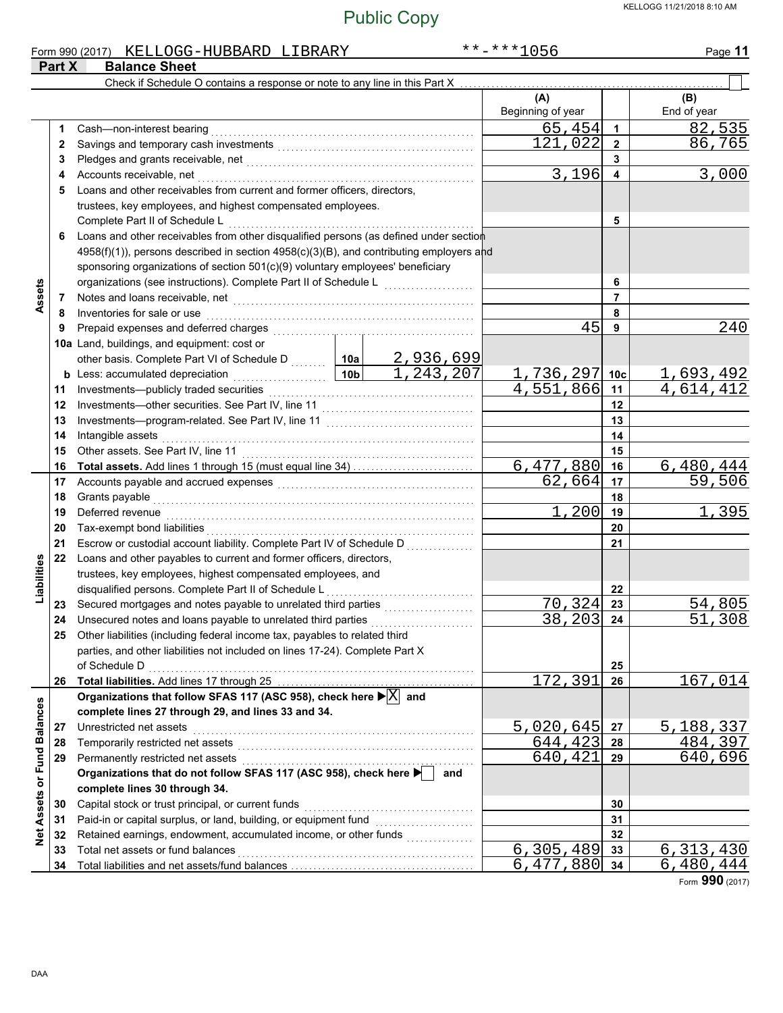|                             |        | Form 990 (2017) KELLOGG-HUBBARD LIBRARY                                                                                                                    |         |                                                 | **-***1056                           |                | Page 11                |  |
|-----------------------------|--------|------------------------------------------------------------------------------------------------------------------------------------------------------------|---------|-------------------------------------------------|--------------------------------------|----------------|------------------------|--|
|                             | Part X | <b>Balance Sheet</b>                                                                                                                                       |         |                                                 |                                      |                |                        |  |
|                             |        | Check if Schedule O contains a response or note to any line in this Part X                                                                                 |         |                                                 |                                      |                |                        |  |
|                             |        |                                                                                                                                                            |         |                                                 | (A)<br>Beginning of year             |                | (B)<br>End of year     |  |
|                             | 1      | Cash-non-interest bearing                                                                                                                                  |         |                                                 | 65,454                               | $\mathbf{1}$   | <u>82,535</u>          |  |
|                             | 2      |                                                                                                                                                            | 121,022 | $\overline{2}$                                  | 86,765                               |                |                        |  |
|                             | 3      |                                                                                                                                                            |         | 3                                               |                                      |                |                        |  |
|                             | 4      | Accounts receivable, net                                                                                                                                   | 3,196   | 4                                               | 3,000                                |                |                        |  |
|                             | 5      | Loans and other receivables from current and former officers, directors,                                                                                   |         |                                                 |                                      |                |                        |  |
|                             |        | trustees, key employees, and highest compensated employees.                                                                                                |         |                                                 |                                      |                |                        |  |
|                             |        | Complete Part II of Schedule L                                                                                                                             |         |                                                 |                                      | 5              |                        |  |
|                             | 6      | Loans and other receivables from other disqualified persons (as defined under section                                                                      |         |                                                 |                                      |                |                        |  |
|                             |        | 4958(f)(1)), persons described in section 4958(c)(3)(B), and contributing employers and                                                                    |         |                                                 |                                      |                |                        |  |
|                             |        | sponsoring organizations of section 501(c)(9) voluntary employees' beneficiary                                                                             |         |                                                 |                                      |                |                        |  |
|                             |        | organizations (see instructions). Complete Part II of Schedule L                                                                                           |         | <u> 1986 - Andre Steinberg, Amerikaansk kan</u> |                                      | 6              |                        |  |
| Assets                      | 7      |                                                                                                                                                            |         |                                                 |                                      | $\overline{7}$ |                        |  |
|                             | 8      | Inventories for sale or use                                                                                                                                |         |                                                 |                                      | 8              |                        |  |
|                             | 9      |                                                                                                                                                            |         |                                                 | 45                                   | 9              | 240                    |  |
|                             |        | 10a Land, buildings, and equipment: cost or                                                                                                                |         |                                                 |                                      |                |                        |  |
|                             |        | other basis. Complete Part VI of Schedule D  10a                                                                                                           |         |                                                 |                                      |                |                        |  |
|                             |        | $\frac{1}{10b}$<br><b>b</b> Less: accumulated depreciation                                                                                                 |         | <u>2,936,699</u><br>1,243,207                   |                                      |                | <u>1,693,492</u>       |  |
|                             | 11     | Investments-publicly traded securities                                                                                                                     |         |                                                 | <u>1,736,297 10c</u><br>4,551,866 11 |                | $\overline{4,614,412}$ |  |
|                             | 12     |                                                                                                                                                            |         |                                                 |                                      |                |                        |  |
|                             | 13     |                                                                                                                                                            |         | 13                                              |                                      |                |                        |  |
|                             | 14     | Intangible assets                                                                                                                                          |         | 14                                              |                                      |                |                        |  |
|                             | 15     | Other assets. See Part IV, line 11                                                                                                                         |         |                                                 |                                      | 15             |                        |  |
|                             | 16     |                                                                                                                                                            |         |                                                 | 6,477,880                            | 16             | 6,480,444              |  |
|                             | 17     |                                                                                                                                                            |         |                                                 | $\overline{62}$ , 664                | 17             | 59,506                 |  |
|                             | 18     | Grants payable                                                                                                                                             |         |                                                 |                                      | 18             |                        |  |
|                             | 19     | Deferred revenue                                                                                                                                           |         |                                                 | 1,200                                | 19             | 1,395                  |  |
|                             | 20     | Tax-exempt bond liabilities                                                                                                                                |         |                                                 |                                      | 20             |                        |  |
|                             | 21     | Escrow or custodial account liability. Complete Part IV of Schedule D                                                                                      |         |                                                 |                                      | 21             |                        |  |
| Liabilities                 | 22     | Loans and other payables to current and former officers, directors,                                                                                        |         |                                                 |                                      |                |                        |  |
|                             |        | trustees, key employees, highest compensated employees, and                                                                                                |         |                                                 |                                      |                |                        |  |
|                             |        | disqualified persons. Complete Part II of Schedule L                                                                                                       |         |                                                 |                                      | 22             |                        |  |
|                             |        | 23 Secured mortgages and notes payable to unrelated third parties [[[[[[[[[[[[[[[[[[[[[[[[[[[[[[[[[[                                                       |         |                                                 | 70,324                               | 23             | 54,805                 |  |
|                             | 24     | Unsecured notes and loans payable to unrelated third parties                                                                                               |         |                                                 | $\overline{38,203}$ 24               |                | 51,308                 |  |
|                             | 25     | Other liabilities (including federal income tax, payables to related third<br>parties, and other liabilities not included on lines 17-24). Complete Part X |         |                                                 |                                      |                |                        |  |
|                             |        | of Schedule D                                                                                                                                              |         |                                                 |                                      | 25             |                        |  |
|                             | 26     |                                                                                                                                                            |         |                                                 | 172,391                              | 26             | 167,014                |  |
|                             |        | Organizations that follow SFAS 117 (ASC 958), check here $\blacktriangleright \boxed{\text{X}}$ and                                                        |         |                                                 |                                      |                |                        |  |
|                             |        | complete lines 27 through 29, and lines 33 and 34.                                                                                                         |         |                                                 |                                      |                |                        |  |
|                             | 27     | Unrestricted net assets                                                                                                                                    |         |                                                 | 5,020,645                            | 27             | 5,188,337              |  |
|                             | 28     | Temporarily restricted net assets                                                                                                                          | 644,423 | 28                                              | 484,397                              |                |                        |  |
|                             | 29     | Permanently restricted net assets                                                                                                                          |         |                                                 | 640,421                              | 29             | 640,696                |  |
|                             |        | Organizations that do not follow SFAS 117 (ASC 958), check here                                                                                            |         | and                                             |                                      |                |                        |  |
|                             |        | complete lines 30 through 34.                                                                                                                              |         |                                                 |                                      |                |                        |  |
|                             | 30     | Capital stock or trust principal, or current funds                                                                                                         |         |                                                 |                                      | 30             |                        |  |
|                             | 31     | Paid-in or capital surplus, or land, building, or equipment fund                                                                                           |         |                                                 |                                      | 31             |                        |  |
| Net Assets or Fund Balances | 32     | Retained earnings, endowment, accumulated income, or other funds                                                                                           |         |                                                 |                                      | 32             |                        |  |
|                             | 33     | Total net assets or fund balances                                                                                                                          |         |                                                 | 6, 305, 489                          | 33             | 6,313,430              |  |
|                             | 34     |                                                                                                                                                            |         |                                                 | 6, 477, 880                          | 34             | 6, 480, 444            |  |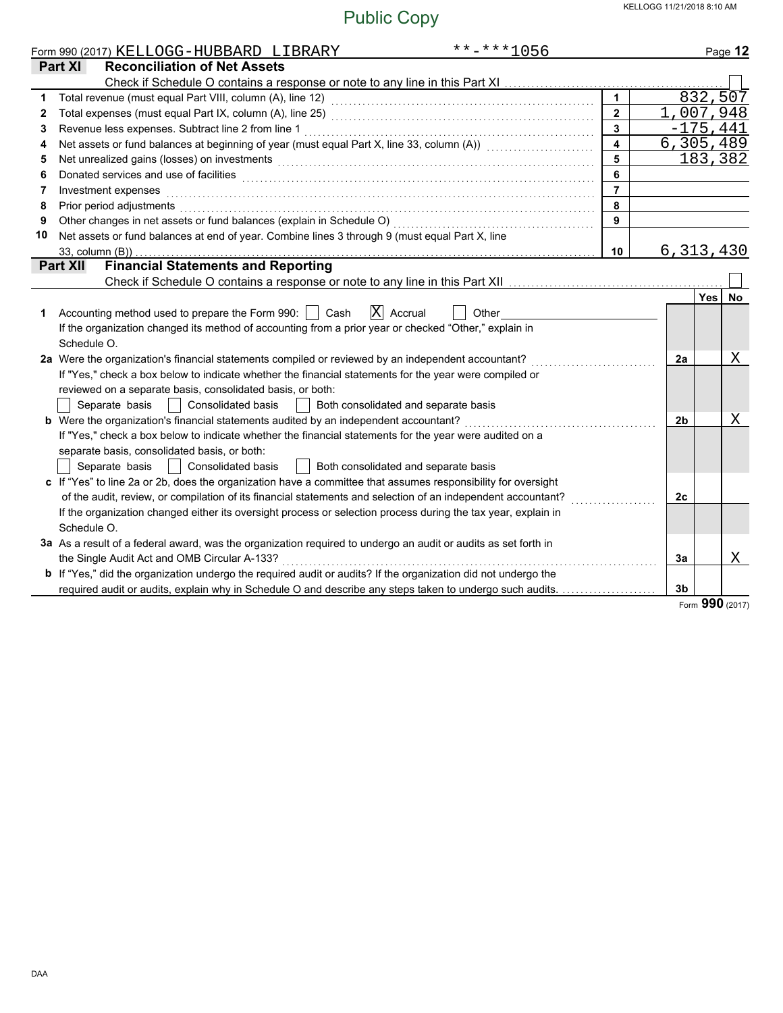|              | $******1056$<br>Form 990 (2017) KELLOGG-HUBBARD LIBRARY                                                                                                                                                                        |                         |    | Page 12            |
|--------------|--------------------------------------------------------------------------------------------------------------------------------------------------------------------------------------------------------------------------------|-------------------------|----|--------------------|
|              | <b>Reconciliation of Net Assets</b><br><b>Part XI</b>                                                                                                                                                                          |                         |    |                    |
|              |                                                                                                                                                                                                                                |                         |    |                    |
| 1            |                                                                                                                                                                                                                                |                         |    | 832,507            |
| $\mathbf{2}$ |                                                                                                                                                                                                                                | $\overline{2}$          |    | 1,007,948          |
| 3            | Revenue less expenses. Subtract line 2 from line 1                                                                                                                                                                             | 3                       |    | $-175,441$         |
| 4            | Net assets or fund balances at beginning of year (must equal Part X, line 33, column (A)) [[[[[[[[[[[[[[[[[[[                                                                                                                  | $\overline{\mathbf{4}}$ |    | 6,305,489          |
| 5            | Net unrealized gains (losses) on investments [11] with the content of the content of the content of the content of the content of the content of the content of the content of the content of the content of the content of th | 5                       |    | 183,382            |
| 6            | Donated services and use of facilities <b>constructs</b> and a service of the service of the services and use of facilities                                                                                                    | 6                       |    |                    |
| 7            | Investment expenses                                                                                                                                                                                                            | $\overline{7}$          |    |                    |
| 8            | Prior period adjustments                                                                                                                                                                                                       | 8                       |    |                    |
| 9            | Other changes in net assets or fund balances (explain in Schedule O)                                                                                                                                                           | 9                       |    |                    |
| 10           | Net assets or fund balances at end of year. Combine lines 3 through 9 (must equal Part X, line                                                                                                                                 |                         |    |                    |
|              | 33, column (B))                                                                                                                                                                                                                | 10                      |    | 6,313,430          |
|              | <b>Financial Statements and Reporting</b><br><b>Part XII</b>                                                                                                                                                                   |                         |    |                    |
|              | Check if Schedule O contains a response or note to any line in this Part XII                                                                                                                                                   |                         |    |                    |
|              |                                                                                                                                                                                                                                |                         |    | Yes I<br><b>No</b> |
| 1            | Accounting method used to prepare the Form 990:     Cash<br>$ X $ Accrual<br>Other                                                                                                                                             |                         |    |                    |
|              | If the organization changed its method of accounting from a prior year or checked "Other," explain in                                                                                                                          |                         |    |                    |
|              | Schedule O.                                                                                                                                                                                                                    |                         |    |                    |
|              | 2a Were the organization's financial statements compiled or reviewed by an independent accountant?                                                                                                                             |                         | 2a | Χ                  |
|              | If "Yes," check a box below to indicate whether the financial statements for the year were compiled or                                                                                                                         |                         |    |                    |
|              | reviewed on a separate basis, consolidated basis, or both:                                                                                                                                                                     |                         |    |                    |
|              | Separate basis<br>Consolidated basis<br>Both consolidated and separate basis                                                                                                                                                   |                         |    |                    |
|              | <b>b</b> Were the organization's financial statements audited by an independent accountant?                                                                                                                                    |                         | 2b | Χ                  |
|              | If "Yes," check a box below to indicate whether the financial statements for the year were audited on a                                                                                                                        |                         |    |                    |
|              | separate basis, consolidated basis, or both:                                                                                                                                                                                   |                         |    |                    |
|              | Separate basis<br>Consolidated basis<br>Both consolidated and separate basis                                                                                                                                                   |                         |    |                    |
|              | c If "Yes" to line 2a or 2b, does the organization have a committee that assumes responsibility for oversight                                                                                                                  |                         |    |                    |
|              | of the audit, review, or compilation of its financial statements and selection of an independent accountant?                                                                                                                   |                         | 2c |                    |
|              | If the organization changed either its oversight process or selection process during the tax year, explain in                                                                                                                  |                         |    |                    |
|              | Schedule O.                                                                                                                                                                                                                    |                         |    |                    |
|              | 3a As a result of a federal award, was the organization required to undergo an audit or audits as set forth in                                                                                                                 |                         |    |                    |
|              | the Single Audit Act and OMB Circular A-133?                                                                                                                                                                                   |                         | 3a | Χ                  |
|              | b If "Yes," did the organization undergo the required audit or audits? If the organization did not undergo the                                                                                                                 |                         |    |                    |
|              | required audit or audits, explain why in Schedule O and describe any steps taken to undergo such audits.                                                                                                                       |                         | 3b |                    |
|              |                                                                                                                                                                                                                                |                         |    | Form 990 (2017)    |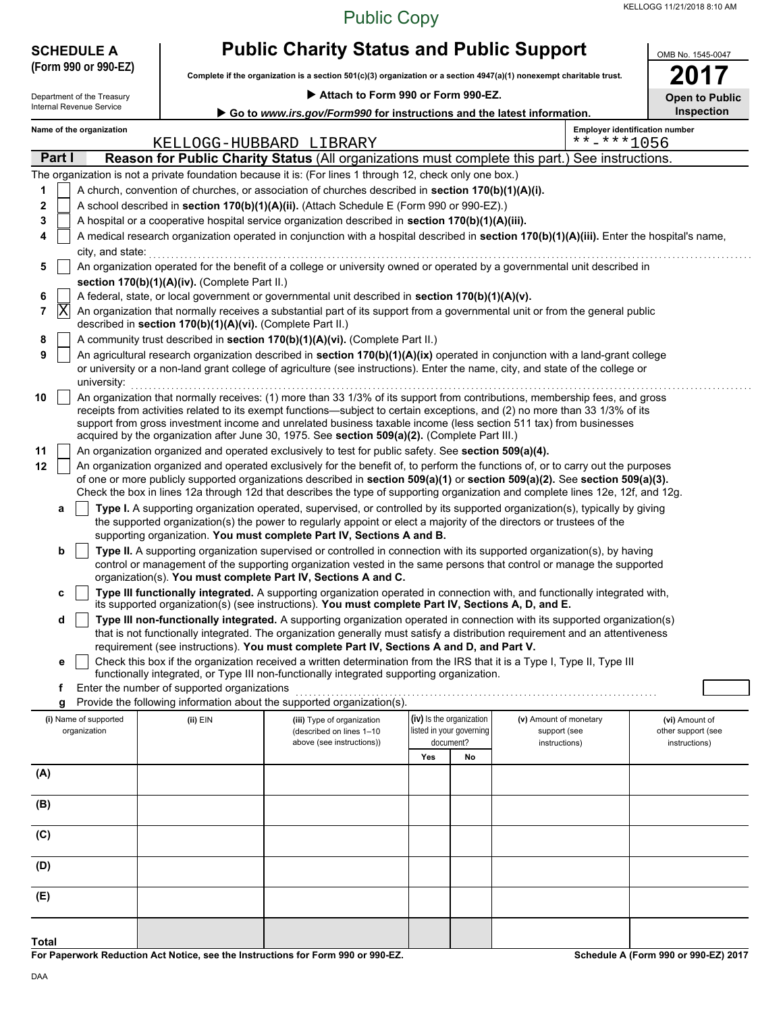#### Public Copy

| <b>SCHEDULE A</b>          |                                                            | <b>Public Charity Status and Public Support</b>                                                                                                                                                                                                                                                                                                                                                                                                                                  |                                       |                               |                                                         |                                     |  |  |  |  |
|----------------------------|------------------------------------------------------------|----------------------------------------------------------------------------------------------------------------------------------------------------------------------------------------------------------------------------------------------------------------------------------------------------------------------------------------------------------------------------------------------------------------------------------------------------------------------------------|---------------------------------------|-------------------------------|---------------------------------------------------------|-------------------------------------|--|--|--|--|
| (Form 990 or 990-EZ)       |                                                            | Complete if the organization is a section 501(c)(3) organization or a section 4947(a)(1) nonexempt charitable trust.                                                                                                                                                                                                                                                                                                                                                             |                                       |                               |                                                         |                                     |  |  |  |  |
| Department of the Treasury |                                                            | Attach to Form 990 or Form 990-EZ.                                                                                                                                                                                                                                                                                                                                                                                                                                               |                                       |                               |                                                         | <b>Open to Public</b>               |  |  |  |  |
| Internal Revenue Service   |                                                            | Go to www.irs.gov/Form990 for instructions and the latest information.                                                                                                                                                                                                                                                                                                                                                                                                           |                                       |                               |                                                         | <b>Inspection</b>                   |  |  |  |  |
| Name of the organization   |                                                            | KELLOGG-HUBBARD LIBRARY                                                                                                                                                                                                                                                                                                                                                                                                                                                          |                                       |                               | <b>Employer identification number</b><br>$***$ -***1056 |                                     |  |  |  |  |
| Part I                     |                                                            | Reason for Public Charity Status (All organizations must complete this part.) See instructions.                                                                                                                                                                                                                                                                                                                                                                                  |                                       |                               |                                                         |                                     |  |  |  |  |
|                            |                                                            | The organization is not a private foundation because it is: (For lines 1 through 12, check only one box.)                                                                                                                                                                                                                                                                                                                                                                        |                                       |                               |                                                         |                                     |  |  |  |  |
| 1                          |                                                            | A church, convention of churches, or association of churches described in section 170(b)(1)(A)(i).                                                                                                                                                                                                                                                                                                                                                                               |                                       |                               |                                                         |                                     |  |  |  |  |
| 2<br>3                     |                                                            | A school described in section 170(b)(1)(A)(ii). (Attach Schedule E (Form 990 or 990-EZ).)<br>A hospital or a cooperative hospital service organization described in section 170(b)(1)(A)(iii).                                                                                                                                                                                                                                                                                   |                                       |                               |                                                         |                                     |  |  |  |  |
| 4                          |                                                            | A medical research organization operated in conjunction with a hospital described in section 170(b)(1)(A)(iii). Enter the hospital's name,                                                                                                                                                                                                                                                                                                                                       |                                       |                               |                                                         |                                     |  |  |  |  |
| city, and state:           |                                                            |                                                                                                                                                                                                                                                                                                                                                                                                                                                                                  |                                       |                               |                                                         |                                     |  |  |  |  |
| 5                          |                                                            | An organization operated for the benefit of a college or university owned or operated by a governmental unit described in                                                                                                                                                                                                                                                                                                                                                        |                                       |                               |                                                         |                                     |  |  |  |  |
|                            | section 170(b)(1)(A)(iv). (Complete Part II.)              |                                                                                                                                                                                                                                                                                                                                                                                                                                                                                  |                                       |                               |                                                         |                                     |  |  |  |  |
| 6<br>$ {\rm X} $<br>7      |                                                            | A federal, state, or local government or governmental unit described in section 170(b)(1)(A)(v).<br>An organization that normally receives a substantial part of its support from a governmental unit or from the general public                                                                                                                                                                                                                                                 |                                       |                               |                                                         |                                     |  |  |  |  |
| 8                          | described in section 170(b)(1)(A)(vi). (Complete Part II.) | A community trust described in section 170(b)(1)(A)(vi). (Complete Part II.)                                                                                                                                                                                                                                                                                                                                                                                                     |                                       |                               |                                                         |                                     |  |  |  |  |
| 9                          |                                                            | An agricultural research organization described in section 170(b)(1)(A)(ix) operated in conjunction with a land-grant college<br>or university or a non-land grant college of agriculture (see instructions). Enter the name, city, and state of the college or                                                                                                                                                                                                                  |                                       |                               |                                                         |                                     |  |  |  |  |
| university:                |                                                            |                                                                                                                                                                                                                                                                                                                                                                                                                                                                                  |                                       |                               |                                                         |                                     |  |  |  |  |
| 10                         |                                                            | An organization that normally receives: (1) more than 33 1/3% of its support from contributions, membership fees, and gross<br>receipts from activities related to its exempt functions—subject to certain exceptions, and (2) no more than 33 1/3% of its<br>support from gross investment income and unrelated business taxable income (less section 511 tax) from businesses<br>acquired by the organization after June 30, 1975. See section 509(a)(2). (Complete Part III.) |                                       |                               |                                                         |                                     |  |  |  |  |
| 11                         |                                                            | An organization organized and operated exclusively to test for public safety. See section 509(a)(4).                                                                                                                                                                                                                                                                                                                                                                             |                                       |                               |                                                         |                                     |  |  |  |  |
| 12                         |                                                            | An organization organized and operated exclusively for the benefit of, to perform the functions of, or to carry out the purposes                                                                                                                                                                                                                                                                                                                                                 |                                       |                               |                                                         |                                     |  |  |  |  |
|                            |                                                            | of one or more publicly supported organizations described in section 509(a)(1) or section 509(a)(2). See section 509(a)(3).<br>Check the box in lines 12a through 12d that describes the type of supporting organization and complete lines 12e, 12f, and 12g.                                                                                                                                                                                                                   |                                       |                               |                                                         |                                     |  |  |  |  |
| a                          |                                                            | Type I. A supporting organization operated, supervised, or controlled by its supported organization(s), typically by giving<br>the supported organization(s) the power to regularly appoint or elect a majority of the directors or trustees of the<br>supporting organization. You must complete Part IV, Sections A and B.                                                                                                                                                     |                                       |                               |                                                         |                                     |  |  |  |  |
| b                          |                                                            | Type II. A supporting organization supervised or controlled in connection with its supported organization(s), by having                                                                                                                                                                                                                                                                                                                                                          |                                       |                               |                                                         |                                     |  |  |  |  |
|                            |                                                            | control or management of the supporting organization vested in the same persons that control or manage the supported<br>organization(s). You must complete Part IV, Sections A and C.                                                                                                                                                                                                                                                                                            |                                       |                               |                                                         |                                     |  |  |  |  |
| c                          |                                                            | Type III functionally integrated. A supporting organization operated in connection with, and functionally integrated with,<br>its supported organization(s) (see instructions). You must complete Part IV, Sections A, D, and E.                                                                                                                                                                                                                                                 |                                       |                               |                                                         |                                     |  |  |  |  |
| d                          |                                                            | Type III non-functionally integrated. A supporting organization operated in connection with its supported organization(s)<br>that is not functionally integrated. The organization generally must satisfy a distribution requirement and an attentiveness                                                                                                                                                                                                                        |                                       |                               |                                                         |                                     |  |  |  |  |
| е                          |                                                            | requirement (see instructions). You must complete Part IV, Sections A and D, and Part V.<br>Check this box if the organization received a written determination from the IRS that it is a Type I, Type II, Type III                                                                                                                                                                                                                                                              |                                       |                               |                                                         |                                     |  |  |  |  |
|                            |                                                            | functionally integrated, or Type III non-functionally integrated supporting organization.                                                                                                                                                                                                                                                                                                                                                                                        |                                       |                               |                                                         |                                     |  |  |  |  |
| f                          | Enter the number of supported organizations                | Provide the following information about the supported organization(s).                                                                                                                                                                                                                                                                                                                                                                                                           |                                       |                               |                                                         |                                     |  |  |  |  |
| g<br>(i) Name of supported | (ii) EIN                                                   | (iii) Type of organization                                                                                                                                                                                                                                                                                                                                                                                                                                                       | (iv) Is the organization              | (v) Amount of monetary        |                                                         | (vi) Amount of                      |  |  |  |  |
| organization               |                                                            | (described on lines 1-10<br>above (see instructions))                                                                                                                                                                                                                                                                                                                                                                                                                            | listed in your governing<br>document? | support (see<br>instructions) |                                                         | other support (see<br>instructions) |  |  |  |  |
|                            |                                                            |                                                                                                                                                                                                                                                                                                                                                                                                                                                                                  | Yes<br>No                             |                               |                                                         |                                     |  |  |  |  |
| (A)                        |                                                            |                                                                                                                                                                                                                                                                                                                                                                                                                                                                                  |                                       |                               |                                                         |                                     |  |  |  |  |
| (B)                        |                                                            |                                                                                                                                                                                                                                                                                                                                                                                                                                                                                  |                                       |                               |                                                         |                                     |  |  |  |  |
| (C)                        |                                                            |                                                                                                                                                                                                                                                                                                                                                                                                                                                                                  |                                       |                               |                                                         |                                     |  |  |  |  |
| (D)                        |                                                            |                                                                                                                                                                                                                                                                                                                                                                                                                                                                                  |                                       |                               |                                                         |                                     |  |  |  |  |
| (E)                        |                                                            |                                                                                                                                                                                                                                                                                                                                                                                                                                                                                  |                                       |                               |                                                         |                                     |  |  |  |  |
| <b>Total</b>               |                                                            |                                                                                                                                                                                                                                                                                                                                                                                                                                                                                  |                                       |                               |                                                         |                                     |  |  |  |  |
|                            |                                                            |                                                                                                                                                                                                                                                                                                                                                                                                                                                                                  |                                       |                               |                                                         |                                     |  |  |  |  |

**For Paperwork Reduction Act Notice, see the Instructions for Form 990 or 990-EZ.**

**Schedule A (Form 990 or 990-EZ) 2017**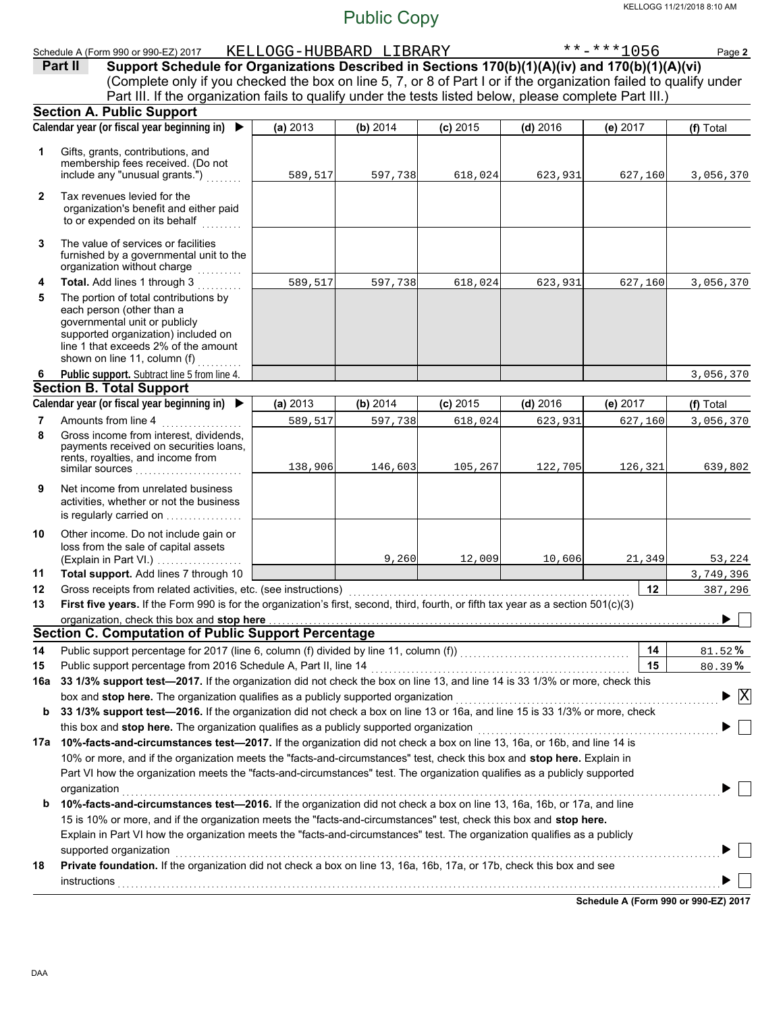(Explain in Part VI.) . . . . . . . . . . . . . . . . . . governmental unit or publicly **Section A. Public Support Total support.** Add lines 7 through 10 loss from the sale of capital assets Other income. Do not include gain or is regularly carried on . . . . . . . . . . . . . . . . activities, whether or not the business Net income from unrelated business rents, royalties, and income from payments received on securities loans, Gross income from interest, dividends, line 1 that exceeds 2% of the amount supported organization) included on each person (other than a The portion of total contributions by **Total.** Add lines 1 through 3 . . . . . . . . . The value of services or facilities to or expended on its behalf organization's benefit and either paid Tax revenues levied for the Gross receipts from related activities, etc. (see instructions) ........ Amounts from line 4 **Public support.** Subtract line 5 from line 4. include any "unusual grants.") membership fees received. (Do not Gifts, grants, contributions, and Schedule A (Form 990 or 990-EZ) 2017 KELLOGG-HUBBARD LIBRARY \*\*-\*\*\*1056 Page **2 (a)** 2013 **(b)** 2014 **(c)** 2015 **(d)** 2016 **(e)** 2017 (Complete only if you checked the box on line 5, 7, or 8 of Part I or if the organization failed to qualify under **Part II** Support Schedule for Organizations Described in Sections 170(b)(1)(A)(iv) and 170(b)(1)(A)(vi) **Calendar year (or fiscal year beginning in) (f)** Total furnished by a governmental unit to the organization without charge **Section B. Total Support** similar sources . . . . . . . . . . . . . . . . . . . . . . . . **12** Calendar year (or fiscal year beginning in)  $\blacktriangleright$  (a) 2013 (b) 2014 (c) 2015 (d) 2016 (e) 2017 (e) 2017 Part III. If the organization fails to qualify under the tests listed below, please complete Part III.) **(a)** 2013 shown on line 11, column  $(f)$  **(b)** 2014 **(c)** 2015 **(d)** 2016 **(e)** 2017 589,517 597,738 618,024 623,931 627,160 3,056,370 589,517 597,738 618,024 623,931 627,160 3,056,370 3,056,370 589,517 597,738 618,024 623,931 627,160 3,056,370 138,906 146,603 105,267 122,705 126,321 639,802 9,260 12,009 10,606 21,349 53,224 3,749,396 387,296 KELLOGG 11/21/2018 8:10 AM Public Copy

First five years. If the Form 990 is for the organization's first, second, third, fourth, or fifth tax year as a section 501(c)(3) **13** organization, check this box and stop here **Section C. Computation of Public Support Percentage**

| 14  | Public support percentage for 2017 (line 6, column (f) divided by line 11, column (f))<br>[[[[Column (f)]                      | 14 | $81.52\%$                          |  |  |  |  |  |
|-----|--------------------------------------------------------------------------------------------------------------------------------|----|------------------------------------|--|--|--|--|--|
| 15  | Public support percentage from 2016 Schedule A, Part II, line 14                                                               | 15 | $80.39\%$                          |  |  |  |  |  |
| 16a | 33 1/3% support test-2017. If the organization did not check the box on line 13, and line 14 is 33 1/3% or more, check this    |    |                                    |  |  |  |  |  |
|     | box and stop here. The organization qualifies as a publicly supported organization                                             |    | $\blacktriangleright \overline{X}$ |  |  |  |  |  |
| b   | 33 1/3% support test—2016. If the organization did not check a box on line 13 or 16a, and line 15 is 33 1/3% or more, check    |    |                                    |  |  |  |  |  |
|     | this box and <b>stop here.</b> The organization qualifies as a publicly supported organization                                 |    |                                    |  |  |  |  |  |
| 17a | 10%-facts-and-circumstances test-2017. If the organization did not check a box on line 13, 16a, or 16b, and line 14 is         |    |                                    |  |  |  |  |  |
|     | 10% or more, and if the organization meets the "facts-and-circumstances" test, check this box and <b>stop here.</b> Explain in |    |                                    |  |  |  |  |  |
|     | Part VI how the organization meets the "facts-and-circumstances" test. The organization qualifies as a publicly supported      |    |                                    |  |  |  |  |  |
|     | organization                                                                                                                   |    |                                    |  |  |  |  |  |
| b   | 10%-facts-and-circumstances test-2016. If the organization did not check a box on line 13, 16a, 16b, or 17a, and line          |    |                                    |  |  |  |  |  |
|     | 15 is 10% or more, and if the organization meets the "facts-and-circumstances" test, check this box and stop here.             |    |                                    |  |  |  |  |  |
|     | Explain in Part VI how the organization meets the "facts-and-circumstances" test. The organization qualifies as a publicly     |    |                                    |  |  |  |  |  |
|     | supported organization                                                                                                         |    |                                    |  |  |  |  |  |
| 18  | <b>Private foundation.</b> If the organization did not check a box on line 13, 16a, 16b, 17a, or 17b, check this box and see   |    |                                    |  |  |  |  |  |
|     | instructions                                                                                                                   |    |                                    |  |  |  |  |  |
|     |                                                                                                                                |    |                                    |  |  |  |  |  |

**Schedule A (Form 990 or 990-EZ) 2017**

▶

**12 11**

**9**

**10**

**8**

**7**

**6**

**4**

**5**

**3**

**2**

**1**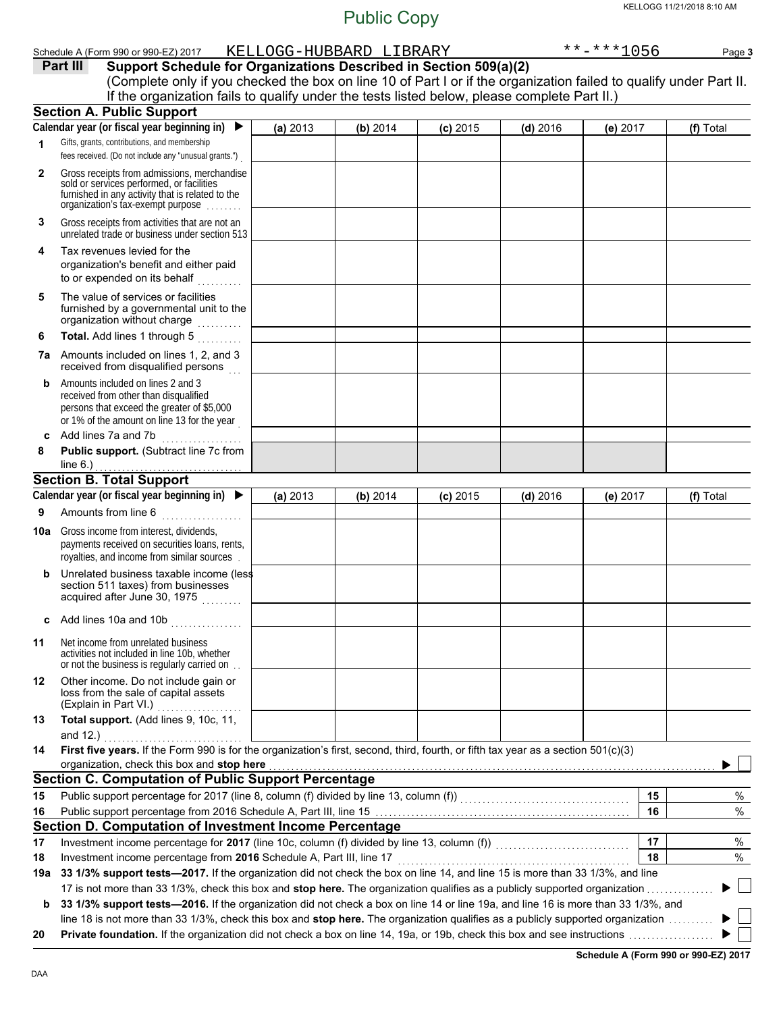|              | Schedule A (Form 990 or 990-EZ) 2017                                                                                                           |          | KELLOGG-HUBBARD LIBRARY |            |            | $******1056$ | Page 3    |
|--------------|------------------------------------------------------------------------------------------------------------------------------------------------|----------|-------------------------|------------|------------|--------------|-----------|
|              | Part III<br>Support Schedule for Organizations Described in Section 509(a)(2)                                                                  |          |                         |            |            |              |           |
|              | (Complete only if you checked the box on line 10 of Part I or if the organization failed to qualify under Part II.                             |          |                         |            |            |              |           |
|              | If the organization fails to qualify under the tests listed below, please complete Part II.)                                                   |          |                         |            |            |              |           |
|              | <b>Section A. Public Support</b>                                                                                                               |          |                         |            |            |              |           |
|              | Calendar year (or fiscal year beginning in)<br>$\blacktriangleright$                                                                           | (a) 2013 | (b) 2014                | $(c)$ 2015 | $(d)$ 2016 | (e) 2017     | (f) Total |
| 1            | Gifts, grants, contributions, and membership                                                                                                   |          |                         |            |            |              |           |
|              | fees received. (Do not include any "unusual grants.")                                                                                          |          |                         |            |            |              |           |
| $\mathbf{2}$ | Gross receipts from admissions, merchandise                                                                                                    |          |                         |            |            |              |           |
|              | sold or services performed, or facilities<br>furnished in any activity that is related to the                                                  |          |                         |            |            |              |           |
|              | organization's tax-exempt purpose                                                                                                              |          |                         |            |            |              |           |
| 3            | Gross receipts from activities that are not an                                                                                                 |          |                         |            |            |              |           |
|              | unrelated trade or business under section 513                                                                                                  |          |                         |            |            |              |           |
| 4            | Tax revenues levied for the                                                                                                                    |          |                         |            |            |              |           |
|              | organization's benefit and either paid                                                                                                         |          |                         |            |            |              |           |
|              | to or expended on its behalf                                                                                                                   |          |                         |            |            |              |           |
| 5            | The value of services or facilities                                                                                                            |          |                         |            |            |              |           |
|              | furnished by a governmental unit to the                                                                                                        |          |                         |            |            |              |           |
|              | organization without charge                                                                                                                    |          |                         |            |            |              |           |
| 6            | Total. Add lines 1 through 5                                                                                                                   |          |                         |            |            |              |           |
|              | 7a Amounts included on lines 1, 2, and 3<br>received from disqualified persons                                                                 |          |                         |            |            |              |           |
| b            | Amounts included on lines 2 and 3                                                                                                              |          |                         |            |            |              |           |
|              | received from other than disqualified                                                                                                          |          |                         |            |            |              |           |
|              | persons that exceed the greater of \$5,000<br>or 1% of the amount on line 13 for the year                                                      |          |                         |            |            |              |           |
| c            | Add lines 7a and 7b                                                                                                                            |          |                         |            |            |              |           |
| 8            | . <b>.</b> .<br>Public support. (Subtract line 7c from                                                                                         |          |                         |            |            |              |           |
|              | line $6.$ )                                                                                                                                    |          |                         |            |            |              |           |
|              | <b>Section B. Total Support</b>                                                                                                                |          |                         |            |            |              |           |
|              | Calendar year (or fiscal year beginning in) $\blacktriangleright$                                                                              | (a) 2013 | (b) 2014                | $(c)$ 2015 | $(d)$ 2016 | (e) 2017     | (f) Total |
| 9            | Amounts from line 6<br><u>.</u><br>1980 - Paul Barbara, president                                                                              |          |                         |            |            |              |           |
|              |                                                                                                                                                |          |                         |            |            |              |           |
| 10a          | Gross income from interest, dividends,<br>payments received on securities loans, rents,                                                        |          |                         |            |            |              |           |
|              | royalties, and income from similar sources                                                                                                     |          |                         |            |            |              |           |
| b            | Unrelated business taxable income (less                                                                                                        |          |                         |            |            |              |           |
|              | section 511 taxes) from businesses                                                                                                             |          |                         |            |            |              |           |
|              | acquired after June 30, 1975                                                                                                                   |          |                         |            |            |              |           |
|              | c Add lines 10a and 10b $\ldots$                                                                                                               |          |                         |            |            |              |           |
|              |                                                                                                                                                |          |                         |            |            |              |           |
| 11           | Net income from unrelated business<br>activities not included in line 10b, whether                                                             |          |                         |            |            |              |           |
|              | or not the business is regularly carried on.                                                                                                   |          |                         |            |            |              |           |
| 12           | Other income. Do not include gain or                                                                                                           |          |                         |            |            |              |           |
|              | loss from the sale of capital assets                                                                                                           |          |                         |            |            |              |           |
|              | (Explain in Part VI.)                                                                                                                          |          |                         |            |            |              |           |
| 13           | Total support. (Add lines 9, 10c, 11,                                                                                                          |          |                         |            |            |              |           |
|              | and 12.)<br>First five years. If the Form 990 is for the organization's first, second, third, fourth, or fifth tax year as a section 501(c)(3) |          |                         |            |            |              |           |
| 14           | organization, check this box and stop here                                                                                                     |          |                         |            |            |              |           |
|              | <b>Section C. Computation of Public Support Percentage</b>                                                                                     |          |                         |            |            |              |           |
| 15           |                                                                                                                                                |          |                         |            |            | 15           | $\%$      |
| 16           |                                                                                                                                                |          |                         |            |            | 16           | $\%$      |
|              | Section D. Computation of Investment Income Percentage                                                                                         |          |                         |            |            |              |           |
| 17           | Investment income percentage for 2017 (line 10c, column (f) divided by line 13, column (f)) [[[[[[[[[[[[[[[[[                                  |          |                         |            |            | 17           | $\%$      |
| 18           | Investment income percentage from 2016 Schedule A, Part III, line 17                                                                           |          |                         |            |            | 18           | %         |
|              | 19a 33 1/3% support tests-2017. If the organization did not check the box on line 14, and line 15 is more than 33 1/3%, and line               |          |                         |            |            |              |           |
|              | 17 is not more than 33 1/3%, check this box and stop here. The organization qualifies as a publicly supported organization                     |          |                         |            |            |              |           |
| b            | 33 1/3% support tests-2016. If the organization did not check a box on line 14 or line 19a, and line 16 is more than 33 1/3%, and              |          |                         |            |            |              |           |
|              | line 18 is not more than 33 1/3%, check this box and stop here. The organization qualifies as a publicly supported organization                |          |                         |            |            |              |           |
|              |                                                                                                                                                |          |                         |            |            |              |           |

**20 Private foundation.** If the organization did not check a box on line 14, 19a, or 19b, check this box and see instructions . . . . . . . . . . . . . . . . . . .

**Schedule A (Form 990 or 990-EZ) 2017**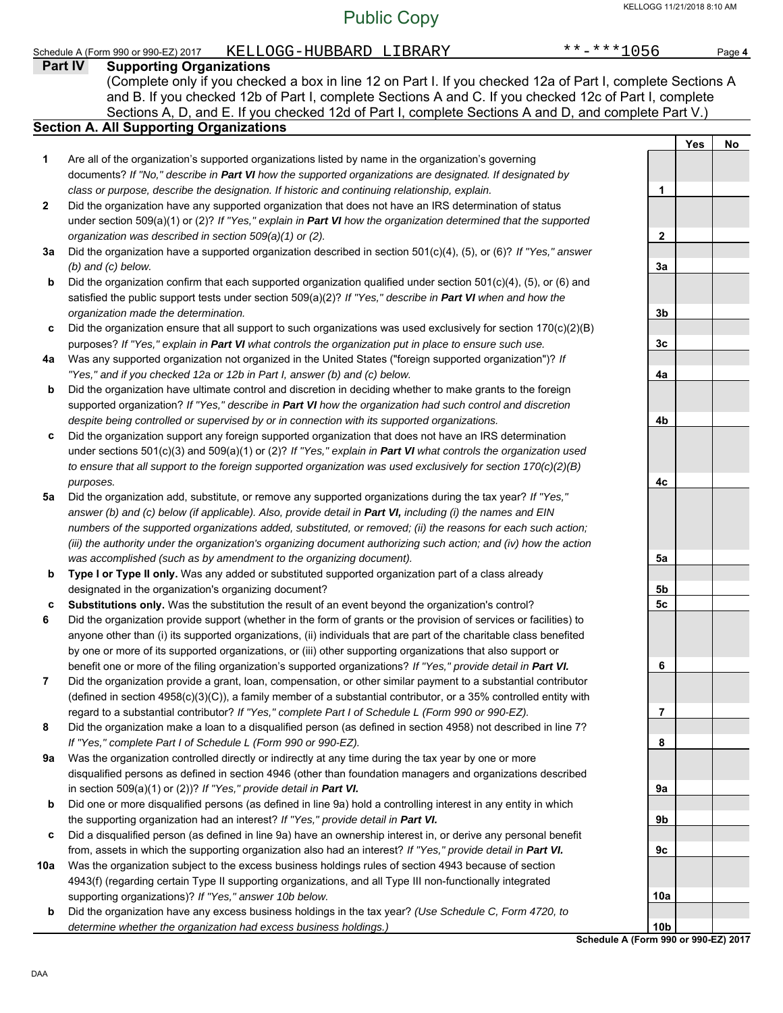#### Schedule A (Form 990 or 990-EZ) 2017 KELLOGG-HUBBARD LIBRARY \*\*-\*\*\*1056 Page 4

|     | <u>U wuxuu</u><br>----------<br>Part IV<br><b>Supporting Organizations</b>                                                                                          |                  |     |    |
|-----|---------------------------------------------------------------------------------------------------------------------------------------------------------------------|------------------|-----|----|
|     | (Complete only if you checked a box in line 12 on Part I. If you checked 12a of Part I, complete Sections A                                                         |                  |     |    |
|     | and B. If you checked 12b of Part I, complete Sections A and C. If you checked 12c of Part I, complete                                                              |                  |     |    |
|     | Sections A, D, and E. If you checked 12d of Part I, complete Sections A and D, and complete Part V.)                                                                |                  |     |    |
|     | <b>Section A. All Supporting Organizations</b>                                                                                                                      |                  |     |    |
|     |                                                                                                                                                                     |                  | Yes | No |
| 1   | Are all of the organization's supported organizations listed by name in the organization's governing                                                                |                  |     |    |
|     | documents? If "No," describe in Part VI how the supported organizations are designated. If designated by                                                            |                  |     |    |
|     | class or purpose, describe the designation. If historic and continuing relationship, explain.                                                                       | 1                |     |    |
| 2   | Did the organization have any supported organization that does not have an IRS determination of status                                                              |                  |     |    |
|     | under section 509(a)(1) or (2)? If "Yes," explain in Part VI how the organization determined that the supported                                                     |                  |     |    |
|     | organization was described in section 509(a)(1) or (2).                                                                                                             | $\boldsymbol{2}$ |     |    |
| За  | Did the organization have a supported organization described in section 501(c)(4), (5), or (6)? If "Yes," answer                                                    |                  |     |    |
|     | $(b)$ and $(c)$ below.                                                                                                                                              | 3a               |     |    |
| b   | Did the organization confirm that each supported organization qualified under section 501(c)(4), (5), or (6) and                                                    |                  |     |    |
|     | satisfied the public support tests under section $509(a)(2)$ ? If "Yes," describe in Part VI when and how the                                                       |                  |     |    |
|     | organization made the determination.                                                                                                                                | 3 <sub>b</sub>   |     |    |
| c   | Did the organization ensure that all support to such organizations was used exclusively for section $170(c)(2)(B)$                                                  |                  |     |    |
|     | purposes? If "Yes," explain in Part VI what controls the organization put in place to ensure such use.                                                              | 3c               |     |    |
| 4a  | Was any supported organization not organized in the United States ("foreign supported organization")? If                                                            |                  |     |    |
|     | "Yes," and if you checked 12a or 12b in Part I, answer (b) and (c) below.                                                                                           | 4a               |     |    |
| b   | Did the organization have ultimate control and discretion in deciding whether to make grants to the foreign                                                         |                  |     |    |
|     | supported organization? If "Yes," describe in Part VI how the organization had such control and discretion                                                          |                  |     |    |
|     | despite being controlled or supervised by or in connection with its supported organizations.                                                                        | 4b               |     |    |
| c   | Did the organization support any foreign supported organization that does not have an IRS determination                                                             |                  |     |    |
|     | under sections 501(c)(3) and 509(a)(1) or (2)? If "Yes," explain in Part VI what controls the organization used                                                     |                  |     |    |
|     | to ensure that all support to the foreign supported organization was used exclusively for section $170(c)(2)(B)$                                                    |                  |     |    |
|     | purposes.                                                                                                                                                           | 4с               |     |    |
| 5а  | Did the organization add, substitute, or remove any supported organizations during the tax year? If "Yes,"                                                          |                  |     |    |
|     | answer (b) and (c) below (if applicable). Also, provide detail in Part VI, including (i) the names and EIN                                                          |                  |     |    |
|     | numbers of the supported organizations added, substituted, or removed; (ii) the reasons for each such action;                                                       |                  |     |    |
|     | (iii) the authority under the organization's organizing document authorizing such action; and (iv) how the action                                                   |                  |     |    |
|     | was accomplished (such as by amendment to the organizing document).                                                                                                 | 5a               |     |    |
| b   | Type I or Type II only. Was any added or substituted supported organization part of a class already                                                                 |                  |     |    |
|     | designated in the organization's organizing document?                                                                                                               | 5b               |     |    |
| c   | Substitutions only. Was the substitution the result of an event beyond the organization's control?                                                                  | 5c               |     |    |
| 6   | Did the organization provide support (whether in the form of grants or the provision of services or facilities) to                                                  |                  |     |    |
|     | anyone other than (i) its supported organizations, (ii) individuals that are part of the charitable class benefited                                                 |                  |     |    |
|     | by one or more of its supported organizations, or (iii) other supporting organizations that also support or                                                         |                  |     |    |
|     | benefit one or more of the filing organization's supported organizations? If "Yes," provide detail in Part VI.                                                      | 6                |     |    |
| 7   | Did the organization provide a grant, loan, compensation, or other similar payment to a substantial contributor                                                     |                  |     |    |
|     | (defined in section 4958(c)(3)(C)), a family member of a substantial contributor, or a 35% controlled entity with                                                   |                  |     |    |
|     | regard to a substantial contributor? If "Yes," complete Part I of Schedule L (Form 990 or 990-EZ).                                                                  | 7                |     |    |
| 8   | Did the organization make a loan to a disqualified person (as defined in section 4958) not described in line 7?                                                     |                  |     |    |
|     | If "Yes," complete Part I of Schedule L (Form 990 or 990-EZ).                                                                                                       | 8                |     |    |
| 9а  | Was the organization controlled directly or indirectly at any time during the tax year by one or more                                                               |                  |     |    |
|     | disqualified persons as defined in section 4946 (other than foundation managers and organizations described                                                         |                  |     |    |
|     | in section 509(a)(1) or (2))? If "Yes," provide detail in Part VI.                                                                                                  | 9a               |     |    |
| b   | Did one or more disqualified persons (as defined in line 9a) hold a controlling interest in any entity in which                                                     |                  |     |    |
|     | the supporting organization had an interest? If "Yes," provide detail in Part VI.                                                                                   | 9b               |     |    |
| c   | Did a disqualified person (as defined in line 9a) have an ownership interest in, or derive any personal benefit                                                     |                  |     |    |
|     | from, assets in which the supporting organization also had an interest? If "Yes," provide detail in Part VI.                                                        | 9c               |     |    |
| 10a | Was the organization subject to the excess business holdings rules of section 4943 because of section                                                               |                  |     |    |
|     | 4943(f) (regarding certain Type II supporting organizations, and all Type III non-functionally integrated<br>supporting organizations)? If "Yes," answer 10b below. | 10a              |     |    |
|     | Did the organization have any excess business holdings in the tax year? (Use Schedule C, Form 4720, to                                                              |                  |     |    |

**b** Did the organization have any excess business holdings in the tax year? *(Use Schedule C, Form 4720, to determine whether the organization had excess business holdings.)*

**Schedule A (Form 990 or 990-EZ) 2017 10b**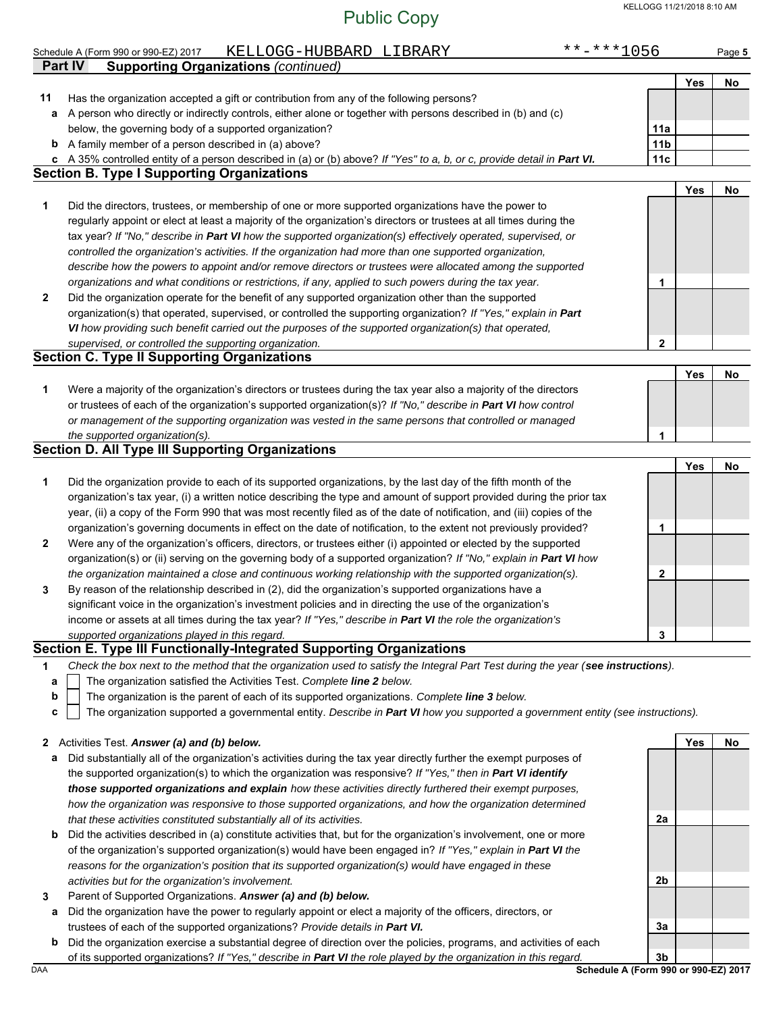|    | KELLOGG-HUBBARD LIBRARY<br>Schedule A (Form 990 or 990-EZ) 2017                                                                                                                               | $******1056$    |            | Page 5 |
|----|-----------------------------------------------------------------------------------------------------------------------------------------------------------------------------------------------|-----------------|------------|--------|
|    | <b>Part IV</b><br><b>Supporting Organizations (continued)</b>                                                                                                                                 |                 |            |        |
|    |                                                                                                                                                                                               |                 | <b>Yes</b> | No     |
| 11 | Has the organization accepted a gift or contribution from any of the following persons?                                                                                                       |                 |            |        |
| a  | A person who directly or indirectly controls, either alone or together with persons described in (b) and (c)                                                                                  |                 |            |        |
|    | below, the governing body of a supported organization?                                                                                                                                        | 11a             |            |        |
|    | <b>b</b> A family member of a person described in (a) above?                                                                                                                                  | 11 <sub>b</sub> |            |        |
|    | c A 35% controlled entity of a person described in (a) or (b) above? If "Yes" to a, b, or c, provide detail in Part VI.                                                                       | 11c             |            |        |
|    | <b>Section B. Type I Supporting Organizations</b>                                                                                                                                             |                 |            |        |
|    |                                                                                                                                                                                               |                 | <b>Yes</b> | No     |
| 1  | Did the directors, trustees, or membership of one or more supported organizations have the power to                                                                                           |                 |            |        |
|    | regularly appoint or elect at least a majority of the organization's directors or trustees at all times during the                                                                            |                 |            |        |
|    | tax year? If "No," describe in Part VI how the supported organization(s) effectively operated, supervised, or                                                                                 |                 |            |        |
|    | controlled the organization's activities. If the organization had more than one supported organization,                                                                                       |                 |            |        |
|    | describe how the powers to appoint and/or remove directors or trustees were allocated among the supported                                                                                     |                 |            |        |
|    | organizations and what conditions or restrictions, if any, applied to such powers during the tax year.                                                                                        | 1               |            |        |
| 2  | Did the organization operate for the benefit of any supported organization other than the supported                                                                                           |                 |            |        |
|    | organization(s) that operated, supervised, or controlled the supporting organization? If "Yes," explain in Part                                                                               |                 |            |        |
|    | VI how providing such benefit carried out the purposes of the supported organization(s) that operated,                                                                                        |                 |            |        |
|    | supervised, or controlled the supporting organization.                                                                                                                                        | 2               |            |        |
|    | <b>Section C. Type II Supporting Organizations</b>                                                                                                                                            |                 |            |        |
|    |                                                                                                                                                                                               |                 | Yes        | No     |
| 1  | Were a majority of the organization's directors or trustees during the tax year also a majority of the directors                                                                              |                 |            |        |
|    | or trustees of each of the organization's supported organization(s)? If "No," describe in Part VI how control                                                                                 |                 |            |        |
|    | or management of the supporting organization was vested in the same persons that controlled or managed                                                                                        |                 |            |        |
|    | the supported organization(s).                                                                                                                                                                | 1               |            |        |
|    | <b>Section D. All Type III Supporting Organizations</b>                                                                                                                                       |                 |            |        |
|    |                                                                                                                                                                                               |                 | Yes        | No     |
| 1  | Did the organization provide to each of its supported organizations, by the last day of the fifth month of the                                                                                |                 |            |        |
|    | organization's tax year, (i) a written notice describing the type and amount of support provided during the prior tax                                                                         |                 |            |        |
|    | year, (ii) a copy of the Form 990 that was most recently filed as of the date of notification, and (iii) copies of the                                                                        |                 |            |        |
|    | organization's governing documents in effect on the date of notification, to the extent not previously provided?                                                                              | 1               |            |        |
| 2  | Were any of the organization's officers, directors, or trustees either (i) appointed or elected by the supported                                                                              |                 |            |        |
|    | organization(s) or (ii) serving on the governing body of a supported organization? If "No," explain in Part VI how                                                                            |                 |            |        |
|    | the organization maintained a close and continuous working relationship with the supported organization(s).                                                                                   | $\mathbf{2}$    |            |        |
| 3  | By reason of the relationship described in (2), did the organization's supported organizations have a                                                                                         |                 |            |        |
|    | significant voice in the organization's investment policies and in directing the use of the organization's                                                                                    |                 |            |        |
|    | income or assets at all times during the tax year? If "Yes," describe in Part VI the role the organization's                                                                                  |                 |            |        |
|    | supported organizations played in this regard.                                                                                                                                                | 3               |            |        |
|    | Section E. Type III Functionally-Integrated Supporting Organizations                                                                                                                          |                 |            |        |
| 1  | Check the box next to the method that the organization used to satisfy the Integral Part Test during the year (see instructions).                                                             |                 |            |        |
| а  | The organization satisfied the Activities Test. Complete line 2 below.                                                                                                                        |                 |            |        |
| b  | The organization is the parent of each of its supported organizations. Complete line 3 below.                                                                                                 |                 |            |        |
| c  | The organization supported a governmental entity. Describe in Part VI how you supported a government entity (see instructions).                                                               |                 |            |        |
|    |                                                                                                                                                                                               |                 |            |        |
| 2  | Activities Test. Answer (a) and (b) below.                                                                                                                                                    |                 | Yes        | No     |
| а  | Did substantially all of the organization's activities during the tax year directly further the exempt purposes of                                                                            |                 |            |        |
|    | the supported organization(s) to which the organization was responsive? If "Yes," then in Part VI identify                                                                                    |                 |            |        |
|    | those supported organizations and explain how these activities directly furthered their exempt purposes,                                                                                      |                 |            |        |
|    | how the organization was responsive to those supported organizations, and how the organization determined                                                                                     |                 |            |        |
|    | that these activities constituted substantially all of its activities.<br>h Did the activities described in (a) constitute activities that but for the organization's involvement one or more | 2a              |            |        |
|    |                                                                                                                                                                                               |                 |            |        |

- **b** cribed in (a) constitute activities that, but for the organization's involvement, one or more of the organization's supported organization(s) would have been engaged in? *If "Yes," explain in Part VI the reasons for the organization's position that its supported organization(s) would have engaged in these activities but for the organization's involvement.*
- **3** Parent of Supported Organizations. *Answer (a) and (b) below.*
- **a** Did the organization have the power to regularly appoint or elect a majority of the officers, directors, or trustees of each of the supported organizations? *Provide details in Part VI.*
- **b** Did the organization exercise a substantial degree of direction over the policies, programs, and activities of each of its supported organizations? *If "Yes," describe in Part VI the role played by the organization in this regard.*

DAA **Schedule A (Form 990 or 990-EZ) 2017 3b**

**3a**

**2b**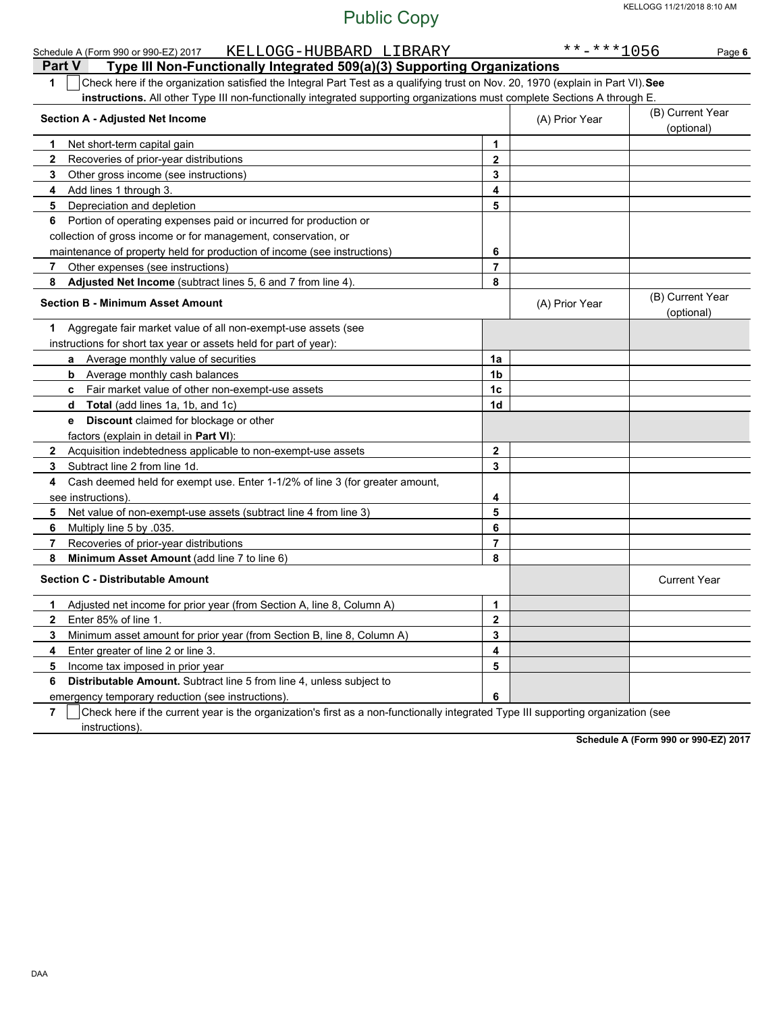| KELLOGG-HUBBARD LIBRARY<br>Schedule A (Form 990 or 990-EZ) 2017                                                                                     |                  | $******1056$   | Page 6                         |
|-----------------------------------------------------------------------------------------------------------------------------------------------------|------------------|----------------|--------------------------------|
| <b>Part V</b><br>Type III Non-Functionally Integrated 509(a)(3) Supporting Organizations                                                            |                  |                |                                |
| Check here if the organization satisfied the Integral Part Test as a qualifying trust on Nov. 20, 1970 (explain in Part VI). See<br>1               |                  |                |                                |
| instructions. All other Type III non-functionally integrated supporting organizations must complete Sections A through E.                           |                  |                |                                |
| <b>Section A - Adjusted Net Income</b>                                                                                                              |                  | (A) Prior Year | (B) Current Year<br>(optional) |
| Net short-term capital gain<br>1                                                                                                                    | $\mathbf 1$      |                |                                |
| $\mathbf{2}$<br>Recoveries of prior-year distributions                                                                                              | $\mathbf 2$      |                |                                |
| 3<br>Other gross income (see instructions)                                                                                                          | 3                |                |                                |
| Add lines 1 through 3.<br>4                                                                                                                         | 4                |                |                                |
| 5<br>Depreciation and depletion                                                                                                                     | 5                |                |                                |
| Portion of operating expenses paid or incurred for production or<br>6                                                                               |                  |                |                                |
| collection of gross income or for management, conservation, or                                                                                      |                  |                |                                |
| maintenance of property held for production of income (see instructions)                                                                            | 6                |                |                                |
| Other expenses (see instructions)<br>$\mathbf{7}$                                                                                                   | $\overline{7}$   |                |                                |
| Adjusted Net Income (subtract lines 5, 6 and 7 from line 4).<br>8                                                                                   | 8                |                |                                |
| <b>Section B - Minimum Asset Amount</b>                                                                                                             |                  | (A) Prior Year | (B) Current Year<br>(optional) |
| Aggregate fair market value of all non-exempt-use assets (see<br>1.                                                                                 |                  |                |                                |
| instructions for short tax year or assets held for part of year):                                                                                   |                  |                |                                |
| a Average monthly value of securities                                                                                                               | 1a               |                |                                |
| <b>b</b> Average monthly cash balances                                                                                                              | 1b               |                |                                |
| c Fair market value of other non-exempt-use assets                                                                                                  | 1c               |                |                                |
| Total (add lines 1a, 1b, and 1c)<br>d                                                                                                               | 1 <sub>d</sub>   |                |                                |
| Discount claimed for blockage or other<br>e                                                                                                         |                  |                |                                |
| factors (explain in detail in Part VI):                                                                                                             |                  |                |                                |
| Acquisition indebtedness applicable to non-exempt-use assets<br>$\mathbf{2}$                                                                        | $\boldsymbol{2}$ |                |                                |
| Subtract line 2 from line 1d.<br>3                                                                                                                  | 3                |                |                                |
| Cash deemed held for exempt use. Enter 1-1/2% of line 3 (for greater amount,<br>4                                                                   |                  |                |                                |
| see instructions)                                                                                                                                   | 4                |                |                                |
| Net value of non-exempt-use assets (subtract line 4 from line 3)<br>5                                                                               | 5                |                |                                |
| Multiply line 5 by 035.<br>6.                                                                                                                       | 6                |                |                                |
| Recoveries of prior-year distributions<br>7                                                                                                         | $\overline{7}$   |                |                                |
| Minimum Asset Amount (add line 7 to line 6)<br>8                                                                                                    | 8                |                |                                |
| <b>Section C - Distributable Amount</b>                                                                                                             |                  |                | <b>Current Year</b>            |
| Adjusted net income for prior year (from Section A, line 8, Column A)<br>1                                                                          | 1                |                |                                |
| Enter 85% of line 1<br>$\mathbf{2}$                                                                                                                 | 2                |                |                                |
| Minimum asset amount for prior year (from Section B, line 8, Column A)<br>3                                                                         | 3                |                |                                |
| Enter greater of line 2 or line 3.<br>4                                                                                                             | 4                |                |                                |
| 5<br>Income tax imposed in prior year                                                                                                               | 5                |                |                                |
| Distributable Amount. Subtract line 5 from line 4, unless subject to<br>6                                                                           |                  |                |                                |
| emergency temporary reduction (see instructions)                                                                                                    | 6                |                |                                |
| Check here if the current year is the organization's first as a non-functionally integrated Tyne III supporting organization (see<br>$\overline{ }$ |                  |                |                                |

**7** Check here if the current year is the organization's first as a non-functionally integrated Type III supporting organization (see instructions).

**Schedule A (Form 990 or 990-EZ) 2017**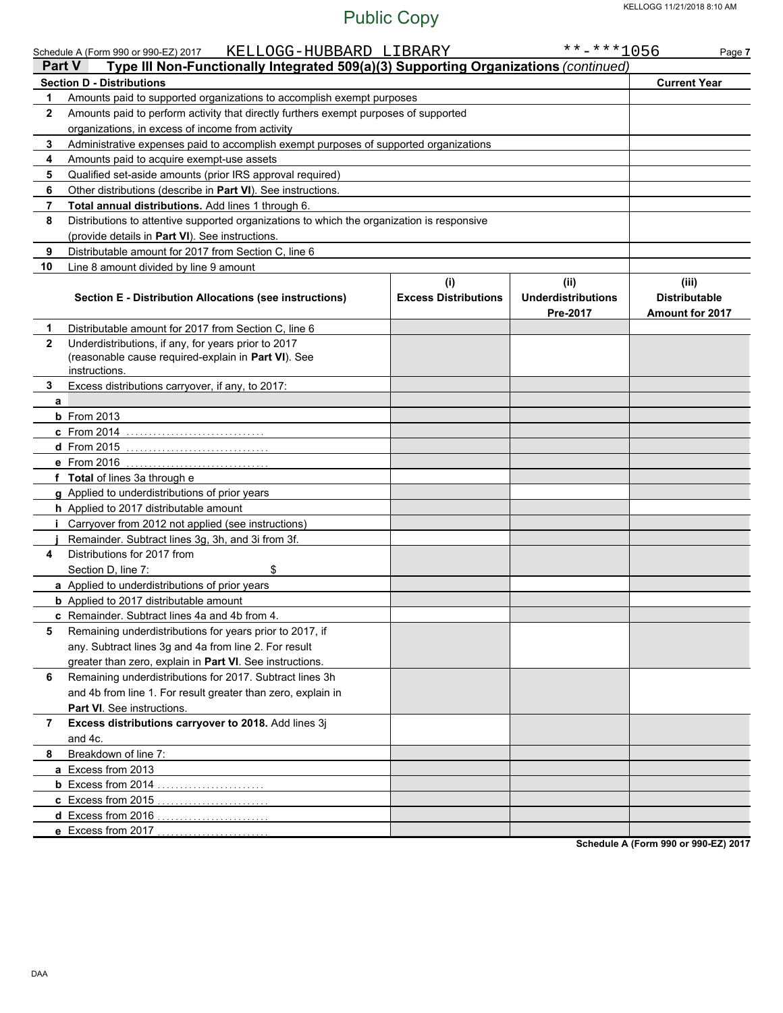|                | KELLOGG-HUBBARD LIBRARY<br>Schedule A (Form 990 or 990-EZ) 2017<br>Type III Non-Functionally Integrated 509(a)(3) Supporting Organizations (continued)<br><b>Part V</b> |                                    | $******1056$                                  | Page 7                                                  |
|----------------|-------------------------------------------------------------------------------------------------------------------------------------------------------------------------|------------------------------------|-----------------------------------------------|---------------------------------------------------------|
|                | <b>Section D - Distributions</b>                                                                                                                                        |                                    |                                               | <b>Current Year</b>                                     |
| 1              | Amounts paid to supported organizations to accomplish exempt purposes                                                                                                   |                                    |                                               |                                                         |
| $\mathbf{2}$   | Amounts paid to perform activity that directly furthers exempt purposes of supported                                                                                    |                                    |                                               |                                                         |
|                | organizations, in excess of income from activity                                                                                                                        |                                    |                                               |                                                         |
| 3              | Administrative expenses paid to accomplish exempt purposes of supported organizations                                                                                   |                                    |                                               |                                                         |
| 4              | Amounts paid to acquire exempt-use assets                                                                                                                               |                                    |                                               |                                                         |
| 5              | Qualified set-aside amounts (prior IRS approval required)                                                                                                               |                                    |                                               |                                                         |
| 6              | Other distributions (describe in Part VI). See instructions.                                                                                                            |                                    |                                               |                                                         |
| $\overline{7}$ | Total annual distributions. Add lines 1 through 6.                                                                                                                      |                                    |                                               |                                                         |
| 8              | Distributions to attentive supported organizations to which the organization is responsive                                                                              |                                    |                                               |                                                         |
|                | (provide details in Part VI). See instructions.                                                                                                                         |                                    |                                               |                                                         |
| 9              | Distributable amount for 2017 from Section C, line 6                                                                                                                    |                                    |                                               |                                                         |
| 10             | Line 8 amount divided by line 9 amount                                                                                                                                  |                                    |                                               |                                                         |
|                | Section E - Distribution Allocations (see instructions)                                                                                                                 | (i)<br><b>Excess Distributions</b> | (ii)<br><b>Underdistributions</b><br>Pre-2017 | (iii)<br><b>Distributable</b><br><b>Amount for 2017</b> |
| 1              | Distributable amount for 2017 from Section C, line 6                                                                                                                    |                                    |                                               |                                                         |
| $\mathbf{2}$   | Underdistributions, if any, for years prior to 2017<br>(reasonable cause required-explain in Part VI). See<br>instructions.                                             |                                    |                                               |                                                         |
| 3              | Excess distributions carryover, if any, to 2017:                                                                                                                        |                                    |                                               |                                                         |
| a              |                                                                                                                                                                         |                                    |                                               |                                                         |
|                | <b>b</b> From 2013                                                                                                                                                      |                                    |                                               |                                                         |
|                | <b>c</b> From 2014                                                                                                                                                      |                                    |                                               |                                                         |
|                | <b>d</b> From 2015                                                                                                                                                      |                                    |                                               |                                                         |
|                | e From 2016                                                                                                                                                             |                                    |                                               |                                                         |
|                | f Total of lines 3a through e                                                                                                                                           |                                    |                                               |                                                         |
|                | g Applied to underdistributions of prior years                                                                                                                          |                                    |                                               |                                                         |
|                | h Applied to 2017 distributable amount                                                                                                                                  |                                    |                                               |                                                         |
|                | Carryover from 2012 not applied (see instructions)                                                                                                                      |                                    |                                               |                                                         |
|                | Remainder. Subtract lines 3g, 3h, and 3i from 3f.                                                                                                                       |                                    |                                               |                                                         |
| 4              | Distributions for 2017 from                                                                                                                                             |                                    |                                               |                                                         |
|                | \$<br>Section D, line 7:                                                                                                                                                |                                    |                                               |                                                         |
|                | a Applied to underdistributions of prior years                                                                                                                          |                                    |                                               |                                                         |
|                | <b>b</b> Applied to 2017 distributable amount                                                                                                                           |                                    |                                               |                                                         |
|                | c Remainder. Subtract lines 4a and 4b from 4.                                                                                                                           |                                    |                                               |                                                         |
| 5              | Remaining underdistributions for years prior to 2017, if                                                                                                                |                                    |                                               |                                                         |
|                | any. Subtract lines 3g and 4a from line 2. For result                                                                                                                   |                                    |                                               |                                                         |
|                | greater than zero, explain in Part VI. See instructions.                                                                                                                |                                    |                                               |                                                         |
| 6              | Remaining underdistributions for 2017. Subtract lines 3h                                                                                                                |                                    |                                               |                                                         |
|                | and 4b from line 1. For result greater than zero, explain in                                                                                                            |                                    |                                               |                                                         |
|                | <b>Part VI.</b> See instructions.                                                                                                                                       |                                    |                                               |                                                         |
| 7              | Excess distributions carryover to 2018. Add lines 3j                                                                                                                    |                                    |                                               |                                                         |
|                | and 4c.                                                                                                                                                                 |                                    |                                               |                                                         |
| 8              | Breakdown of line 7:                                                                                                                                                    |                                    |                                               |                                                         |
|                | a Excess from 2013                                                                                                                                                      |                                    |                                               |                                                         |
|                |                                                                                                                                                                         |                                    |                                               |                                                         |
|                | c Excess from 2015                                                                                                                                                      |                                    |                                               |                                                         |
|                | d Excess from 2016                                                                                                                                                      |                                    |                                               |                                                         |
|                | e Excess from 2017                                                                                                                                                      |                                    |                                               |                                                         |

**Schedule A (Form 990 or 990-EZ) 2017**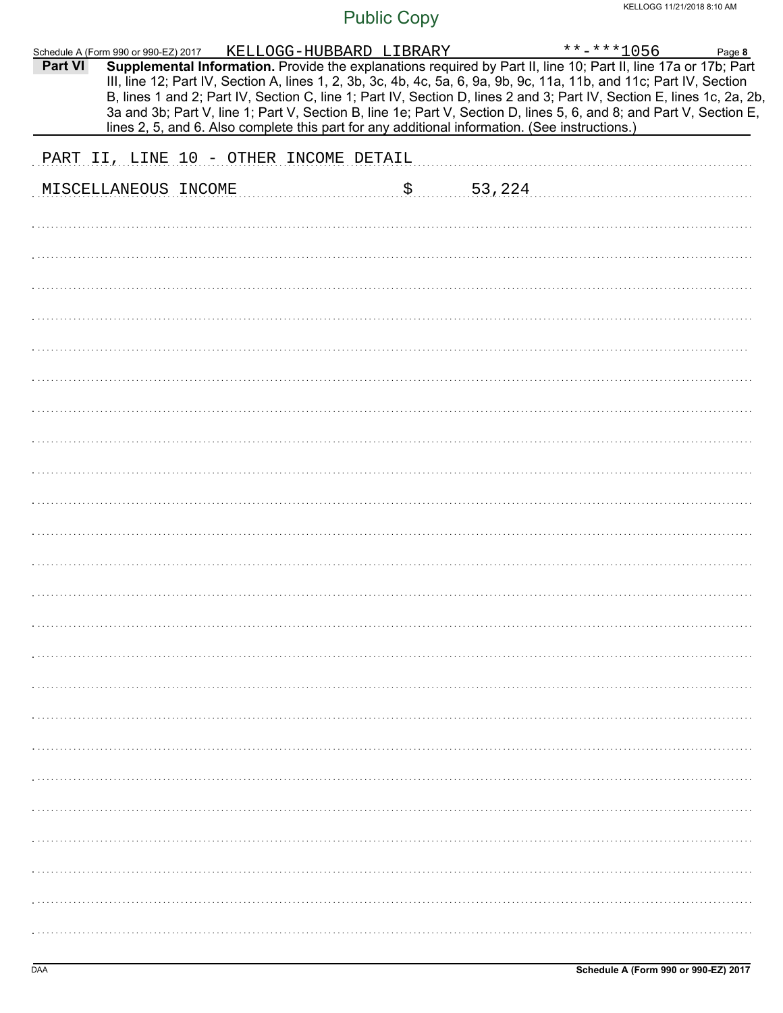| Schedule A (Form 990 or 990-EZ) 2017<br>Part VI |                                                                                                |  | KELLOGG-HUBBARD LIBRARY |    |        | $***$ -***1056<br>Supplemental Information. Provide the explanations required by Part II, line 10; Part II, line 17a or 17b; Part                                                                                                              | Page 8 |
|-------------------------------------------------|------------------------------------------------------------------------------------------------|--|-------------------------|----|--------|------------------------------------------------------------------------------------------------------------------------------------------------------------------------------------------------------------------------------------------------|--------|
|                                                 |                                                                                                |  |                         |    |        | III, line 12; Part IV, Section A, lines 1, 2, 3b, 3c, 4b, 4c, 5a, 6, 9a, 9b, 9c, 11a, 11b, and 11c; Part IV, Section<br>B, lines 1 and 2; Part IV, Section C, line 1; Part IV, Section D, lines 2 and 3; Part IV, Section E, lines 1c, 2a, 2b, |        |
|                                                 | lines 2, 5, and 6. Also complete this part for any additional information. (See instructions.) |  |                         |    |        | 3a and 3b; Part V, line 1; Part V, Section B, line 1e; Part V, Section D, lines 5, 6, and 8; and Part V, Section E,                                                                                                                            |        |
|                                                 | PART II, LINE 10 - OTHER INCOME DETAIL                                                         |  |                         |    |        |                                                                                                                                                                                                                                                |        |
|                                                 | MISCELLANEOUS INCOME                                                                           |  |                         | \$ | 53,224 |                                                                                                                                                                                                                                                |        |
|                                                 |                                                                                                |  |                         |    |        |                                                                                                                                                                                                                                                |        |
|                                                 |                                                                                                |  |                         |    |        |                                                                                                                                                                                                                                                |        |
|                                                 |                                                                                                |  |                         |    |        |                                                                                                                                                                                                                                                |        |
|                                                 |                                                                                                |  |                         |    |        |                                                                                                                                                                                                                                                |        |
|                                                 |                                                                                                |  |                         |    |        |                                                                                                                                                                                                                                                |        |
|                                                 |                                                                                                |  |                         |    |        |                                                                                                                                                                                                                                                |        |
|                                                 |                                                                                                |  |                         |    |        |                                                                                                                                                                                                                                                |        |
|                                                 |                                                                                                |  |                         |    |        |                                                                                                                                                                                                                                                |        |
|                                                 |                                                                                                |  |                         |    |        |                                                                                                                                                                                                                                                |        |
|                                                 |                                                                                                |  |                         |    |        |                                                                                                                                                                                                                                                |        |
|                                                 |                                                                                                |  |                         |    |        |                                                                                                                                                                                                                                                |        |
|                                                 |                                                                                                |  |                         |    |        |                                                                                                                                                                                                                                                |        |
|                                                 |                                                                                                |  |                         |    |        |                                                                                                                                                                                                                                                |        |
|                                                 |                                                                                                |  |                         |    |        |                                                                                                                                                                                                                                                |        |
|                                                 |                                                                                                |  |                         |    |        |                                                                                                                                                                                                                                                |        |
|                                                 |                                                                                                |  |                         |    |        |                                                                                                                                                                                                                                                |        |
|                                                 |                                                                                                |  |                         |    |        |                                                                                                                                                                                                                                                |        |
|                                                 |                                                                                                |  |                         |    |        |                                                                                                                                                                                                                                                |        |
|                                                 |                                                                                                |  |                         |    |        |                                                                                                                                                                                                                                                |        |
|                                                 |                                                                                                |  |                         |    |        |                                                                                                                                                                                                                                                |        |
|                                                 |                                                                                                |  |                         |    |        |                                                                                                                                                                                                                                                |        |
|                                                 |                                                                                                |  |                         |    |        |                                                                                                                                                                                                                                                |        |
|                                                 |                                                                                                |  |                         |    |        |                                                                                                                                                                                                                                                |        |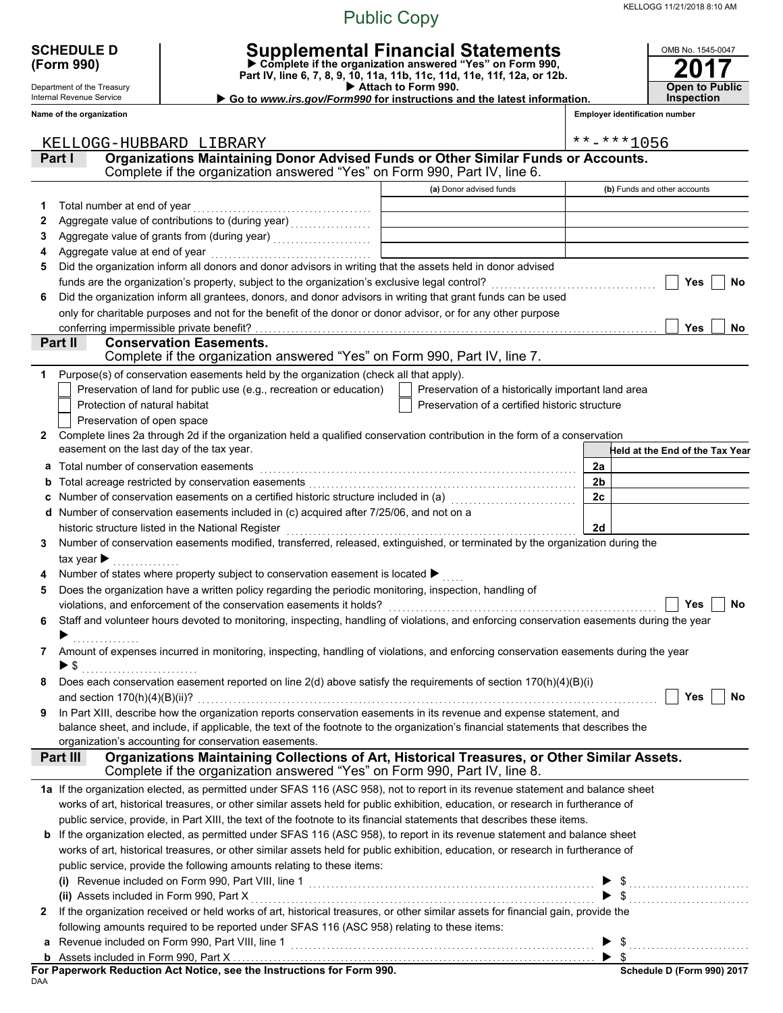KELLOGG 11/21/2018 8:10 AM

#### Public Copy

| <b>SCHEDULE D</b><br>(Form 990)                        |                                                                                                                                                                                                                                                           | Supplemental Financial Statements<br>$\triangleright$ Complete if the organization answered "Yes" on Form 990,<br>Part IV, line 6, 7, 8, 9, 10, 11a, 11b, 11c, 11d, 11e, 11f, 12a, or 12b. |                                       | OMB No. 1545-0047                   |  |
|--------------------------------------------------------|-----------------------------------------------------------------------------------------------------------------------------------------------------------------------------------------------------------------------------------------------------------|--------------------------------------------------------------------------------------------------------------------------------------------------------------------------------------------|---------------------------------------|-------------------------------------|--|
| Department of the Treasury<br>Internal Revenue Service |                                                                                                                                                                                                                                                           | Attach to Form 990.<br>Go to www.irs.gov/Form990 for instructions and the latest information.                                                                                              |                                       | <b>Open to Public</b><br>Inspection |  |
| Name of the organization                               |                                                                                                                                                                                                                                                           |                                                                                                                                                                                            | <b>Employer identification number</b> |                                     |  |
|                                                        |                                                                                                                                                                                                                                                           |                                                                                                                                                                                            |                                       |                                     |  |
|                                                        | KELLOGG-HUBBARD LIBRARY                                                                                                                                                                                                                                   |                                                                                                                                                                                            | $***$ -***1056                        |                                     |  |
| Part I                                                 | Organizations Maintaining Donor Advised Funds or Other Similar Funds or Accounts.                                                                                                                                                                         |                                                                                                                                                                                            |                                       |                                     |  |
|                                                        | Complete if the organization answered "Yes" on Form 990, Part IV, line 6.                                                                                                                                                                                 |                                                                                                                                                                                            |                                       |                                     |  |
|                                                        |                                                                                                                                                                                                                                                           | (a) Donor advised funds                                                                                                                                                                    |                                       | (b) Funds and other accounts        |  |
| 1<br>2                                                 | Aggregate value of contributions to (during year)<br>[[[[[[[[[[[[[[[[]]]]]                                                                                                                                                                                |                                                                                                                                                                                            |                                       |                                     |  |
| 3                                                      |                                                                                                                                                                                                                                                           |                                                                                                                                                                                            |                                       |                                     |  |
| 4                                                      | Aggregate value at end of year [1] March 1999 (1999) Aggregate value at end of year [1] March 1999 (1999) Aggregate V                                                                                                                                     |                                                                                                                                                                                            |                                       |                                     |  |
| 5                                                      | Did the organization inform all donors and donor advisors in writing that the assets held in donor advised                                                                                                                                                |                                                                                                                                                                                            |                                       |                                     |  |
|                                                        |                                                                                                                                                                                                                                                           |                                                                                                                                                                                            |                                       | Yes<br>No                           |  |
| 6                                                      | Did the organization inform all grantees, donors, and donor advisors in writing that grant funds can be used                                                                                                                                              |                                                                                                                                                                                            |                                       |                                     |  |
|                                                        | only for charitable purposes and not for the benefit of the donor or donor advisor, or for any other purpose                                                                                                                                              |                                                                                                                                                                                            |                                       |                                     |  |
|                                                        | conferring impermissible private benefit?                                                                                                                                                                                                                 |                                                                                                                                                                                            |                                       | <b>Yes</b><br><b>No</b>             |  |
| Part II                                                | <b>Conservation Easements.</b>                                                                                                                                                                                                                            |                                                                                                                                                                                            |                                       |                                     |  |
|                                                        | Complete if the organization answered "Yes" on Form 990, Part IV, line 7.                                                                                                                                                                                 |                                                                                                                                                                                            |                                       |                                     |  |
| 1                                                      | Purpose(s) of conservation easements held by the organization (check all that apply).                                                                                                                                                                     |                                                                                                                                                                                            |                                       |                                     |  |
|                                                        | Preservation of land for public use (e.g., recreation or education)                                                                                                                                                                                       | Preservation of a historically important land area                                                                                                                                         |                                       |                                     |  |
| Protection of natural habitat                          |                                                                                                                                                                                                                                                           | Preservation of a certified historic structure                                                                                                                                             |                                       |                                     |  |
| Preservation of open space                             |                                                                                                                                                                                                                                                           |                                                                                                                                                                                            |                                       |                                     |  |
| 2                                                      | Complete lines 2a through 2d if the organization held a qualified conservation contribution in the form of a conservation<br>easement on the last day of the tax year.                                                                                    |                                                                                                                                                                                            |                                       |                                     |  |
|                                                        |                                                                                                                                                                                                                                                           |                                                                                                                                                                                            | 2a                                    | Held at the End of the Tax Year     |  |
| a<br>b                                                 | Total number of conservation easements                                                                                                                                                                                                                    |                                                                                                                                                                                            | 2b                                    |                                     |  |
|                                                        | Number of conservation easements on a certified historic structure included in (a) [11] Number of conservation easements on a certified historic structure included in (a)                                                                                |                                                                                                                                                                                            | 2c                                    |                                     |  |
| d                                                      | Number of conservation easements included in (c) acquired after 7/25/06, and not on a                                                                                                                                                                     |                                                                                                                                                                                            |                                       |                                     |  |
|                                                        | historic structure listed in the National Register                                                                                                                                                                                                        |                                                                                                                                                                                            | 2d                                    |                                     |  |
| 3                                                      | Number of conservation easements modified, transferred, released, extinguished, or terminated by the organization during the                                                                                                                              |                                                                                                                                                                                            |                                       |                                     |  |
| tax year $\blacktriangleright$                         |                                                                                                                                                                                                                                                           |                                                                                                                                                                                            |                                       |                                     |  |
|                                                        | Number of states where property subject to conservation easement is located ▶                                                                                                                                                                             |                                                                                                                                                                                            |                                       |                                     |  |
| 5                                                      | Does the organization have a written policy regarding the periodic monitoring, inspection, handling of                                                                                                                                                    |                                                                                                                                                                                            |                                       |                                     |  |
|                                                        |                                                                                                                                                                                                                                                           |                                                                                                                                                                                            |                                       | <b>Yes</b><br>No                    |  |
|                                                        | 6 Staff and volunteer hours devoted to monitoring, inspecting, handling of violations, and enforcing conservation easements during the year                                                                                                               |                                                                                                                                                                                            |                                       |                                     |  |
|                                                        |                                                                                                                                                                                                                                                           |                                                                                                                                                                                            |                                       |                                     |  |
| 7                                                      | Amount of expenses incurred in monitoring, inspecting, handling of violations, and enforcing conservation easements during the year                                                                                                                       |                                                                                                                                                                                            |                                       |                                     |  |
| $\blacktriangleright$ \$                               |                                                                                                                                                                                                                                                           |                                                                                                                                                                                            |                                       |                                     |  |
| 8                                                      | Does each conservation easement reported on line 2(d) above satisfy the requirements of section 170(h)(4)(B)(i)                                                                                                                                           |                                                                                                                                                                                            |                                       |                                     |  |
|                                                        |                                                                                                                                                                                                                                                           |                                                                                                                                                                                            |                                       | Yes<br>No                           |  |
| 9                                                      | In Part XIII, describe how the organization reports conservation easements in its revenue and expense statement, and<br>balance sheet, and include, if applicable, the text of the footnote to the organization's financial statements that describes the |                                                                                                                                                                                            |                                       |                                     |  |
|                                                        | organization's accounting for conservation easements.                                                                                                                                                                                                     |                                                                                                                                                                                            |                                       |                                     |  |
| Part III                                               | Organizations Maintaining Collections of Art, Historical Treasures, or Other Similar Assets.                                                                                                                                                              |                                                                                                                                                                                            |                                       |                                     |  |
|                                                        | Complete if the organization answered "Yes" on Form 990, Part IV, line 8.                                                                                                                                                                                 |                                                                                                                                                                                            |                                       |                                     |  |
|                                                        | 1a If the organization elected, as permitted under SFAS 116 (ASC 958), not to report in its revenue statement and balance sheet                                                                                                                           |                                                                                                                                                                                            |                                       |                                     |  |
|                                                        | works of art, historical treasures, or other similar assets held for public exhibition, education, or research in furtherance of                                                                                                                          |                                                                                                                                                                                            |                                       |                                     |  |
|                                                        | public service, provide, in Part XIII, the text of the footnote to its financial statements that describes these items.                                                                                                                                   |                                                                                                                                                                                            |                                       |                                     |  |
|                                                        | b If the organization elected, as permitted under SFAS 116 (ASC 958), to report in its revenue statement and balance sheet                                                                                                                                |                                                                                                                                                                                            |                                       |                                     |  |
|                                                        | works of art, historical treasures, or other similar assets held for public exhibition, education, or research in furtherance of                                                                                                                          |                                                                                                                                                                                            |                                       |                                     |  |
|                                                        | public service, provide the following amounts relating to these items:                                                                                                                                                                                    |                                                                                                                                                                                            |                                       |                                     |  |
|                                                        |                                                                                                                                                                                                                                                           |                                                                                                                                                                                            |                                       |                                     |  |
|                                                        | (ii) Assets included in Form 990, Part X                                                                                                                                                                                                                  |                                                                                                                                                                                            |                                       |                                     |  |
| 2                                                      | If the organization received or held works of art, historical treasures, or other similar assets for financial gain, provide the                                                                                                                          |                                                                                                                                                                                            |                                       |                                     |  |
|                                                        | following amounts required to be reported under SFAS 116 (ASC 958) relating to these items:                                                                                                                                                               |                                                                                                                                                                                            |                                       |                                     |  |
|                                                        |                                                                                                                                                                                                                                                           |                                                                                                                                                                                            |                                       |                                     |  |
|                                                        |                                                                                                                                                                                                                                                           |                                                                                                                                                                                            |                                       |                                     |  |

DAA **For Paperwork Reduction Act Notice, see the Instructions for Form 990.** **Schedule D (Form 990) 2017**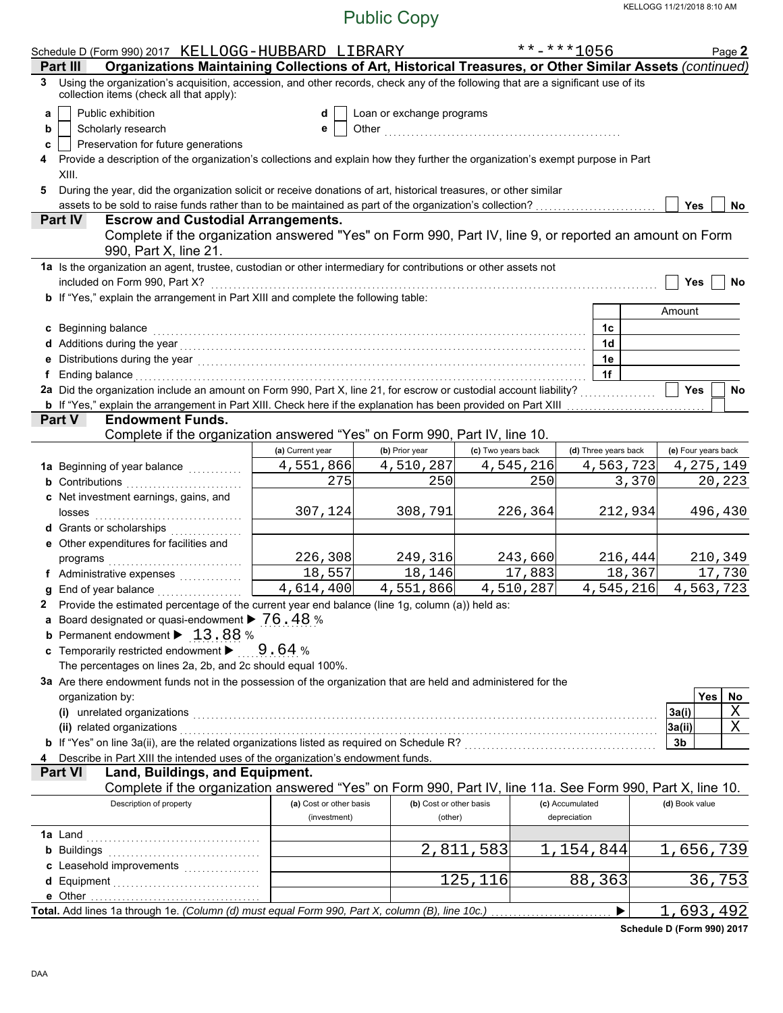| $***$ -***1056<br>Schedule D (Form 990) 2017 KELLOGG-HUBBARD LIBRARY                                                                                                                                                           |                      | Page 2              |
|--------------------------------------------------------------------------------------------------------------------------------------------------------------------------------------------------------------------------------|----------------------|---------------------|
| Organizations Maintaining Collections of Art, Historical Treasures, or Other Similar Assets (continued)<br>Part III                                                                                                            |                      |                     |
| Using the organization's acquisition, accession, and other records, check any of the following that are a significant use of its<br>3<br>collection items (check all that apply):                                              |                      |                     |
| Public exhibition<br>Loan or exchange programs<br>a<br>d                                                                                                                                                                       |                      |                     |
| Scholarly research<br>b<br>е                                                                                                                                                                                                   |                      |                     |
| Preservation for future generations<br>c                                                                                                                                                                                       |                      |                     |
| Provide a description of the organization's collections and explain how they further the organization's exempt purpose in Part<br>4                                                                                            |                      |                     |
| XIII.                                                                                                                                                                                                                          |                      |                     |
| During the year, did the organization solicit or receive donations of art, historical treasures, or other similar<br>5                                                                                                         |                      |                     |
| assets to be sold to raise funds rather than to be maintained as part of the organization's collection?                                                                                                                        |                      | Yes<br>No           |
| <b>Part IV</b><br><b>Escrow and Custodial Arrangements.</b>                                                                                                                                                                    |                      |                     |
| Complete if the organization answered "Yes" on Form 990, Part IV, line 9, or reported an amount on Form                                                                                                                        |                      |                     |
| 990, Part X, line 21.                                                                                                                                                                                                          |                      |                     |
| 1a Is the organization an agent, trustee, custodian or other intermediary for contributions or other assets not                                                                                                                |                      |                     |
| included on Form 990, Part X?                                                                                                                                                                                                  |                      | Yes<br>No           |
| b If "Yes," explain the arrangement in Part XIII and complete the following table:                                                                                                                                             |                      |                     |
|                                                                                                                                                                                                                                |                      | Amount              |
|                                                                                                                                                                                                                                |                      |                     |
| c Beginning balance                                                                                                                                                                                                            | 1c                   |                     |
|                                                                                                                                                                                                                                | 1d                   |                     |
|                                                                                                                                                                                                                                | 1e                   |                     |
| f Ending balance encouragement and the contract of the contract of the contract of the contract of the contract of the contract of the contract of the contract of the contract of the contract of the contract of the contrac | 1f                   |                     |
| 2a Did the organization include an amount on Form 990, Part X, line 21, for escrow or custodial account liability?                                                                                                             |                      | <b>Yes</b><br>No    |
| <b>b</b> If "Yes," explain the arrangement in Part XIII. Check here if the explanation has been provided on Part XIII                                                                                                          |                      |                     |
| <b>Endowment Funds.</b><br><b>Part V</b>                                                                                                                                                                                       |                      |                     |
| Complete if the organization answered "Yes" on Form 990, Part IV, line 10.                                                                                                                                                     |                      |                     |
| (b) Prior year<br>(a) Current year<br>(c) Two years back                                                                                                                                                                       | (d) Three years back | (e) Four years back |
| 4,551,866<br>4,510,287<br>4,545,216                                                                                                                                                                                            | 4,563,723            | 4, 275, 149         |
| 275<br>250<br>250<br><b>b</b> Contributions <b>contributions</b>                                                                                                                                                               | 3,370                | 20,223              |
| c Net investment earnings, gains, and                                                                                                                                                                                          |                      |                     |
| 307,124<br>308,791<br>226,364<br>losses                                                                                                                                                                                        | 212,934              | 496,430             |
| d Grants or scholarships                                                                                                                                                                                                       |                      |                     |
| e Other expenditures for facilities and                                                                                                                                                                                        |                      |                     |
| 226,308<br>249,316<br>243,660                                                                                                                                                                                                  | 216, 444             | 210,349             |
| 18,557<br>18,146<br>17,883<br>f Administrative expenses                                                                                                                                                                        | 18,367               | 17,730              |
| 4,614,400<br>4,510,287<br>4,551,866<br><b>g</b> End of year balance $\ldots$                                                                                                                                                   | 4,545,216            | 4,563,723           |
| 2 Provide the estimated percentage of the current year end balance (line 1g, column (a)) held as:                                                                                                                              |                      |                     |
| a Board designated or quasi-endowment > 76.48 %                                                                                                                                                                                |                      |                     |
| <b>b</b> Permanent endowment $\blacktriangleright$ 13.88 %                                                                                                                                                                     |                      |                     |
| <b>c</b> Temporarily restricted endowment $\triangleright$ 9.64 %                                                                                                                                                              |                      |                     |
| The percentages on lines 2a, 2b, and 2c should equal 100%.                                                                                                                                                                     |                      |                     |
| 3a Are there endowment funds not in the possession of the organization that are held and administered for the                                                                                                                  |                      |                     |
| organization by:                                                                                                                                                                                                               |                      | <b>Yes</b><br>No    |
| (i) unrelated organizations entertainment and all the contract of the contract of the contract of the contract or contract or contract or contract or contract or contract or contract or contract or contract or contract or  |                      | X<br>3a(i)          |
|                                                                                                                                                                                                                                |                      | X<br>3a(ii)         |
| (ii) related organizations entertainment and all the contract of the contract of the contract of the contract of the contract of the contract of the contract of the contract of the contract of the contract of the contract  |                      | 3 <sub>b</sub>      |
| 4 Describe in Part XIII the intended uses of the organization's endowment funds.                                                                                                                                               |                      |                     |
| Land, Buildings, and Equipment.<br><b>Part VI</b>                                                                                                                                                                              |                      |                     |
| Complete if the organization answered "Yes" on Form 990, Part IV, line 11a. See Form 990, Part X, line 10.                                                                                                                     |                      |                     |
| Description of property<br>(a) Cost or other basis<br>(b) Cost or other basis<br>(c) Accumulated                                                                                                                               |                      | (d) Book value      |
| (investment)<br>(other)<br>depreciation                                                                                                                                                                                        |                      |                     |
|                                                                                                                                                                                                                                |                      |                     |
|                                                                                                                                                                                                                                |                      |                     |
| 2,811,583<br><b>b</b> Buildings                                                                                                                                                                                                | 1,154,844            | 1,656,739           |
|                                                                                                                                                                                                                                |                      |                     |
|                                                                                                                                                                                                                                |                      |                     |
| 125,116                                                                                                                                                                                                                        | 88,363               | 36,753              |
| Total. Add lines 1a through 1e. (Column (d) must equal Form 990, Part X, column (B), line 10c.)                                                                                                                                |                      | ,693,492<br>1       |

**Schedule D (Form 990) 2017**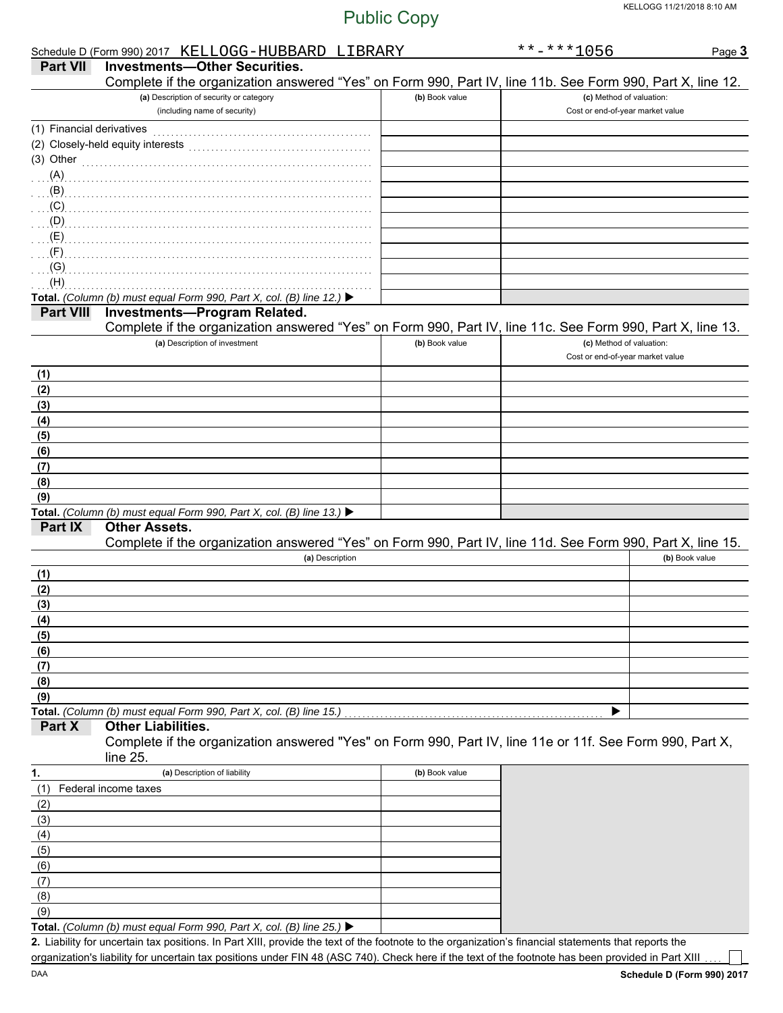|                           | Schedule D (Form 990) 2017 KELLOGG-HUBBARD LIBRARY                                                         |                | $******1056$                     | Page 3         |
|---------------------------|------------------------------------------------------------------------------------------------------------|----------------|----------------------------------|----------------|
| <b>Part VII</b>           | <b>Investments-Other Securities.</b>                                                                       |                |                                  |                |
|                           | Complete if the organization answered "Yes" on Form 990, Part IV, line 11b. See Form 990, Part X, line 12. |                |                                  |                |
|                           | (a) Description of security or category                                                                    | (b) Book value | (c) Method of valuation:         |                |
|                           | (including name of security)                                                                               |                | Cost or end-of-year market value |                |
| (1) Financial derivatives |                                                                                                            |                |                                  |                |
|                           | (2) Closely-held equity interests                                                                          |                |                                  |                |
|                           | (3) Other $\ldots$ and $\ldots$                                                                            |                |                                  |                |
| (A)                       |                                                                                                            |                |                                  |                |
| (B)                       |                                                                                                            |                |                                  |                |
| (C)                       |                                                                                                            |                |                                  |                |
| (D)                       |                                                                                                            |                |                                  |                |
| (E)                       |                                                                                                            |                |                                  |                |
| (F)                       |                                                                                                            |                |                                  |                |
| (G)                       |                                                                                                            |                |                                  |                |
| (H)                       |                                                                                                            |                |                                  |                |
|                           | Total. (Column (b) must equal Form 990, Part X, col. (B) line 12.) ▶                                       |                |                                  |                |
| <b>Part VIII</b>          | Investments-Program Related.                                                                               |                |                                  |                |
|                           | Complete if the organization answered "Yes" on Form 990, Part IV, line 11c. See Form 990, Part X, line 13. |                |                                  |                |
|                           | (a) Description of investment                                                                              | (b) Book value | (c) Method of valuation:         |                |
|                           |                                                                                                            |                | Cost or end-of-year market value |                |
| (1)                       |                                                                                                            |                |                                  |                |
| (2)                       |                                                                                                            |                |                                  |                |
| (3)                       |                                                                                                            |                |                                  |                |
| (4)                       |                                                                                                            |                |                                  |                |
| (5)                       |                                                                                                            |                |                                  |                |
| (6)                       |                                                                                                            |                |                                  |                |
| (7)                       |                                                                                                            |                |                                  |                |
| (8)                       |                                                                                                            |                |                                  |                |
| (9)                       |                                                                                                            |                |                                  |                |
|                           | Total. (Column (b) must equal Form 990, Part X, col. (B) line 13.) ▶                                       |                |                                  |                |
| <b>Part IX</b>            | <b>Other Assets.</b>                                                                                       |                |                                  |                |
|                           | Complete if the organization answered "Yes" on Form 990, Part IV, line 11d. See Form 990, Part X, line 15. |                |                                  |                |
|                           | (a) Description                                                                                            |                |                                  | (b) Book value |
| (1)                       |                                                                                                            |                |                                  |                |
| (2)                       |                                                                                                            |                |                                  |                |
| (3)                       |                                                                                                            |                |                                  |                |
| (4)                       |                                                                                                            |                |                                  |                |
| (5)                       |                                                                                                            |                |                                  |                |
| (6)                       |                                                                                                            |                |                                  |                |
| (7)                       |                                                                                                            |                |                                  |                |
| (8)                       |                                                                                                            |                |                                  |                |
| (9)                       |                                                                                                            |                |                                  |                |
|                           | Total. (Column (b) must equal Form 990, Part X, col. (B) line 15.)                                         |                |                                  |                |
| Part X                    | <b>Other Liabilities.</b>                                                                                  |                |                                  |                |
|                           | Complete if the organization answered "Yes" on Form 990, Part IV, line 11e or 11f. See Form 990, Part X,   |                |                                  |                |
|                           | line $25$                                                                                                  |                |                                  |                |
| 1.                        | (a) Description of liability                                                                               | (b) Book value |                                  |                |
| (1)                       | Federal income taxes                                                                                       |                |                                  |                |
| (2)                       |                                                                                                            |                |                                  |                |
| (3)                       |                                                                                                            |                |                                  |                |
| (4)                       |                                                                                                            |                |                                  |                |
| (5)                       |                                                                                                            |                |                                  |                |
| (6)                       |                                                                                                            |                |                                  |                |
| (7)                       |                                                                                                            |                |                                  |                |
| (8)                       |                                                                                                            |                |                                  |                |
| (9)                       |                                                                                                            |                |                                  |                |
|                           | Total. (Column (b) must equal Form 990, Part X, col. (B) line 25.) ▶                                       |                |                                  |                |

Liability for uncertain tax positions. In Part XIII, provide the text of the footnote to the organization's financial statements that reports the **2.** organization's liability for uncertain tax positions under FIN 48 (ASC 740). Check here if the text of the footnote has been provided in Part XIII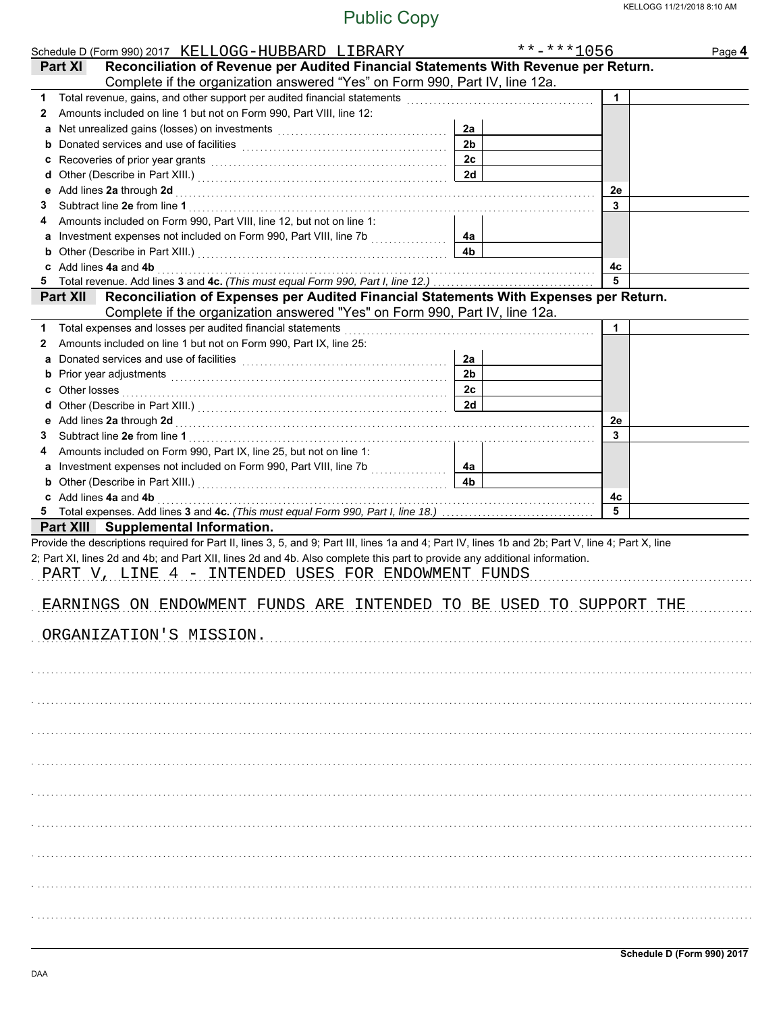|                 | Schedule D (Form 990) 2017 KELLOGG-HUBBARD LIBRARY                                                                                                                                                                                 |                | $******1056$ | Page 4 |
|-----------------|------------------------------------------------------------------------------------------------------------------------------------------------------------------------------------------------------------------------------------|----------------|--------------|--------|
| Part XI         | Reconciliation of Revenue per Audited Financial Statements With Revenue per Return.                                                                                                                                                |                |              |        |
|                 | Complete if the organization answered "Yes" on Form 990, Part IV, line 12a.                                                                                                                                                        |                |              |        |
|                 | 1 Total revenue, gains, and other support per audited financial statements [111] Total revenues contractions of                                                                                                                    |                | 1            |        |
| $\mathbf{z}$    | Amounts included on line 1 but not on Form 990, Part VIII, line 12:                                                                                                                                                                |                |              |        |
|                 |                                                                                                                                                                                                                                    | 2a             |              |        |
| b               |                                                                                                                                                                                                                                    | 2 <sub>b</sub> |              |        |
| с               | Recoveries of prior year grants [[11] North Management of prior year grants [[11] North Management of Prior (1                                                                                                                     | 2c             |              |        |
| d               |                                                                                                                                                                                                                                    | 2d             |              |        |
| е               | Add lines 2a through 2d [[[[[[[[[[[[[[[[[[[[[[[[]]]]]]]]]]] Add lines 2a through 2d                                                                                                                                                |                | 2e           |        |
| 3               |                                                                                                                                                                                                                                    |                | 3            |        |
|                 | Amounts included on Form 990, Part VIII, line 12, but not on line 1:                                                                                                                                                               |                |              |        |
|                 | a Investment expenses not included on Form 990, Part VIII, line 7b                                                                                                                                                                 | 4a             |              |        |
| b               |                                                                                                                                                                                                                                    | 4 <sub>b</sub> |              |        |
|                 | c Add lines 4a and 4b                                                                                                                                                                                                              |                | 4с           |        |
|                 |                                                                                                                                                                                                                                    |                | 5            |        |
| <b>Part XII</b> | Reconciliation of Expenses per Audited Financial Statements With Expenses per Return.                                                                                                                                              |                |              |        |
|                 | Complete if the organization answered "Yes" on Form 990, Part IV, line 12a.                                                                                                                                                        |                |              |        |
|                 | 1 Total expenses and losses per audited financial statements                                                                                                                                                                       |                | 1            |        |
| 2               | Amounts included on line 1 but not on Form 990, Part IX, line 25:                                                                                                                                                                  |                |              |        |
| a               |                                                                                                                                                                                                                                    | 2a             |              |        |
| b               | Prior year adjustments [11, 12] March 2014 The March 2014 The March 2014 The March 2014 The March 2014 The March 2015                                                                                                              | 2 <sub>b</sub> |              |        |
| c               | Other losses <b>contracts on the contract of the contract of the contract of the contract of the contract of the contract of the contract of the contract of the contract of the contract of the contract of the contract of t</b> | 2c             |              |        |
| a               |                                                                                                                                                                                                                                    | 2d             |              |        |
|                 |                                                                                                                                                                                                                                    |                | 2e           |        |
| 3               |                                                                                                                                                                                                                                    |                | 3            |        |
|                 | Amounts included on Form 990, Part IX, line 25, but not on line 1:                                                                                                                                                                 |                |              |        |
|                 | a Investment expenses not included on Form 990, Part VIII, line 7b                                                                                                                                                                 | 4а             |              |        |
|                 | b Other (Describe in Part XIII.) [10] Martin Martin Martin Martin Martin Martin Martin Martin Martin Martin Martin Martin Martin Martin Martin Martin Martin Martin Martin Martin Martin Martin Martin Martin Martin Martin Ma     | 4 <sub>b</sub> |              |        |
|                 | c Add lines 4a and 4b                                                                                                                                                                                                              |                | 4с           |        |
|                 |                                                                                                                                                                                                                                    |                | 5            |        |
|                 | Part XIII Supplemental Information.                                                                                                                                                                                                |                |              |        |
|                 | Provide the descriptions required for Part II, lines 3, 5, and 9; Part III, lines 1a and 4; Part IV, lines 1b and 2b; Part V, line 4; Part X, line                                                                                 |                |              |        |
|                 | 2; Part XI, lines 2d and 4b; and Part XII, lines 2d and 4b. Also complete this part to provide any additional information.                                                                                                         |                |              |        |
|                 | PART V, LINE 4 - INTENDED USES FOR ENDOWMENT FUNDS                                                                                                                                                                                 |                |              |        |
|                 |                                                                                                                                                                                                                                    |                |              |        |
|                 | EARNINGS ON ENDOWMENT FUNDS ARE INTENDED TO BE USED TO SUPPORT THE                                                                                                                                                                 |                |              |        |
|                 |                                                                                                                                                                                                                                    |                |              |        |
|                 | ORGANIZATION'S MISSION.                                                                                                                                                                                                            |                |              |        |
|                 |                                                                                                                                                                                                                                    |                |              |        |
|                 |                                                                                                                                                                                                                                    |                |              |        |
|                 |                                                                                                                                                                                                                                    |                |              |        |
|                 |                                                                                                                                                                                                                                    |                |              |        |
|                 |                                                                                                                                                                                                                                    |                |              |        |
|                 |                                                                                                                                                                                                                                    |                |              |        |
|                 |                                                                                                                                                                                                                                    |                |              |        |
|                 |                                                                                                                                                                                                                                    |                |              |        |
|                 |                                                                                                                                                                                                                                    |                |              |        |
|                 |                                                                                                                                                                                                                                    |                |              |        |
|                 |                                                                                                                                                                                                                                    |                |              |        |
|                 |                                                                                                                                                                                                                                    |                |              |        |
|                 |                                                                                                                                                                                                                                    |                |              |        |
|                 |                                                                                                                                                                                                                                    |                |              |        |
|                 |                                                                                                                                                                                                                                    |                |              |        |
|                 |                                                                                                                                                                                                                                    |                |              |        |
|                 |                                                                                                                                                                                                                                    |                |              |        |
|                 |                                                                                                                                                                                                                                    |                |              |        |
|                 |                                                                                                                                                                                                                                    |                |              |        |
|                 |                                                                                                                                                                                                                                    |                |              |        |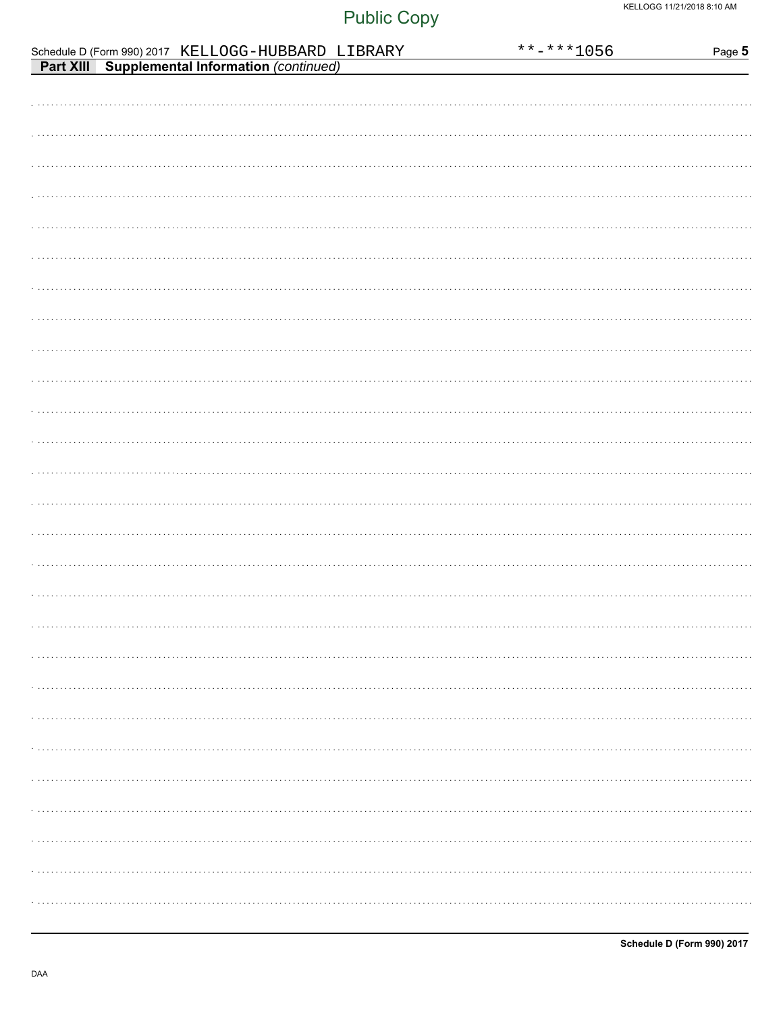|                                                                                                      | **-***1056 | Page 5 |
|------------------------------------------------------------------------------------------------------|------------|--------|
| Schedule D (Form 990) 2017 KELLOGG-HUBBARD LIBRARY<br>Part XIII Supplemental Information (continued) |            |        |
|                                                                                                      |            |        |
|                                                                                                      |            |        |
|                                                                                                      |            |        |
|                                                                                                      |            |        |
|                                                                                                      |            |        |
|                                                                                                      |            |        |
|                                                                                                      |            |        |
|                                                                                                      |            |        |
|                                                                                                      |            |        |
|                                                                                                      |            |        |
|                                                                                                      |            |        |
|                                                                                                      |            |        |
|                                                                                                      |            |        |
|                                                                                                      |            |        |
|                                                                                                      |            |        |
|                                                                                                      |            |        |
|                                                                                                      |            |        |
|                                                                                                      |            |        |
|                                                                                                      |            |        |
|                                                                                                      |            |        |
|                                                                                                      |            |        |
|                                                                                                      |            |        |
|                                                                                                      |            |        |
|                                                                                                      |            |        |
|                                                                                                      |            |        |
|                                                                                                      |            |        |
|                                                                                                      |            |        |
|                                                                                                      |            |        |
|                                                                                                      |            |        |
|                                                                                                      |            |        |
|                                                                                                      |            |        |
|                                                                                                      |            |        |
|                                                                                                      |            |        |
|                                                                                                      |            |        |
|                                                                                                      |            |        |
|                                                                                                      |            |        |
|                                                                                                      |            |        |
|                                                                                                      |            |        |
|                                                                                                      |            |        |
|                                                                                                      |            |        |
|                                                                                                      |            |        |
|                                                                                                      |            |        |
|                                                                                                      |            |        |
|                                                                                                      |            |        |
|                                                                                                      |            |        |
|                                                                                                      |            |        |
|                                                                                                      |            |        |
|                                                                                                      |            |        |
|                                                                                                      |            |        |
|                                                                                                      |            |        |
|                                                                                                      |            |        |
|                                                                                                      |            |        |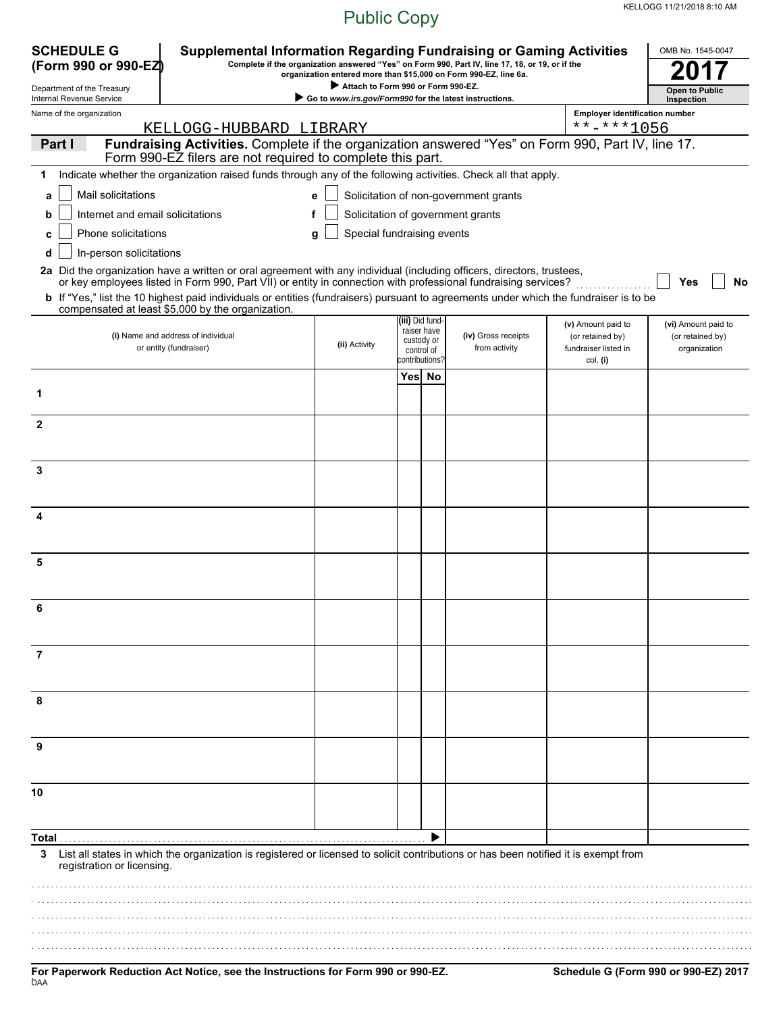| <b>SCHEDULE G</b>                                    | <b>Supplemental Information Regarding Fundraising or Gaming Activities</b>                                                                                                                                                                              |                                                                                              |                |                                |                                                                                                                                                                     |                                        | OMB No. 1545-0047                       |
|------------------------------------------------------|---------------------------------------------------------------------------------------------------------------------------------------------------------------------------------------------------------------------------------------------------------|----------------------------------------------------------------------------------------------|----------------|--------------------------------|---------------------------------------------------------------------------------------------------------------------------------------------------------------------|----------------------------------------|-----------------------------------------|
| (Form 990 or 990-EZ)                                 |                                                                                                                                                                                                                                                         |                                                                                              |                |                                | Complete if the organization answered "Yes" on Form 990, Part IV, line 17, 18, or 19, or if the<br>organization entered more than \$15,000 on Form 990-EZ, line 6a. |                                        |                                         |
| Department of the Treasury                           |                                                                                                                                                                                                                                                         | Attach to Form 990 or Form 990-EZ.<br>Go to www.irs.gov/Form990 for the latest instructions. |                |                                |                                                                                                                                                                     |                                        | <b>Open to Public</b>                   |
| Internal Revenue Service<br>Name of the organization |                                                                                                                                                                                                                                                         |                                                                                              |                |                                |                                                                                                                                                                     | <b>Employer identification number</b>  | Inspection                              |
|                                                      | KELLOGG-HUBBARD LIBRARY                                                                                                                                                                                                                                 |                                                                                              |                |                                |                                                                                                                                                                     | $***$ -***1056                         |                                         |
| Part I                                               | Fundraising Activities. Complete if the organization answered "Yes" on Form 990, Part IV, line 17.<br>Form 990-EZ filers are not required to complete this part.                                                                                        |                                                                                              |                |                                |                                                                                                                                                                     |                                        |                                         |
| 1                                                    | Indicate whether the organization raised funds through any of the following activities. Check all that apply.                                                                                                                                           |                                                                                              |                |                                |                                                                                                                                                                     |                                        |                                         |
| Mail solicitations<br>a                              |                                                                                                                                                                                                                                                         | e                                                                                            |                |                                | Solicitation of non-government grants                                                                                                                               |                                        |                                         |
| Internet and email solicitations<br>b                |                                                                                                                                                                                                                                                         | f                                                                                            |                |                                | Solicitation of government grants                                                                                                                                   |                                        |                                         |
| Phone solicitations<br>C                             |                                                                                                                                                                                                                                                         | Special fundraising events<br>g                                                              |                |                                |                                                                                                                                                                     |                                        |                                         |
| In-person solicitations                              |                                                                                                                                                                                                                                                         |                                                                                              |                |                                |                                                                                                                                                                     |                                        |                                         |
|                                                      | 2a Did the organization have a written or oral agreement with any individual (including officers, directors, trustees,                                                                                                                                  |                                                                                              |                |                                |                                                                                                                                                                     |                                        |                                         |
|                                                      | or key employees listed in Form 990, Part VII) or entity in connection with professional fundraising services?<br>b If "Yes," list the 10 highest paid individuals or entities (fundraisers) pursuant to agreements under which the fundraiser is to be |                                                                                              |                |                                |                                                                                                                                                                     |                                        | Yes<br>No                               |
|                                                      | compensated at least \$5,000 by the organization.                                                                                                                                                                                                       |                                                                                              |                |                                |                                                                                                                                                                     |                                        |                                         |
|                                                      | (i) Name and address of individual                                                                                                                                                                                                                      |                                                                                              |                | (iii) Did fund-<br>raiser have | (iv) Gross receipts                                                                                                                                                 | (v) Amount paid to<br>(or retained by) | (vi) Amount paid to<br>(or retained by) |
|                                                      | or entity (fundraiser)                                                                                                                                                                                                                                  | (ii) Activity                                                                                | custody or     | control of                     | from activity                                                                                                                                                       | fundraiser listed in                   | organization                            |
|                                                      |                                                                                                                                                                                                                                                         |                                                                                              | :contributions |                                |                                                                                                                                                                     | col. (i)                               |                                         |
|                                                      |                                                                                                                                                                                                                                                         |                                                                                              | Yes No         |                                |                                                                                                                                                                     |                                        |                                         |
|                                                      |                                                                                                                                                                                                                                                         |                                                                                              |                |                                |                                                                                                                                                                     |                                        |                                         |
| $\mathbf{2}$                                         |                                                                                                                                                                                                                                                         |                                                                                              |                |                                |                                                                                                                                                                     |                                        |                                         |
|                                                      |                                                                                                                                                                                                                                                         |                                                                                              |                |                                |                                                                                                                                                                     |                                        |                                         |
| 3                                                    |                                                                                                                                                                                                                                                         |                                                                                              |                |                                |                                                                                                                                                                     |                                        |                                         |
|                                                      |                                                                                                                                                                                                                                                         |                                                                                              |                |                                |                                                                                                                                                                     |                                        |                                         |
|                                                      |                                                                                                                                                                                                                                                         |                                                                                              |                |                                |                                                                                                                                                                     |                                        |                                         |
| 4                                                    |                                                                                                                                                                                                                                                         |                                                                                              |                |                                |                                                                                                                                                                     |                                        |                                         |
|                                                      |                                                                                                                                                                                                                                                         |                                                                                              |                |                                |                                                                                                                                                                     |                                        |                                         |
| 5                                                    |                                                                                                                                                                                                                                                         |                                                                                              |                |                                |                                                                                                                                                                     |                                        |                                         |
|                                                      |                                                                                                                                                                                                                                                         |                                                                                              |                |                                |                                                                                                                                                                     |                                        |                                         |
|                                                      |                                                                                                                                                                                                                                                         |                                                                                              |                |                                |                                                                                                                                                                     |                                        |                                         |
| 6                                                    |                                                                                                                                                                                                                                                         |                                                                                              |                |                                |                                                                                                                                                                     |                                        |                                         |
|                                                      |                                                                                                                                                                                                                                                         |                                                                                              |                |                                |                                                                                                                                                                     |                                        |                                         |
| 7                                                    |                                                                                                                                                                                                                                                         |                                                                                              |                |                                |                                                                                                                                                                     |                                        |                                         |
|                                                      |                                                                                                                                                                                                                                                         |                                                                                              |                |                                |                                                                                                                                                                     |                                        |                                         |
| 8                                                    |                                                                                                                                                                                                                                                         |                                                                                              |                |                                |                                                                                                                                                                     |                                        |                                         |
|                                                      |                                                                                                                                                                                                                                                         |                                                                                              |                |                                |                                                                                                                                                                     |                                        |                                         |
|                                                      |                                                                                                                                                                                                                                                         |                                                                                              |                |                                |                                                                                                                                                                     |                                        |                                         |
| 9                                                    |                                                                                                                                                                                                                                                         |                                                                                              |                |                                |                                                                                                                                                                     |                                        |                                         |
|                                                      |                                                                                                                                                                                                                                                         |                                                                                              |                |                                |                                                                                                                                                                     |                                        |                                         |
| 10                                                   |                                                                                                                                                                                                                                                         |                                                                                              |                |                                |                                                                                                                                                                     |                                        |                                         |
|                                                      |                                                                                                                                                                                                                                                         |                                                                                              |                |                                |                                                                                                                                                                     |                                        |                                         |
| Total                                                |                                                                                                                                                                                                                                                         |                                                                                              |                |                                |                                                                                                                                                                     |                                        |                                         |
| 3<br>registration or licensing.                      | List all states in which the organization is registered or licensed to solicit contributions or has been notified it is exempt from                                                                                                                     |                                                                                              |                |                                |                                                                                                                                                                     |                                        |                                         |
|                                                      |                                                                                                                                                                                                                                                         |                                                                                              |                |                                |                                                                                                                                                                     |                                        |                                         |
|                                                      |                                                                                                                                                                                                                                                         |                                                                                              |                |                                |                                                                                                                                                                     |                                        |                                         |
|                                                      |                                                                                                                                                                                                                                                         |                                                                                              |                |                                |                                                                                                                                                                     |                                        |                                         |
|                                                      |                                                                                                                                                                                                                                                         |                                                                                              |                |                                |                                                                                                                                                                     |                                        |                                         |
|                                                      |                                                                                                                                                                                                                                                         |                                                                                              |                |                                |                                                                                                                                                                     |                                        |                                         |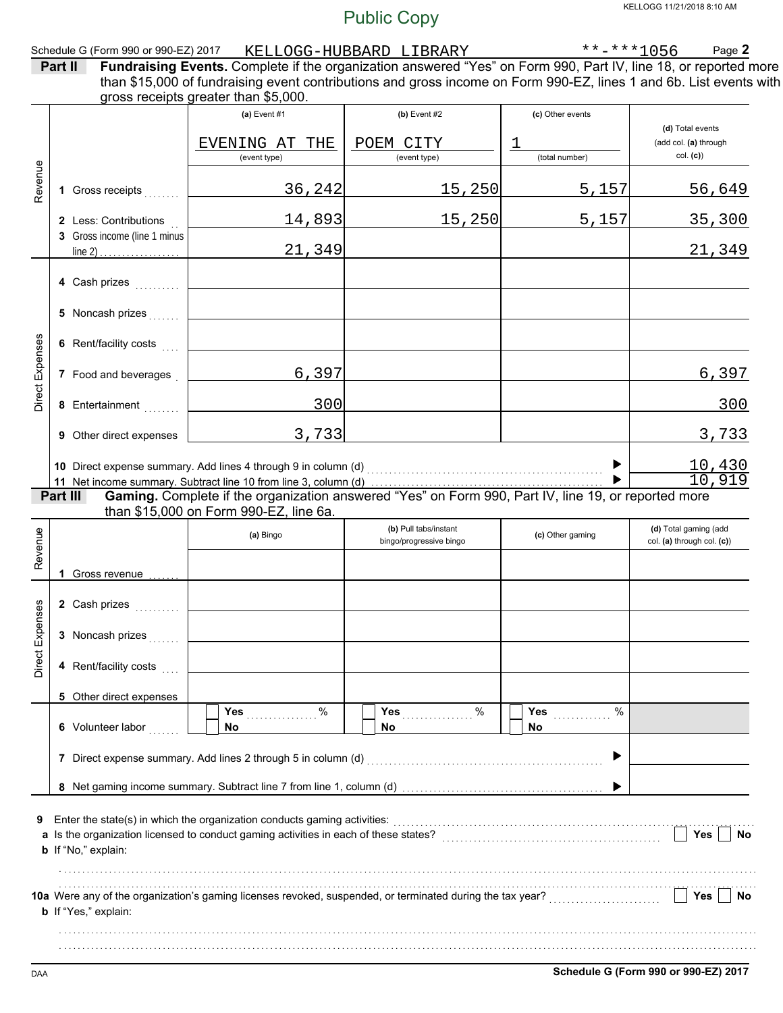|                 |                                                       |                                                                                                                                                                                      | <b>Public Copy</b>                               |                     | KELLOGG 11/21/2018 8:10 AM                          |
|-----------------|-------------------------------------------------------|--------------------------------------------------------------------------------------------------------------------------------------------------------------------------------------|--------------------------------------------------|---------------------|-----------------------------------------------------|
|                 | Schedule G (Form 990 or 990-EZ) 2017<br>Part II       | Fundraising Events. Complete if the organization answered "Yes" on Form 990, Part IV, line 18, or reported more                                                                      | KELLOGG-HUBBARD LIBRARY                          | $******1056$        | Page 2                                              |
|                 |                                                       | than \$15,000 of fundraising event contributions and gross income on Form 990-EZ, lines 1 and 6b. List events with<br>gross receipts greater than \$5,000.                           |                                                  |                     |                                                     |
|                 |                                                       | (a) Event $#1$                                                                                                                                                                       | $(b)$ Event #2                                   | (c) Other events    | (d) Total events                                    |
|                 |                                                       | EVENING AT THE<br>(event type)                                                                                                                                                       | POEM CITY<br>(event type)                        | 1<br>(total number) | (add col. (a) through<br>col. (c)                   |
| Revenue         | 1 Gross receipts                                      | 36, 242                                                                                                                                                                              | 15,250                                           | 5,157               | 56,649                                              |
|                 | 2 Less: Contributions<br>3 Gross income (line 1 minus | 14,893                                                                                                                                                                               | 15,250                                           | 5,157               | 35,300                                              |
|                 | line $2)$<br>.                                        | 21,349                                                                                                                                                                               |                                                  |                     | 21,349                                              |
|                 | 4 Cash prizes                                         |                                                                                                                                                                                      |                                                  |                     |                                                     |
|                 | 5 Noncash prizes                                      |                                                                                                                                                                                      |                                                  |                     |                                                     |
|                 | 6 Rent/facility costs                                 |                                                                                                                                                                                      |                                                  |                     |                                                     |
| Direct Expenses | 7 Food and beverages                                  | 6,397                                                                                                                                                                                |                                                  |                     | 6,397                                               |
|                 | 8 Entertainment                                       | 300                                                                                                                                                                                  |                                                  |                     | 300                                                 |
|                 | 9 Other direct expenses                               | 3,733                                                                                                                                                                                |                                                  |                     | 3,733                                               |
|                 |                                                       | 10 Direct expense summary. Add lines 4 through 9 in column (d) [11] content to content the summary of Direct expense summary. Add lines 4 through 9 in column (d) [11] $\frac{1}{2}$ |                                                  | ▶                   | $\frac{10,430}{10,919}$                             |
|                 | Part III                                              | than \$15,000 on Form 990-EZ, line 6a.                                                                                                                                               |                                                  |                     |                                                     |
| Revenue         |                                                       | (a) Bingo                                                                                                                                                                            | (b) Pull tabs/instant<br>bingo/progressive bingo | (c) Other gaming    | (d) Total gaming (add<br>col. (a) through col. (c)) |
|                 | 1 Gross revenue                                       |                                                                                                                                                                                      |                                                  |                     |                                                     |
|                 | 2 Cash prizes                                         |                                                                                                                                                                                      |                                                  |                     |                                                     |
| Direct Expenses | 3 Noncash prizes                                      |                                                                                                                                                                                      |                                                  |                     |                                                     |
|                 | 4 Rent/facility costs                                 |                                                                                                                                                                                      |                                                  |                     |                                                     |
|                 | 5 Other direct expenses                               | %                                                                                                                                                                                    | Yes $%$                                          | %<br>Yes            |                                                     |
|                 | 6 Volunteer labor                                     | <b>Yes</b><br>No                                                                                                                                                                     | No.                                              | No                  |                                                     |
|                 |                                                       | 7 Direct expense summary. Add lines 2 through 5 in column (d) [11] content content content content content of                                                                        |                                                  |                     |                                                     |
|                 |                                                       |                                                                                                                                                                                      |                                                  |                     |                                                     |
| 9               | b If "No," explain:                                   | Enter the state(s) in which the organization conducts gaming activities:                                                                                                             |                                                  |                     | Yes<br>No                                           |
|                 | <b>b</b> If "Yes," explain:                           | 10a Were any of the organization's gaming licenses revoked, suspended, or terminated during the tax year?                                                                            |                                                  |                     | Yes<br>No                                           |

. . . . . . . . . . . . . . . . . . . . . . . . . . . . . . . . . . . . . . . . . . . . . . . . . . . . . . . . . . . . . . . . . . . . . . . . . . . . . . . . . . . . . . . . . . . . . . . . . . . . . . . . . . . . . . . . . . . . . . . . . . . . . . . . . . . . . . . . . . . . . . . . . . . . . . . . . . . .

. . . . . . . . . . . . . . . . . . . . . . . . . . . . . . . . . . . . . . . . . . . . . . . . . . . . . . . . . . . . . . . . . . . . . . . . . . . . . . . . . . . . . . . . . . . . . . . . . . . . . . . . . . . . . . . . . . . . . . . . . . . . . . . . . . . . . . . . . . . . . . . . . . . . . . . . . . . .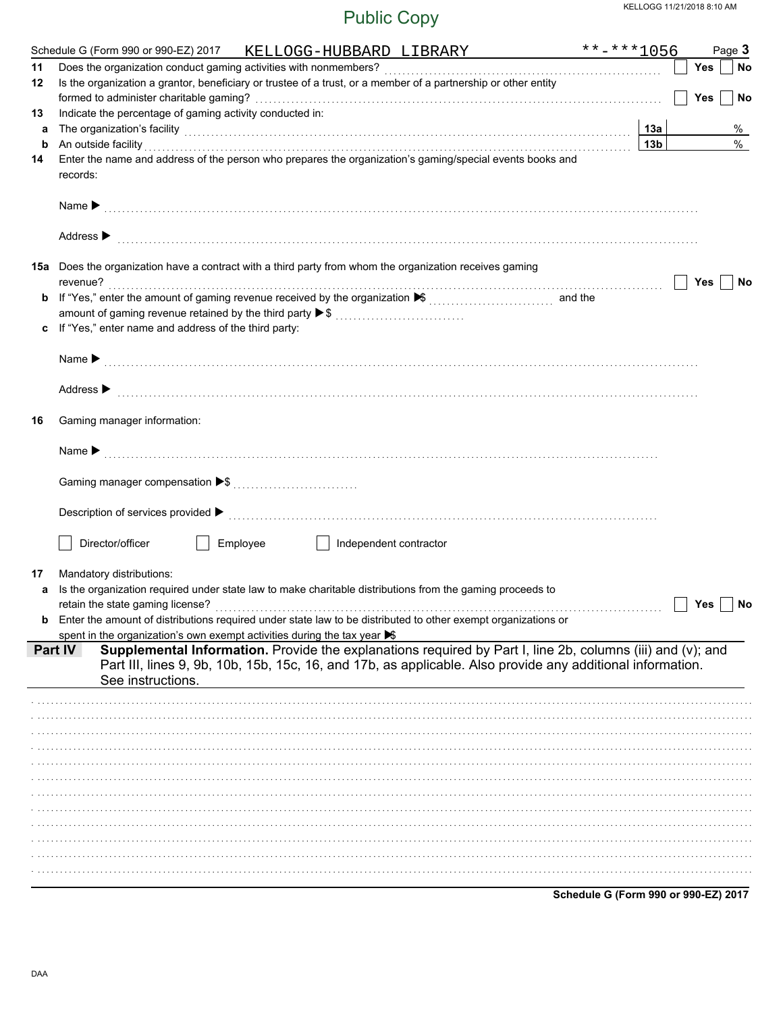| 11 | Schedule G (Form 990 or 990-EZ) 2017 KELLOGG-HUBBARD LIBRARY                                                                                                                                                                                                                                                                               | $******1056$    |            | Page 3 |
|----|--------------------------------------------------------------------------------------------------------------------------------------------------------------------------------------------------------------------------------------------------------------------------------------------------------------------------------------------|-----------------|------------|--------|
|    |                                                                                                                                                                                                                                                                                                                                            |                 | Yes        | No     |
| 12 | Is the organization a grantor, beneficiary or trustee of a trust, or a member of a partnership or other entity                                                                                                                                                                                                                             |                 | <b>Yes</b> | No     |
| 13 | Indicate the percentage of gaming activity conducted in:                                                                                                                                                                                                                                                                                   |                 |            |        |
| а  |                                                                                                                                                                                                                                                                                                                                            | 13а             |            | %      |
| b  |                                                                                                                                                                                                                                                                                                                                            | 13 <sub>b</sub> |            | $\%$   |
| 14 | An outside facility encourance and account of the facility of the set of the set of the set of the set of the set of the set of the set of the set of the set of the set of the set of the set of the set of the set of the se<br>Enter the name and address of the person who prepares the organization's gaming/special events books and |                 |            |        |
|    | records:                                                                                                                                                                                                                                                                                                                                   |                 |            |        |
|    |                                                                                                                                                                                                                                                                                                                                            |                 |            |        |
|    | Address $\triangleright$                                                                                                                                                                                                                                                                                                                   |                 |            |        |
|    | 15a Does the organization have a contract with a third party from whom the organization receives gaming                                                                                                                                                                                                                                    |                 |            |        |
|    | revenue?                                                                                                                                                                                                                                                                                                                                   |                 | Yes        | No     |
|    |                                                                                                                                                                                                                                                                                                                                            |                 |            |        |
|    | amount of gaming revenue retained by the third party ▶ \$                                                                                                                                                                                                                                                                                  |                 |            |        |
| c  | If "Yes," enter name and address of the third party:                                                                                                                                                                                                                                                                                       |                 |            |        |
|    |                                                                                                                                                                                                                                                                                                                                            |                 |            |        |
|    | Address $\triangleright$                                                                                                                                                                                                                                                                                                                   |                 |            |        |
| 16 | Gaming manager information:                                                                                                                                                                                                                                                                                                                |                 |            |        |
|    |                                                                                                                                                                                                                                                                                                                                            |                 |            |        |
|    |                                                                                                                                                                                                                                                                                                                                            |                 |            |        |
|    |                                                                                                                                                                                                                                                                                                                                            |                 |            |        |
|    | Director/officer<br>Employee                                                                                                                                                                                                                                                                                                               |                 |            |        |
|    | Independent contractor                                                                                                                                                                                                                                                                                                                     |                 |            |        |
| 17 | Mandatory distributions:                                                                                                                                                                                                                                                                                                                   |                 |            |        |
| a  | Is the organization required under state law to make charitable distributions from the gaming proceeds to                                                                                                                                                                                                                                  |                 |            |        |
|    |                                                                                                                                                                                                                                                                                                                                            |                 | Yes        | No     |
|    | Enter the amount of distributions required under state law to be distributed to other exempt organizations or                                                                                                                                                                                                                              |                 |            |        |
|    | spent in the organization's own exempt activities during the tax year S                                                                                                                                                                                                                                                                    |                 |            |        |
|    | Supplemental Information. Provide the explanations required by Part I, line 2b, columns (iii) and (v); and<br><b>Part IV</b><br>Part III, lines 9, 9b, 10b, 15b, 15c, 16, and 17b, as applicable. Also provide any additional information.                                                                                                 |                 |            |        |
|    | See instructions.                                                                                                                                                                                                                                                                                                                          |                 |            |        |
|    |                                                                                                                                                                                                                                                                                                                                            |                 |            |        |
|    |                                                                                                                                                                                                                                                                                                                                            |                 |            |        |
|    |                                                                                                                                                                                                                                                                                                                                            |                 |            |        |
|    |                                                                                                                                                                                                                                                                                                                                            |                 |            |        |
|    |                                                                                                                                                                                                                                                                                                                                            |                 |            |        |
|    |                                                                                                                                                                                                                                                                                                                                            |                 |            |        |
|    |                                                                                                                                                                                                                                                                                                                                            |                 |            |        |
|    |                                                                                                                                                                                                                                                                                                                                            |                 |            |        |
|    |                                                                                                                                                                                                                                                                                                                                            |                 |            |        |
|    |                                                                                                                                                                                                                                                                                                                                            |                 |            |        |
|    |                                                                                                                                                                                                                                                                                                                                            |                 |            |        |
|    |                                                                                                                                                                                                                                                                                                                                            |                 |            |        |
|    |                                                                                                                                                                                                                                                                                                                                            |                 |            |        |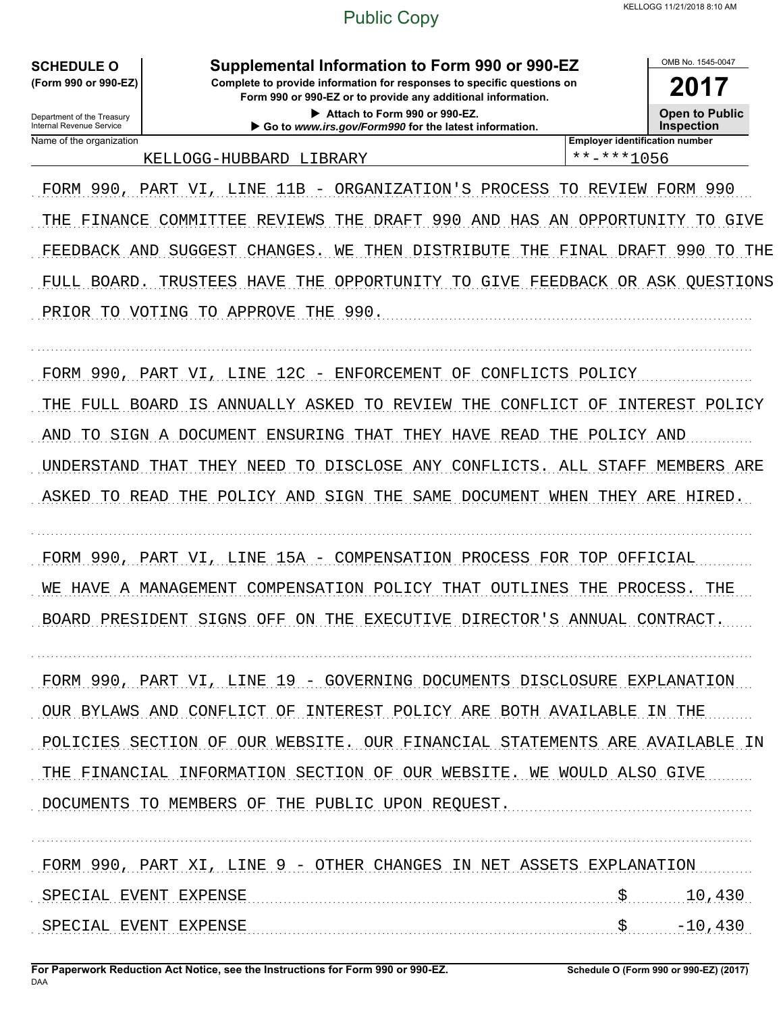#### **SCHEDULE O** (Form 990 or 990-EZ)

Department of the Treasury

Name of the organization

Internal Revenue Service

Supplemental Information to Form 990 or 990-EZ

Complete to provide information for responses to specific questions on Form 990 or 990-EZ or to provide any additional information.

2017 **Open to Public Inspection** 

OMB No 1545-0047

Attach to Form 990 or 990-EZ. Go to www.irs.gov/Form990 for the latest information.

KELLOGG-HUBBARD LIBRARY

**Employer identification number** \*\*-\*\*\*1056

FORM 990, PART VI, LINE 11B - ORGANIZATION'S PROCESS TO REVIEW FORM 990 THE FINANCE COMMITTEE REVIEWS THE DRAFT 990 AND HAS AN OPPORTUNITY TO GIVE FEEDBACK AND SUGGEST CHANGES. WE THEN DISTRIBUTE THE FINAL DRAFT 990 TO THE FULL BOARD. TRUSTEES HAVE THE OPPORTUNITY TO GIVE FEEDBACK OR ASK QUESTIONS PRIOR TO VOTING TO APPROVE THE 990.

FORM 990, PART VI, LINE 12C - ENFORCEMENT OF CONFLICTS POLICY THE FULL BOARD IS ANNUALLY ASKED TO REVIEW THE CONFLICT OF INTEREST POLICY AND TO SIGN A DOCUMENT ENSURING THAT THEY HAVE READ THE POLICY AND UNDERSTAND THAT THEY NEED TO DISCLOSE ANY CONFLICTS. ALL STAFF MEMBERS ARE ASKED TO READ THE POLICY AND SIGN THE SAME DOCUMENT WHEN THEY ARE HIRED.

FORM 990, PART VI, LINE 15A - COMPENSATION PROCESS FOR TOP OFFICIAL WE HAVE A MANAGEMENT COMPENSATION POLICY THAT OUTLINES THE PROCESS. THE BOARD PRESIDENT SIGNS OFF ON THE EXECUTIVE DIRECTOR'S ANNUAL CONTRACT.

FORM 990, PART VI, LINE 19 - GOVERNING DOCUMENTS DISCLOSURE EXPLANATION OUR BYLAWS AND CONFLICT OF INTEREST POLICY ARE BOTH AVAILABLE IN THE POLICIES SECTION OF OUR WEBSITE. OUR FINANCIAL STATEMENTS ARE AVAILABLE IN THE FINANCIAL INFORMATION SECTION OF OUR WEBSITE. WE WOULD ALSO GIVE DOCUMENTS TO MEMBERS OF THE PUBLIC UPON REQUEST.

FORM 990, PART XI, LINE 9 - OTHER CHANGES IN NET ASSETS EXPLANATION SPECIAL EVENT EXPENSE \$ 10,430 SPECIAL EVENT EXPENSE  $\mathbf{\dot{S}}$  . The continuum continuum continuum continuum continuum continuum continuum continuum continuum continuum continuum continuum continuum continuum continuum continuum continuum continuum continuum continuum cont  $-10,430$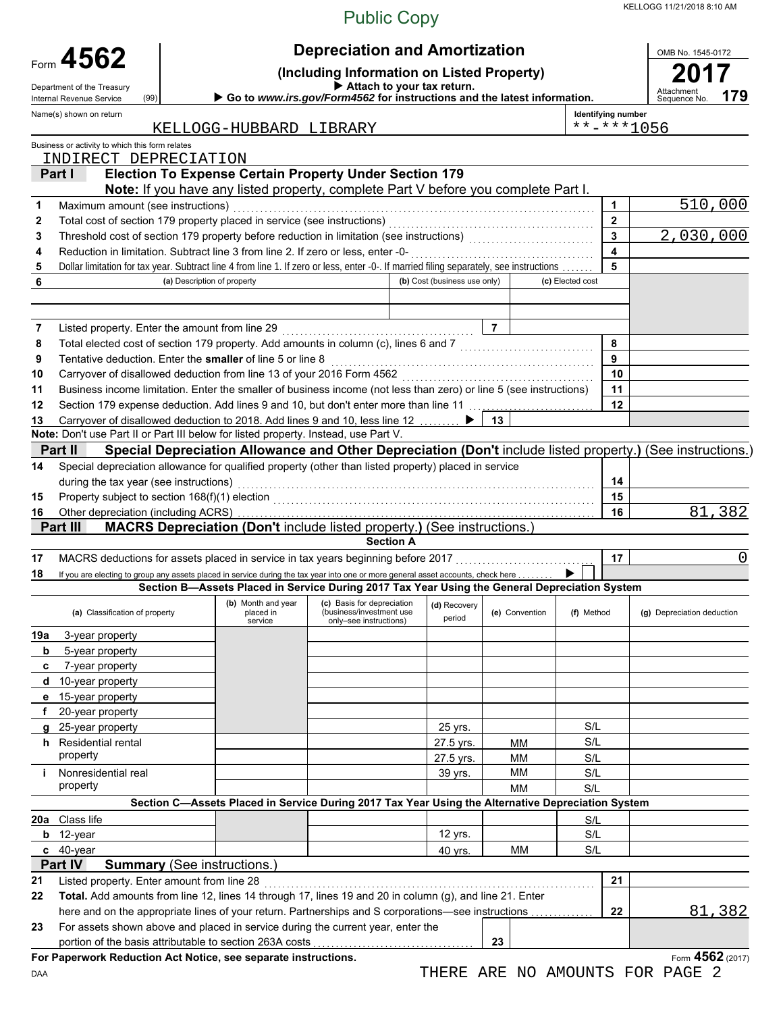KELLOGG 11/21/2018 8:10 AM

## Public Copy

|        | Form 4562                                       |                                                                          |                                                                                                                                                            | <b>Depreciation and Amortization</b>                                             |                              |                |                  |                           | OMB No. 1545-0172                                                                                          |
|--------|-------------------------------------------------|--------------------------------------------------------------------------|------------------------------------------------------------------------------------------------------------------------------------------------------------|----------------------------------------------------------------------------------|------------------------------|----------------|------------------|---------------------------|------------------------------------------------------------------------------------------------------------|
|        | Department of the Treasury                      | (Including Information on Listed Property)<br>Attach to your tax return. |                                                                                                                                                            |                                                                                  |                              |                |                  |                           |                                                                                                            |
|        | Internal Revenue Service                        | (99)                                                                     | Go to www.irs.gov/Form4562 for instructions and the latest information.                                                                                    |                                                                                  |                              |                |                  |                           | Attachment<br>Sequence No.<br>179                                                                          |
|        | Name(s) shown on return                         |                                                                          |                                                                                                                                                            |                                                                                  |                              |                |                  | <b>Identifying number</b> |                                                                                                            |
|        |                                                 |                                                                          | KELLOGG-HUBBARD LIBRARY                                                                                                                                    |                                                                                  |                              |                |                  |                           | **-***1056                                                                                                 |
|        | Business or activity to which this form relates |                                                                          |                                                                                                                                                            |                                                                                  |                              |                |                  |                           |                                                                                                            |
|        | INDIRECT DEPRECIATION                           |                                                                          |                                                                                                                                                            |                                                                                  |                              |                |                  |                           |                                                                                                            |
|        | Part I                                          |                                                                          | <b>Election To Expense Certain Property Under Section 179</b>                                                                                              |                                                                                  |                              |                |                  |                           |                                                                                                            |
| 1      | Maximum amount (see instructions)               |                                                                          | Note: If you have any listed property, complete Part V before you complete Part I.                                                                         |                                                                                  |                              |                |                  | $\blacktriangleleft$      | 510,000                                                                                                    |
| 2      |                                                 |                                                                          |                                                                                                                                                            |                                                                                  |                              |                |                  | $\overline{2}$            |                                                                                                            |
| 3      |                                                 |                                                                          |                                                                                                                                                            |                                                                                  |                              |                |                  | $\mathbf{3}$              | 2,030,000                                                                                                  |
| 4      |                                                 |                                                                          | Reduction in limitation. Subtract line 3 from line 2. If zero or less, enter -0-                                                                           |                                                                                  |                              |                |                  | $\overline{\mathbf{4}}$   |                                                                                                            |
| 5      |                                                 |                                                                          | Dollar limitation for tax year. Subtract line 4 from line 1. If zero or less, enter -0-. If married filing separately, see instructions                    |                                                                                  |                              |                |                  | 5                         |                                                                                                            |
| 6      |                                                 | (a) Description of property                                              |                                                                                                                                                            |                                                                                  | (b) Cost (business use only) |                | (c) Elected cost |                           |                                                                                                            |
|        |                                                 |                                                                          |                                                                                                                                                            |                                                                                  |                              |                |                  |                           |                                                                                                            |
|        |                                                 |                                                                          |                                                                                                                                                            |                                                                                  |                              | $\overline{7}$ |                  |                           |                                                                                                            |
| 7      |                                                 |                                                                          | Total elected cost of section 179 property. Add amounts in column (c), lines 6 and 7 [[[[[[[[[[[[[[[[[[[[[[[[                                              |                                                                                  |                              |                |                  | 8                         |                                                                                                            |
| 8<br>9 |                                                 |                                                                          | Tentative deduction. Enter the smaller of line 5 or line 8                                                                                                 |                                                                                  |                              |                |                  | 9                         |                                                                                                            |
| 10     |                                                 |                                                                          | Carryover of disallowed deduction from line 13 of your 2016 Form 4562 [11] [11] [11] Carryover of disallowed deduction from line 13 of your 2016 Form 4562 |                                                                                  |                              |                |                  | 10                        |                                                                                                            |
| 11     |                                                 |                                                                          | Business income limitation. Enter the smaller of business income (not less than zero) or line 5 (see instructions)                                         |                                                                                  |                              |                |                  | 11                        |                                                                                                            |
| 12     |                                                 |                                                                          | Section 179 expense deduction. Add lines 9 and 10, but don't enter more than line 11                                                                       |                                                                                  |                              |                |                  | 12                        |                                                                                                            |
| 13     |                                                 |                                                                          | Carryover of disallowed deduction to 2018. Add lines 9 and 10, less line 12                                                                                |                                                                                  | $\blacktriangleright$ 1      | 13             |                  |                           |                                                                                                            |
|        |                                                 |                                                                          | Note: Don't use Part II or Part III below for listed property. Instead, use Part V.                                                                        |                                                                                  |                              |                |                  |                           |                                                                                                            |
|        | Part II                                         |                                                                          |                                                                                                                                                            |                                                                                  |                              |                |                  |                           | Special Depreciation Allowance and Other Depreciation (Don't include listed property.) (See instructions.) |
| 14     |                                                 |                                                                          | Special depreciation allowance for qualified property (other than listed property) placed in service                                                       |                                                                                  |                              |                |                  |                           |                                                                                                            |
|        | during the tax year (see instructions)          |                                                                          |                                                                                                                                                            |                                                                                  |                              |                |                  | 14                        |                                                                                                            |
| 15     |                                                 |                                                                          |                                                                                                                                                            |                                                                                  |                              |                |                  | 15                        |                                                                                                            |
| 16     |                                                 |                                                                          |                                                                                                                                                            |                                                                                  |                              |                |                  | 16                        | 81,382                                                                                                     |
|        | Part III                                        |                                                                          | MACRS Depreciation (Don't include listed property.) (See instructions.)                                                                                    |                                                                                  |                              |                |                  |                           |                                                                                                            |
|        |                                                 |                                                                          |                                                                                                                                                            | <b>Section A</b>                                                                 |                              |                |                  |                           |                                                                                                            |
| 17     |                                                 |                                                                          | MACRS deductions for assets placed in service in tax years beginning before 2017                                                                           |                                                                                  |                              |                |                  | 17                        | 0                                                                                                          |
| 18     |                                                 |                                                                          | If you are electing to group any assets placed in service during the tax year into one or more general asset accounts, check here                          |                                                                                  |                              |                |                  |                           |                                                                                                            |
|        |                                                 |                                                                          | Section B-Assets Placed in Service During 2017 Tax Year Using the General Depreciation System                                                              |                                                                                  |                              |                |                  |                           |                                                                                                            |
|        | (a) Classification of property                  |                                                                          | (b) Month and year<br>placed in the set of the set of the set of the set of the set of the set of the set of the set of the set of th<br>service           | (c) Basis for depreciation<br>(business/investment use<br>only-see instructions) | (d) Recovery<br>period       | (e) Convention | (f) Method       |                           | (g) Depreciation deduction                                                                                 |
| 19a    | 3-year property                                 |                                                                          |                                                                                                                                                            |                                                                                  |                              |                |                  |                           |                                                                                                            |
| b      | 5-year property                                 |                                                                          |                                                                                                                                                            |                                                                                  |                              |                |                  |                           |                                                                                                            |
| C      | 7-year property                                 |                                                                          |                                                                                                                                                            |                                                                                  |                              |                |                  |                           |                                                                                                            |
|        | d 10-year property                              |                                                                          |                                                                                                                                                            |                                                                                  |                              |                |                  |                           |                                                                                                            |
|        | e 15-year property                              |                                                                          |                                                                                                                                                            |                                                                                  |                              |                |                  |                           |                                                                                                            |
| f      | 20-year property                                |                                                                          |                                                                                                                                                            |                                                                                  |                              |                |                  |                           |                                                                                                            |
|        | g 25-year property                              |                                                                          |                                                                                                                                                            |                                                                                  | 25 yrs.                      |                | S/L              |                           |                                                                                                            |
|        | <b>h</b> Residential rental<br>property         |                                                                          |                                                                                                                                                            |                                                                                  | 27.5 yrs.                    | <b>MM</b>      | S/L              |                           |                                                                                                            |
|        |                                                 |                                                                          |                                                                                                                                                            |                                                                                  | 27.5 yrs.                    | MM             | S/L              |                           |                                                                                                            |
|        | i Nonresidential real<br>property               |                                                                          |                                                                                                                                                            |                                                                                  | 39 yrs.                      | МM             | S/L              |                           |                                                                                                            |
|        |                                                 |                                                                          | Section C-Assets Placed in Service During 2017 Tax Year Using the Alternative Depreciation System                                                          |                                                                                  |                              | <b>MM</b>      | S/L              |                           |                                                                                                            |
|        | 20a Class life                                  |                                                                          |                                                                                                                                                            |                                                                                  |                              |                |                  |                           |                                                                                                            |
|        | b 12-year                                       |                                                                          |                                                                                                                                                            |                                                                                  | 12 yrs.                      |                | S/L<br>S/L       |                           |                                                                                                            |
|        | c 40-year                                       |                                                                          |                                                                                                                                                            |                                                                                  | 40 yrs.                      | MM             | S/L              |                           |                                                                                                            |
|        | Part IV                                         | <b>Summary</b> (See instructions.)                                       |                                                                                                                                                            |                                                                                  |                              |                |                  |                           |                                                                                                            |
| 21     | Listed property. Enter amount from line 28      |                                                                          |                                                                                                                                                            |                                                                                  |                              |                |                  | 21                        |                                                                                                            |
| 22     |                                                 |                                                                          | Total. Add amounts from line 12, lines 14 through 17, lines 19 and 20 in column (g), and line 21. Enter                                                    |                                                                                  |                              |                |                  |                           |                                                                                                            |
|        |                                                 |                                                                          | here and on the appropriate lines of your return. Partnerships and S corporations—see instructions                                                         |                                                                                  |                              |                |                  | 22                        | 81,382                                                                                                     |
| 23     |                                                 |                                                                          | For assets shown above and placed in service during the current year, enter the                                                                            |                                                                                  |                              |                |                  |                           |                                                                                                            |
|        |                                                 |                                                                          | portion of the basis attributable to section 263A costs                                                                                                    |                                                                                  |                              | 23             |                  |                           |                                                                                                            |
|        |                                                 |                                                                          | For Paperwork Reduction Act Notice, see separate instructions.                                                                                             |                                                                                  |                              |                |                  |                           | Form 4562 (2017)                                                                                           |

DAA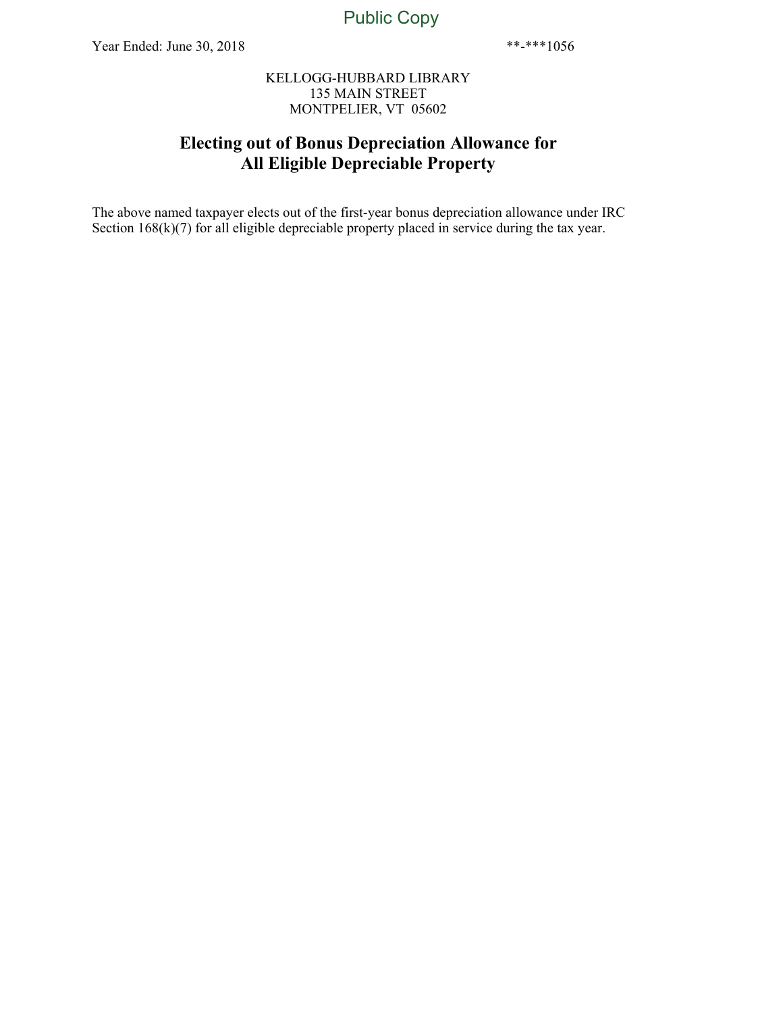#### KELLOGG-HUBBARD LIBRARY 135 MAIN STREET MONTPELIER, VT 05602

#### **Electing out of Bonus Depreciation Allowance for All Eligible Depreciable Property**

The above named taxpayer elects out of the first-year bonus depreciation allowance under IRC Section 168(k)(7) for all eligible depreciable property placed in service during the tax year.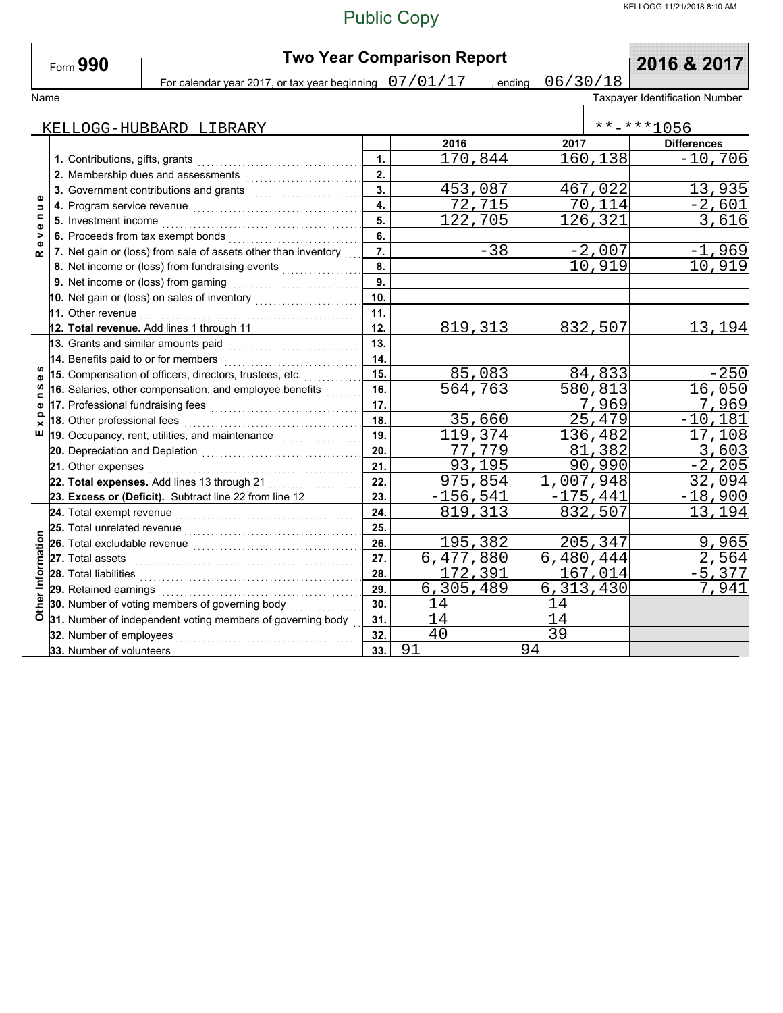|                               | Form 990                          |                                                                                                                                                                                                                               |                           | <b>Two Year Comparison Report</b> | 2016 & 2017          |            |                                |
|-------------------------------|-----------------------------------|-------------------------------------------------------------------------------------------------------------------------------------------------------------------------------------------------------------------------------|---------------------------|-----------------------------------|----------------------|------------|--------------------------------|
|                               |                                   | For calendar year 2017, or tax year beginning $07/01/17$                                                                                                                                                                      |                           |                                   | 06/30/18<br>, ending |            |                                |
| Name                          |                                   |                                                                                                                                                                                                                               |                           |                                   |                      |            | Taxpayer Identification Number |
|                               |                                   |                                                                                                                                                                                                                               |                           |                                   |                      |            |                                |
|                               |                                   | KELLOGG-HUBBARD LIBRARY                                                                                                                                                                                                       |                           |                                   |                      |            | $******1056$                   |
|                               |                                   |                                                                                                                                                                                                                               |                           | 2016                              | 2017                 |            | <b>Differences</b>             |
|                               | 1. Contributions, gifts, grants   |                                                                                                                                                                                                                               | 1.                        | 170,844                           |                      | 160,138    | $-10,706$                      |
|                               |                                   |                                                                                                                                                                                                                               | 2.                        |                                   |                      |            |                                |
| Φ                             |                                   | 3. Government contributions and grants [111] [11] Content and Sovernment Control of Tanana Superior Superior S                                                                                                                | $\overline{\mathbf{3}}$ . | 453,087                           |                      | 467,022    | 13,935                         |
| $\Rightarrow$                 |                                   |                                                                                                                                                                                                                               | $\overline{4}$            | 72,715                            |                      | 70,114     | $-2,601$                       |
| $\blacksquare$<br>$\mathbf o$ |                                   |                                                                                                                                                                                                                               | 5.                        | 122,705                           |                      | 126,321    | 3,616                          |
| ><br>$\omega$                 |                                   | 6. Proceeds from tax exempt bonds                                                                                                                                                                                             | 6.                        |                                   |                      |            |                                |
| œ                             |                                   | 7. Net gain or (loss) from sale of assets other than inventory                                                                                                                                                                | 7.                        | $-38$                             |                      | $-2,007$   | $-1,969$                       |
|                               |                                   | 8. Net income or (loss) from fundraising events                                                                                                                                                                               | 8.                        |                                   |                      | 10,919     | 10,919                         |
|                               |                                   |                                                                                                                                                                                                                               | 9.                        |                                   |                      |            |                                |
|                               |                                   | 10. Net gain or (loss) on sales of inventory                                                                                                                                                                                  | 10.                       |                                   |                      |            |                                |
|                               |                                   | 11. Other revenue <b>construction of the construction of the construction</b>                                                                                                                                                 | 11.                       |                                   |                      |            |                                |
|                               |                                   | 12. Total revenue. Add lines 1 through 11                                                                                                                                                                                     | 12.                       | 819, 313                          |                      | 832,507    | 13,194                         |
|                               |                                   | 13. Grants and similar amounts paid with contain and starting and starting and starting and starting and starting and starting and starting and starting and starting and starting and starting and starting and starting and | 13.                       |                                   |                      |            |                                |
|                               |                                   | 14. Benefits paid to or for members<br>.                                                                                                                                                                                      | 14.                       |                                   |                      |            |                                |
| w<br>Φ                        |                                   | 15. Compensation of officers, directors, trustees, etc.                                                                                                                                                                       | 15.                       | 85,083                            |                      | 84,833     | $-250$                         |
| w<br>$\blacksquare$           |                                   | 16. Salaries, other compensation, and employee benefits                                                                                                                                                                       | 16.                       | 564,763                           |                      | 580,813    | $\overline{1}6,050$            |
| ω                             | 17. Professional fundraising fees |                                                                                                                                                                                                                               | 17.                       |                                   |                      | 7,969      | 7,969                          |
| $\Omega$                      |                                   | 18. Other professional fees [[11] www.fl.com/sillenary-community-                                                                                                                                                             | 18.                       | 35,660                            |                      | 25,479     | $-10,181$                      |
| ш                             |                                   |                                                                                                                                                                                                                               | 19.                       | 119,374                           |                      | 136,482    | 17,108                         |
|                               |                                   |                                                                                                                                                                                                                               | 20.                       | 77,779                            |                      | 81,382     | 3,603                          |
|                               |                                   |                                                                                                                                                                                                                               | 21.                       | 93,195                            |                      | 90,990     | $-2, 205$                      |
|                               |                                   |                                                                                                                                                                                                                               | 22.                       | 975,854                           |                      | 1,007,948  | 32,094                         |
|                               |                                   | 23. Excess or (Deficit). Subtract line 22 from line 12                                                                                                                                                                        | 23.                       | $-156, 541$                       |                      | $-175,441$ | $-18,900$                      |
|                               |                                   | 24. Total exempt revenue <i>communically continued</i> and the set of the set of the set of the set of the set of the                                                                                                         | 24.                       | 819, 313                          |                      | 832,507    | 13,194                         |
|                               | 25. Total unrelated revenue       |                                                                                                                                                                                                                               | 25.                       |                                   |                      |            |                                |
|                               |                                   |                                                                                                                                                                                                                               | 26.                       | 195,382                           |                      | 205,347    | 9,965                          |
|                               |                                   | 27. Total assets <b>Production Construction Construction</b>                                                                                                                                                                  | 27.                       | 6,477,880                         |                      | 6,480,444  | 2,564                          |
| Other Information             |                                   | 28. Total liabilities <b>contained a material container a material container and a material container a</b>                                                                                                                   | 28.                       | 172,391                           |                      | 167,014    | $-5,377$                       |
|                               |                                   |                                                                                                                                                                                                                               | 29.                       | 6,305,489                         | 6, 313, 430          |            | 7,941                          |
|                               |                                   | 30. Number of voting members of governing body                                                                                                                                                                                | 30.                       | 14                                | 14                   |            |                                |
|                               |                                   | 31. Number of independent voting members of governing body                                                                                                                                                                    | 31.                       | 14                                | 14                   |            |                                |
|                               | 32. Number of employees           |                                                                                                                                                                                                                               | 32.                       | 40                                | 39                   |            |                                |
|                               | 33. Number of volunteers          |                                                                                                                                                                                                                               | 33.                       | 91                                | 94                   |            |                                |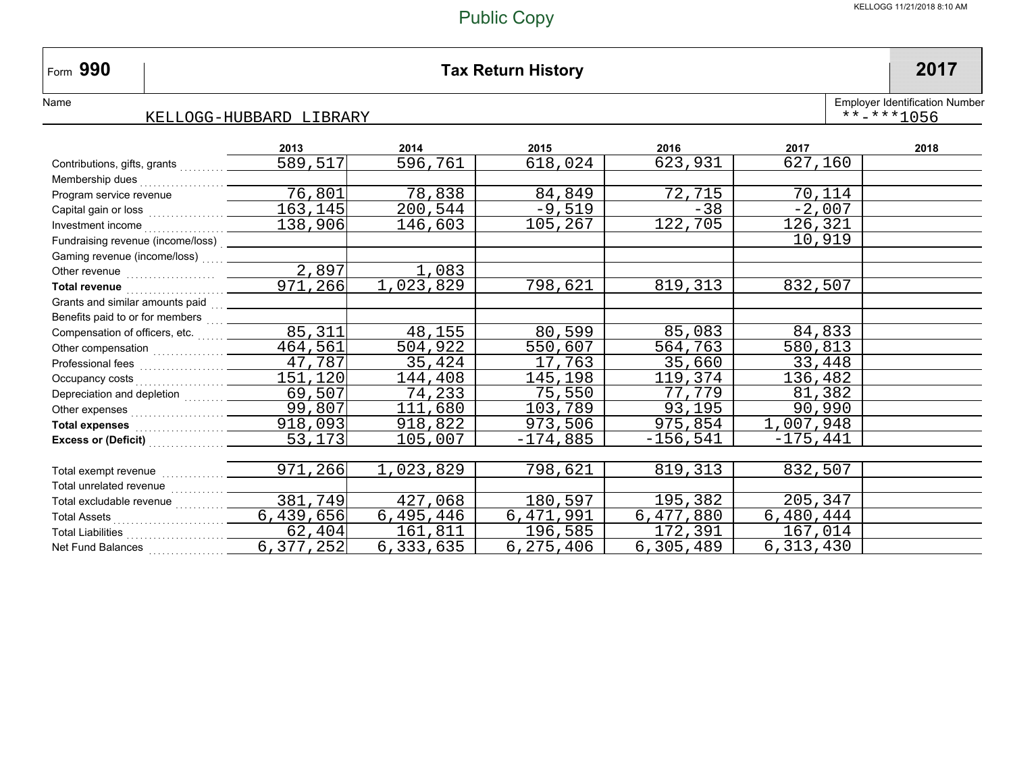#### **990 Tax Return History 2017**

NameEmployer Identification Number

Form 990

#### KELLOGG-HUBBARD LIBRARY\*\*-\*\*\*1056

|                                                                                                                                                                                                                                      | 2013        | 2014      | 2015       | 2016        | 2017       | 2018 |
|--------------------------------------------------------------------------------------------------------------------------------------------------------------------------------------------------------------------------------------|-------------|-----------|------------|-------------|------------|------|
| Contributions, gifts, grants                                                                                                                                                                                                         | 589,517     | 596,761   | 618,024    | 623,931     | 627,160    |      |
| Membership dues                                                                                                                                                                                                                      |             |           |            |             |            |      |
| Program service revenue                                                                                                                                                                                                              | 76,801      | 78,838    | 84,849     | 72,715      | 70,114     |      |
|                                                                                                                                                                                                                                      | 163,145     | 200,544   | $-9,519$   | $-38$       | $-2,007$   |      |
|                                                                                                                                                                                                                                      | 138,906     | 146,603   | 105,267    | 122,705     | 126,321    |      |
| Fundraising revenue (income/loss) _____________                                                                                                                                                                                      |             |           |            |             | 10,919     |      |
| Gaming revenue (income/loss)                                                                                                                                                                                                         |             |           |            |             |            |      |
|                                                                                                                                                                                                                                      | 2,897       | 1,083     |            |             |            |      |
| Total revenue <b>contract to the contract of the contract of the contract of the contract of the contract of the contract of the contract of the contract of the contract of the contract of the contract of the contract of the</b> | 971,266     | 1,023,829 | 798,621    | 819,313     | 832,507    |      |
|                                                                                                                                                                                                                                      |             |           |            |             |            |      |
| Benefits paid to or for members [11, 11]                                                                                                                                                                                             |             |           |            |             |            |      |
| Compensation of officers, etc.                                                                                                                                                                                                       | 85,311      | 48,155    | 80,599     | 85,083      | 84,833     |      |
|                                                                                                                                                                                                                                      | 464,561     | 504,922   | 550,607    | 564,763     | 580,813    |      |
|                                                                                                                                                                                                                                      | 47,787      | 35,424    | 17,763     | 35,660      | 33,448     |      |
|                                                                                                                                                                                                                                      | 151,120     | 144,408   | 145,198    | 119,374     | 136,482    |      |
| Depreciation and depletion                                                                                                                                                                                                           | 69,507      | 74,233    | 75,550     | 77,779      | 81,382     |      |
|                                                                                                                                                                                                                                      | 99,807      | 111,680   | 103,789    | 93,195      | 90,990     |      |
| Total expenses [1] Total expenses [1] Total expenses                                                                                                                                                                                 | 918,093     | 918,822   | 973,506    | 975,854     | 1,007,948  |      |
| Excess or (Deficit)<br><br><br><br><br><br><br><br><br><br><br><br><br><br><br><br><br><br><br><br><br>                                                                                                                              | 53,173      | 105,007   | $-174,885$ | $-156, 541$ | $-175,441$ |      |
|                                                                                                                                                                                                                                      |             |           |            |             |            |      |
|                                                                                                                                                                                                                                      | 971,266     | 1,023,829 | 798,621    | 819,313     | 832,507    |      |
| Total unrelated revenue                                                                                                                                                                                                              |             |           |            |             |            |      |
| Total excludable revenue                                                                                                                                                                                                             | 381,749     | 427,068   | 180,597    | 195,382     | 205,347    |      |
|                                                                                                                                                                                                                                      | 6,439,656   | 6,495,446 | 6,471,991  | 6,477,880   | 6,480,444  |      |
|                                                                                                                                                                                                                                      | 62,404      | 161,811   | 196,585    | 172,391     | 167,014    |      |
| Net Fund Balances                                                                                                                                                                                                                    | 6, 377, 252 | 6,333,635 | 6,275,406  | 6,305,489   | 6,313,430  |      |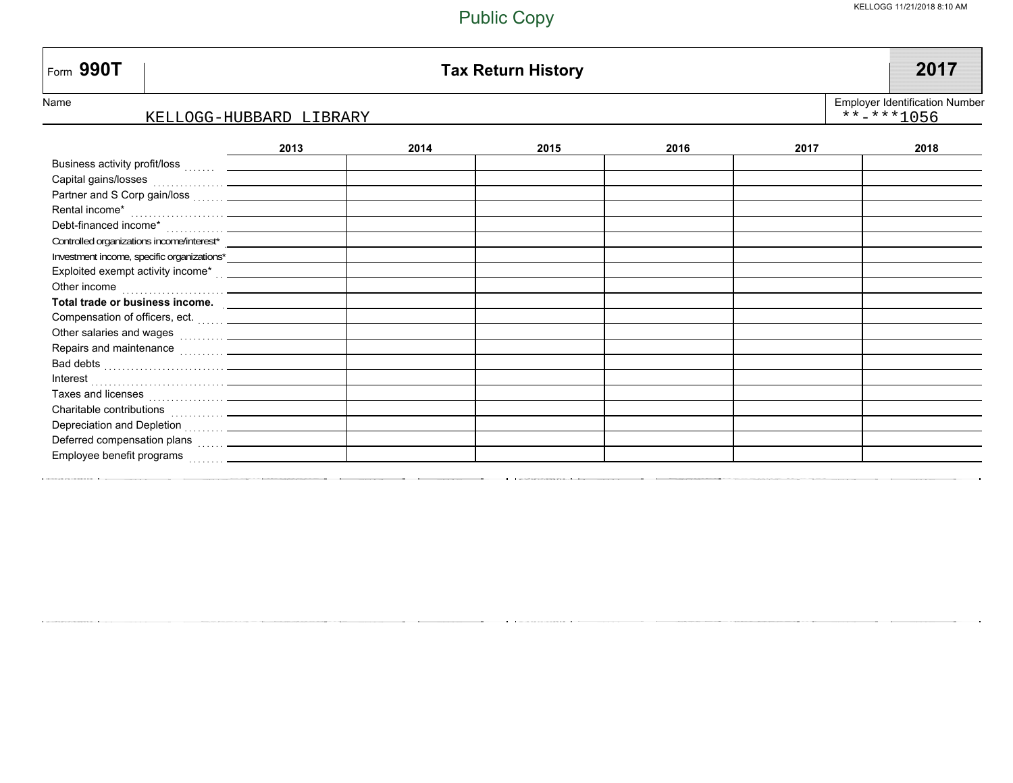| Form 990T                                                                                                                                                                                                                        |      |      | <b>Tax Return History</b> |      |      | 2017 |  |  |
|----------------------------------------------------------------------------------------------------------------------------------------------------------------------------------------------------------------------------------|------|------|---------------------------|------|------|------|--|--|
| <b>Employer Identification Number</b><br>Name<br>$******1056$<br>KELLOGG-HUBBARD LIBRARY                                                                                                                                         |      |      |                           |      |      |      |  |  |
|                                                                                                                                                                                                                                  | 2013 | 2014 | 2015                      | 2016 | 2017 | 2018 |  |  |
|                                                                                                                                                                                                                                  |      |      |                           |      |      |      |  |  |
|                                                                                                                                                                                                                                  |      |      |                           |      |      |      |  |  |
|                                                                                                                                                                                                                                  |      |      |                           |      |      |      |  |  |
|                                                                                                                                                                                                                                  |      |      |                           |      |      |      |  |  |
|                                                                                                                                                                                                                                  |      |      |                           |      |      |      |  |  |
|                                                                                                                                                                                                                                  |      |      |                           |      |      |      |  |  |
|                                                                                                                                                                                                                                  |      |      |                           |      |      |      |  |  |
|                                                                                                                                                                                                                                  |      |      |                           |      |      |      |  |  |
| Other income                                                                                                                                                                                                                     |      |      |                           |      |      |      |  |  |
| Total trade or business income.                                                                                                                                                                                                  |      |      |                           |      |      |      |  |  |
|                                                                                                                                                                                                                                  |      |      |                           |      |      |      |  |  |
|                                                                                                                                                                                                                                  |      |      |                           |      |      |      |  |  |
|                                                                                                                                                                                                                                  |      |      |                           |      |      |      |  |  |
| Bad debts (and a series of the series of the series of the series of the series of the series of the series of the series of the series of the series of the series of the series of the series of the series of the series of   |      |      |                           |      |      |      |  |  |
|                                                                                                                                                                                                                                  |      |      |                           |      |      |      |  |  |
|                                                                                                                                                                                                                                  |      |      |                           |      |      |      |  |  |
|                                                                                                                                                                                                                                  |      |      |                           |      |      |      |  |  |
|                                                                                                                                                                                                                                  |      |      |                           |      |      |      |  |  |
| Deferred compensation plans<br>[1995] [1995] The Company of Paris (1996) and Deferred Company of Paris (1996) and Deferred Company of Paris (1996) and Deferred Company of Deferred Company of Defending (1996) and Defending (1 |      |      |                           |      |      |      |  |  |
|                                                                                                                                                                                                                                  |      |      |                           |      |      |      |  |  |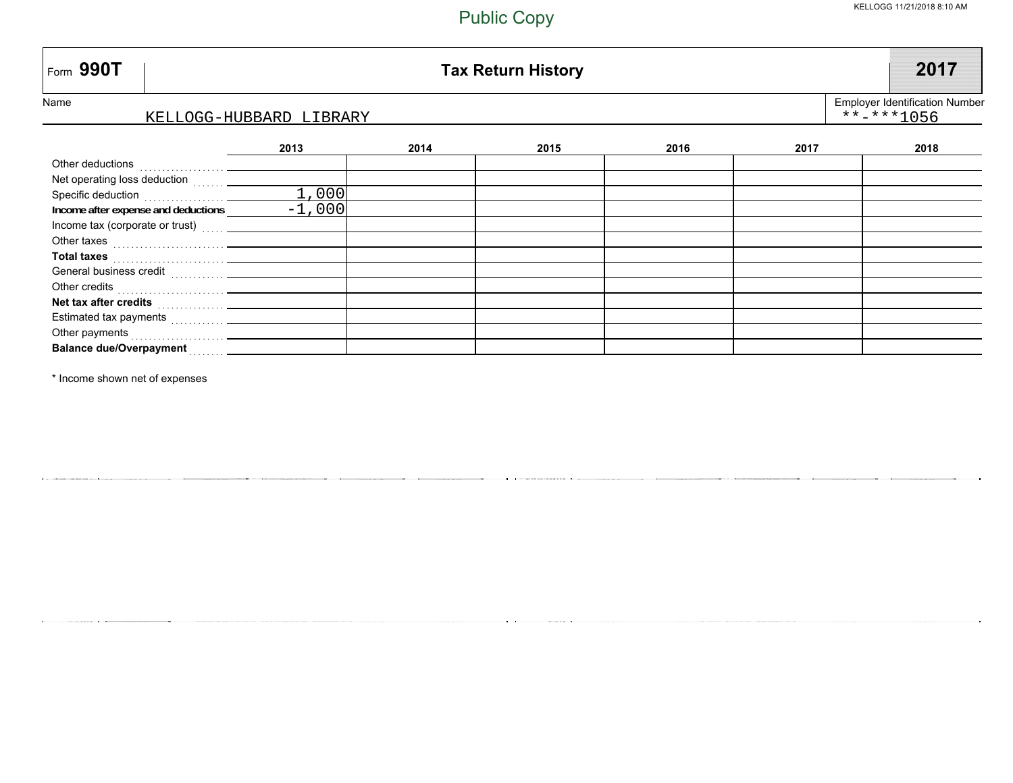| $\mid$ Form 990T                                                                                                                                                                                                                     | <b>Tax Return History</b> |      |      |      |      |      |  |  |
|--------------------------------------------------------------------------------------------------------------------------------------------------------------------------------------------------------------------------------------|---------------------------|------|------|------|------|------|--|--|
| Name<br><b>Employer Identification Number</b><br>$***$ $***$ 1056<br>KELLOGG-HUBBARD LIBRARY                                                                                                                                         |                           |      |      |      |      |      |  |  |
|                                                                                                                                                                                                                                      | 2013                      | 2014 | 2015 | 2016 | 2017 | 2018 |  |  |
| Other deductions                                                                                                                                                                                                                     |                           |      |      |      |      |      |  |  |
| Net operating loss deduction                                                                                                                                                                                                         |                           |      |      |      |      |      |  |  |
| Specific deduction                                                                                                                                                                                                                   | 1,000                     |      |      |      |      |      |  |  |
| Income after expense and deductions                                                                                                                                                                                                  | $-1,000$                  |      |      |      |      |      |  |  |
| Income tax (corporate or trust)                                                                                                                                                                                                      |                           |      |      |      |      |      |  |  |
| Other taxes <b>contract the contract of the contract of the contract of the contract of the contract of the contract of the contract of the contract of the contract of the contract of the contract of the contract of the cont</b> |                           |      |      |      |      |      |  |  |
| Total taxes <b>with the control of the control of the control of the control of the control of the control of the control of the control of the control of the control of the control of the control of the control of the contr</b> |                           |      |      |      |      |      |  |  |
|                                                                                                                                                                                                                                      |                           |      |      |      |      |      |  |  |
|                                                                                                                                                                                                                                      |                           |      |      |      |      |      |  |  |
| Net tax after credits <b>Net tax after credits</b>                                                                                                                                                                                   |                           |      |      |      |      |      |  |  |
|                                                                                                                                                                                                                                      |                           |      |      |      |      |      |  |  |
|                                                                                                                                                                                                                                      |                           |      |      |      |      |      |  |  |
|                                                                                                                                                                                                                                      |                           |      |      |      |      |      |  |  |

\* Income shown net of expenses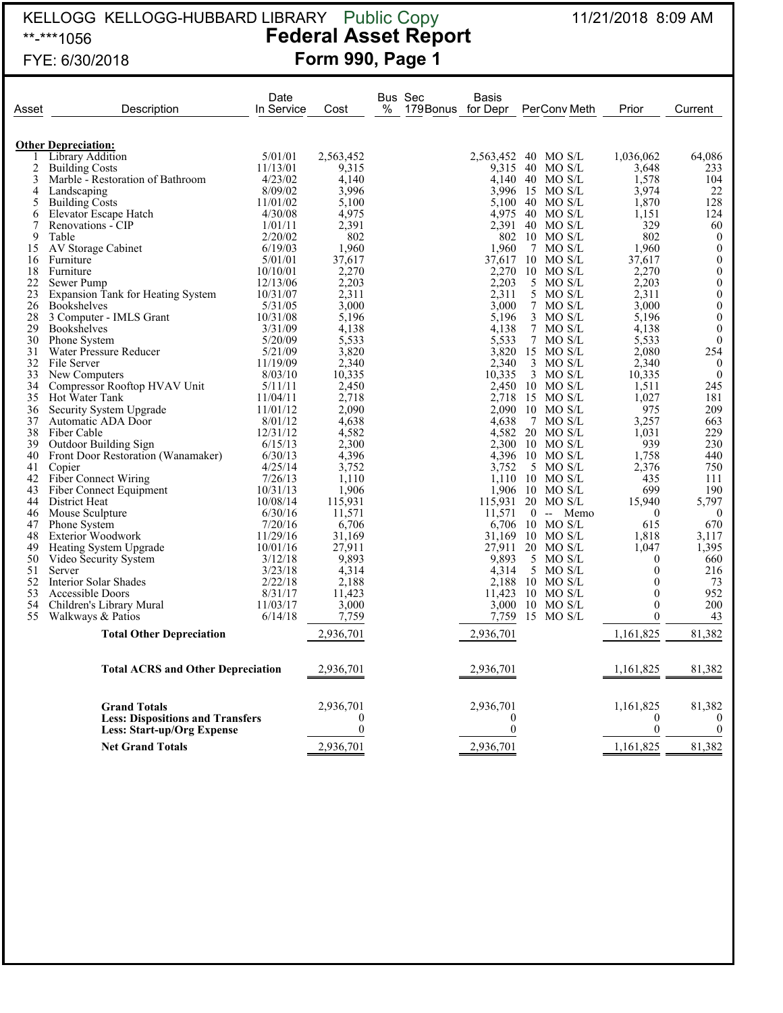#### KELLOGG KELLOGG-HUBBARD LIBRARY 11/21/2018 8:09 AM \*\*-\*\*\*1056 **Federal Asset Report** FYE: 6/30/2018 **Form 990, Page 1** Public Copy

| Asset | Description                                                                  | Date<br>In Service | Cost                     | Bus Sec<br>$\%$<br>179 Bonus for Depr | Basis                          | PerConv Meth      | Prior             | Current                          |
|-------|------------------------------------------------------------------------------|--------------------|--------------------------|---------------------------------------|--------------------------------|-------------------|-------------------|----------------------------------|
|       |                                                                              |                    |                          |                                       |                                |                   |                   |                                  |
|       | <b>Other Depreciation:</b><br>Library Addition                               | 5/01/01            | 2,563,452                |                                       | 2,563,452                      | 40 MO S/L         | 1,036,062         | 64.086                           |
| 2     | <b>Building Costs</b>                                                        | 11/13/01           | 9,315                    |                                       |                                | 9,315 40 MO S/L   | 3,648             | 233                              |
| 3     | Marble - Restoration of Bathroom                                             | 4/23/02            | 4,140                    |                                       |                                | 4,140 40 MO S/L   | 1,578             | 104                              |
| 4     | Landscaping                                                                  | 8/09/02            | 3,996                    |                                       |                                | 3.996 15 MO S/L   | 3,974             | 22                               |
| 5     | <b>Building Costs</b>                                                        | 11/01/02           | 5.100                    |                                       |                                | 5.100 40 MO S/L   | 1,870             | 128                              |
| 6     | Elevator Escape Hatch                                                        | 4/30/08            | 4,975                    |                                       | 4.975                          | - 40<br>MO S/L    | 1.151             | 124                              |
| 7     | Renovations - CIP                                                            | 1/01/11            | 2,391                    |                                       | 2,391 40                       | MO S/L            | 329               | 60                               |
| 9     | Table                                                                        | 2/20/02            | 802                      |                                       |                                | 802 10 MO S/L     | 802               | $\boldsymbol{0}$                 |
| 15    | AV Storage Cabinet                                                           | 6/19/03            | 1,960                    |                                       | 1,960                          | $\tau$<br>MO S/L  | 1,960             | $\boldsymbol{0}$                 |
| 16    | Furniture                                                                    | 5/01/01            | 37,617                   |                                       | 37.617                         | $10$ MO S/L       | 37,617            | $\mathbf{0}$                     |
| 18    | Furniture                                                                    | 10/10/01           | 2,270                    |                                       | 2,270                          | $10$ MO S/L       | 2,270             | $\boldsymbol{0}$                 |
| 22    | Sewer Pump                                                                   | 12/13/06           | 2,203                    |                                       | 2,203                          | 5 MO S/L          | 2,203             | $\mathbf{0}$                     |
| 23    | Expansion Tank for Heating System                                            | 10/31/07           | 2,311                    |                                       | 2,311                          | 5 MO S/L          | 2,311             | $\boldsymbol{0}$                 |
| 26    | <b>Bookshelves</b>                                                           | 5/31/05            | 3,000                    |                                       | 3,000                          | 7<br>MO S/L       | 3,000             | $\boldsymbol{0}$                 |
| 28    | 3 Computer - IMLS Grant                                                      | 10/31/08           | 5.196                    |                                       | 5.196                          | $3$ MO S/L        | 5.196             | $\mathbf{0}$                     |
| 29    | <b>Bookshelves</b>                                                           | 3/31/09            | 4,138                    |                                       | 4,138                          | 7 MO S/L          | 4,138             | $\bf{0}$                         |
| 30    | Phone System                                                                 | 5/20/09            | 5,533                    |                                       | 5,533                          | 7 MO S/L          | 5,533             | $\mathbf{0}$                     |
| 31    | Water Pressure Reducer                                                       | 5/21/09            | 3,820                    |                                       | 3,820                          | 15 MO S/L         | 2.080             | 254                              |
| 32    | File Server                                                                  | 11/19/09           | 2,340                    |                                       | 2,340                          | $3$ MO S/L        | 2,340             | $\overline{0}$                   |
| 33    | New Computers                                                                | 8/03/10            | 10,335                   |                                       | 10.335                         | $3$ MO S/L        | 10,335            | $\overline{0}$                   |
| 34    | Compressor Rooftop HVAV Unit                                                 | 5/11/11            | 2,450                    |                                       |                                | 2,450 10 MO S/L   | 1,511             | 245                              |
| 35    | Hot Water Tank                                                               | 11/04/11           | 2,718                    |                                       | 2.718                          | 15 MO S/L         | 1,027             | 181                              |
| 36    | Security System Upgrade                                                      | 11/01/12           | 2,090                    |                                       | 2.090                          | $10$ MO S/L       | 975               | 209                              |
| 37    | Automatic ADA Door                                                           | 8/01/12            | 4,638                    |                                       | 4.638                          | 7<br>MO S/L       | 3,257             | 663                              |
| 38    | Fiber Cable                                                                  | 12/31/12           | 4,582                    |                                       | 4.582                          | $20$ MO S/L       | 1.031             | 229                              |
| 39    | Outdoor Building Sign                                                        | 6/15/13            | 2,300                    |                                       | 2.300                          | $10$ MO S/L       | 939               | 230                              |
| 40    | Front Door Restoration (Wanamaker)                                           | 6/30/13            | 4,396                    |                                       |                                | 4.396 10 MO S/L   | 1,758             | 440                              |
| 41    | Copier                                                                       | 4/25/14            | 3,752                    |                                       | 3,752                          | 5<br>MO S/L       | 2,376             | 750                              |
| 42    | <b>Fiber Connect Wiring</b>                                                  | 7/26/13            | 1,110                    |                                       |                                | $1.110$ 10 MO S/L | 435               | 111                              |
| 43    | Fiber Connect Equipment                                                      | 10/31/13           | 1,906                    |                                       |                                | 1.906 10 MO S/L   | 699               | 190                              |
| 44    | District Heat                                                                | 10/08/14           | 115,931                  |                                       | 115,931                        | $20$ MO S/L       | 15,940            | 5,797                            |
| 46    | Mouse Sculpture                                                              | 6/30/16            | 11,571                   |                                       | 11,571                         | $0 - Memo$        | $\theta$          | $\theta$                         |
| 47    | <b>Phone System</b>                                                          | 7/20/16            | 6,706                    |                                       | 6,706                          | $10$ MO S/L       | 615               | 670                              |
| 48    | <b>Exterior Woodwork</b>                                                     | 11/29/16           | 31,169                   |                                       | 31.169                         | $10$ MO S/L       | 1,818             | 3,117                            |
| 49    | Heating System Upgrade                                                       | 10/01/16           | 27,911                   |                                       | 27.911                         | $20$ MO S/L       | 1,047             | 1,395                            |
| 50    | Video Security System                                                        | 3/12/18            | 9,893                    |                                       | 9,893                          | 5<br>MO S/L       | $\mathbf{0}$      | 660                              |
| 51    | Server                                                                       | 3/23/18            | 4,314                    |                                       | 4.314                          | 5 MO S/L          | $\theta$          | 216                              |
| 52    | Interior Solar Shades                                                        | 2/22/18            | 2,188                    |                                       | 2,188                          | $10$ MO S/L       | $\boldsymbol{0}$  | 73                               |
| 53    | Accessible Doors                                                             | 8/31/17            | 11,423                   |                                       | 11.423                         | $10$ MO S/L       | $\theta$          | 952                              |
| 54    | Children's Library Mural                                                     | 11/03/17           | 3,000                    |                                       |                                | 3.000 10 MO S/L   | $\theta$          | 200                              |
| 55    | Walkways & Patios                                                            | 6/14/18            | 7,759                    |                                       | 7,759                          | 15 MO S/L         | $\boldsymbol{0}$  | 43                               |
|       | <b>Total Other Depreciation</b>                                              |                    | 2,936,701                |                                       | 2,936,701                      |                   | 1,161,825         | 81,382                           |
|       |                                                                              |                    |                          |                                       |                                |                   |                   |                                  |
|       | <b>Total ACRS and Other Depreciation</b>                                     |                    | 2,936,701                |                                       | 2,936,701                      |                   | 1,161,825         | 81,382                           |
|       | <b>Grand Totals</b>                                                          |                    | 2,936,701                |                                       | 2,936,701                      |                   | 1,161,825         | 81,382                           |
|       | <b>Less: Dispositions and Transfers</b><br><b>Less: Start-up/Org Expense</b> |                    | $\mathbf{0}$<br>$\theta$ |                                       | $\overline{0}$<br>$\mathbf{0}$ |                   | 0<br>$\mathbf{0}$ | $\overline{0}$<br>$\overline{0}$ |
|       |                                                                              |                    |                          |                                       |                                |                   |                   |                                  |
|       | <b>Net Grand Totals</b>                                                      |                    | 2,936,701                |                                       | 2,936,701                      |                   | 1,161,825         | 81,382                           |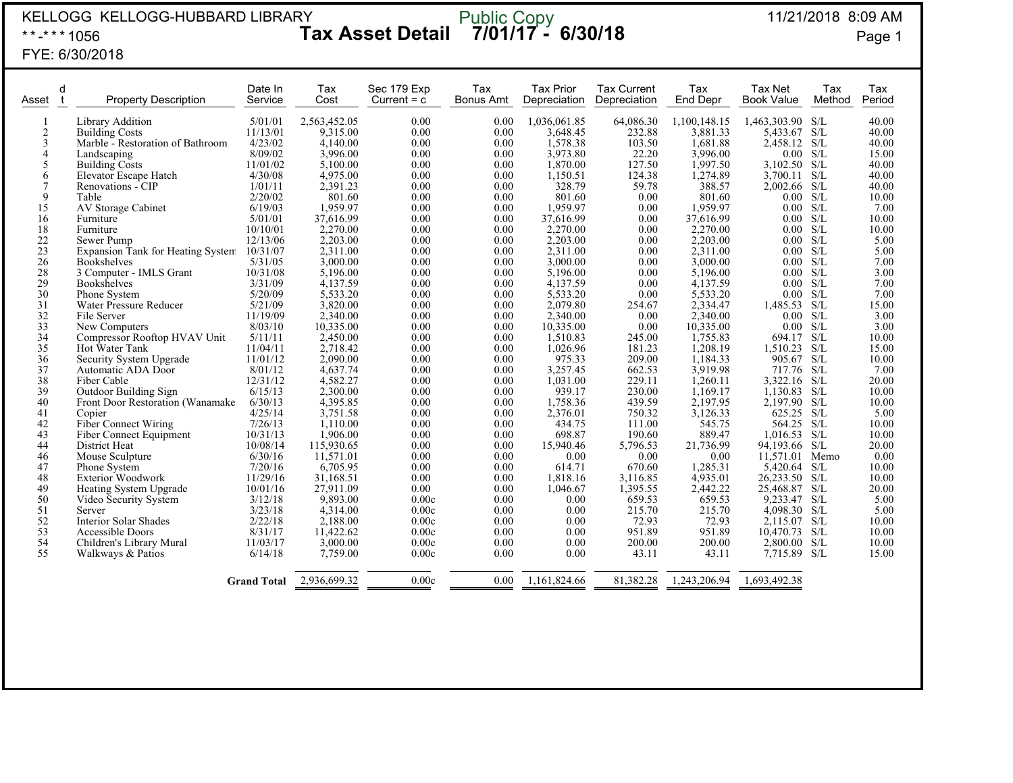| KELLOGG KELLOGG-HUBBARD LIBRARY<br>Public Copy<br>7/01/17 - 6/30/18<br><b>Tax Asset Detail</b><br>**-*** 1056                                                                                                                  |                                                                                                                                                                                                                                                                                                                                                                                                                                                                                                                                                                                                                                                             |                                                                                                                                                                                                                                                                                                                                       |                                                                                                                                                                                                                                                                                                                                                              |                                                                                                                                                                                                                                      |                                                                                                                                                                                                                                      |                                                                                                                                                                                                                                                                                                                                                                | 11/21/2018 8:09 AM<br>Page 1                                                                                                                                                                                                                                                      |                                                                                                                                                                                                                                                                                                                                                                    |                                                                                                                                                                                                                                                                                                                                                                                        |                                                                                         |                                                                                                                                                                                                                                                                 |
|--------------------------------------------------------------------------------------------------------------------------------------------------------------------------------------------------------------------------------|-------------------------------------------------------------------------------------------------------------------------------------------------------------------------------------------------------------------------------------------------------------------------------------------------------------------------------------------------------------------------------------------------------------------------------------------------------------------------------------------------------------------------------------------------------------------------------------------------------------------------------------------------------------|---------------------------------------------------------------------------------------------------------------------------------------------------------------------------------------------------------------------------------------------------------------------------------------------------------------------------------------|--------------------------------------------------------------------------------------------------------------------------------------------------------------------------------------------------------------------------------------------------------------------------------------------------------------------------------------------------------------|--------------------------------------------------------------------------------------------------------------------------------------------------------------------------------------------------------------------------------------|--------------------------------------------------------------------------------------------------------------------------------------------------------------------------------------------------------------------------------------|----------------------------------------------------------------------------------------------------------------------------------------------------------------------------------------------------------------------------------------------------------------------------------------------------------------------------------------------------------------|-----------------------------------------------------------------------------------------------------------------------------------------------------------------------------------------------------------------------------------------------------------------------------------|--------------------------------------------------------------------------------------------------------------------------------------------------------------------------------------------------------------------------------------------------------------------------------------------------------------------------------------------------------------------|----------------------------------------------------------------------------------------------------------------------------------------------------------------------------------------------------------------------------------------------------------------------------------------------------------------------------------------------------------------------------------------|-----------------------------------------------------------------------------------------|-----------------------------------------------------------------------------------------------------------------------------------------------------------------------------------------------------------------------------------------------------------------|
| FYE: 6/30/2018                                                                                                                                                                                                                 |                                                                                                                                                                                                                                                                                                                                                                                                                                                                                                                                                                                                                                                             |                                                                                                                                                                                                                                                                                                                                       |                                                                                                                                                                                                                                                                                                                                                              |                                                                                                                                                                                                                                      |                                                                                                                                                                                                                                      |                                                                                                                                                                                                                                                                                                                                                                |                                                                                                                                                                                                                                                                                   |                                                                                                                                                                                                                                                                                                                                                                    |                                                                                                                                                                                                                                                                                                                                                                                        |                                                                                         |                                                                                                                                                                                                                                                                 |
| d<br>Asset<br>t                                                                                                                                                                                                                | <b>Property Description</b>                                                                                                                                                                                                                                                                                                                                                                                                                                                                                                                                                                                                                                 | Date In<br>Service                                                                                                                                                                                                                                                                                                                    | Tax<br>Cost                                                                                                                                                                                                                                                                                                                                                  | Sec 179 Exp<br>Current $= c$                                                                                                                                                                                                         | Tax<br><b>Bonus Amt</b>                                                                                                                                                                                                              | <b>Tax Prior</b><br>Depreciation                                                                                                                                                                                                                                                                                                                               | <b>Tax Current</b><br>Depreciation                                                                                                                                                                                                                                                | Tax<br><b>End Depr</b>                                                                                                                                                                                                                                                                                                                                             | Tax Net<br>Book Value                                                                                                                                                                                                                                                                                                                                                                  | Tax<br>Method                                                                           | Tax<br>Period                                                                                                                                                                                                                                                   |
| $\overline{c}$<br>$\overline{\mathbf{3}}$<br>$\overline{4}$<br>5<br>6<br>7<br>9<br>15<br>16<br>18<br>$22\,$<br>$\frac{23}{26}$<br>28<br>29<br>30<br>31<br>32<br>33<br>34<br>35<br>36<br>37<br>38<br>39<br>40<br>41<br>42<br>43 | Library Addition<br><b>Building Costs</b><br>Marble - Restoration of Bathroom<br>Landscaping<br><b>Building Costs</b><br>Elevator Escape Hatch<br>Renovations - CIP<br>Table<br>AV Storage Cabinet<br>Furniture<br>Furniture<br>Sewer Pump<br>Expansion Tank for Heating System 10/31/07<br><b>Bookshelves</b><br>3 Computer - IMLS Grant<br><b>Bookshelves</b><br>Phone System<br>Water Pressure Reducer<br>File Server<br>New Computers<br>Compressor Rooftop HVAV Unit<br>Hot Water Tank<br>Security System Upgrade<br>Automatic ADA Door<br>Fiber Cable<br>Outdoor Building Sign<br>Front Door Restoration (Wanamake)<br>Copier<br>Fiber Connect Wiring | 5/01/01<br>11/13/01<br>4/23/02<br>8/09/02<br>11/01/02<br>4/30/08<br>1/01/11<br>2/20/02<br>6/19/03<br>5/01/01<br>10/10/01<br>12/13/06<br>5/31/05<br>10/31/08<br>3/31/09<br>5/20/09<br>5/21/09<br>11/19/09<br>8/03/10<br>5/11/11<br>11/04/11<br>11/01/12<br>8/01/12<br>12/31/12<br>6/15/13<br>6/30/13<br>4/25/14<br>7/26/13<br>10/31/13 | 2,563,452.05<br>9,315.00<br>4,140.00<br>3,996.00<br>5,100.00<br>4,975.00<br>2,391.23<br>801.60<br>1,959.97<br>37,616.99<br>2,270.00<br>2,203.00<br>2.311.00<br>3,000.00<br>5,196.00<br>4,137.59<br>5,533.20<br>3,820.00<br>2,340.00<br>10,335.00<br>2,450.00<br>2,718.42<br>2,090.00<br>4,637.74<br>4,582.27<br>2,300.00<br>4,395.85<br>3,751.58<br>1,110.00 | 0.00<br>0.00<br>0.00<br>0.00<br>0.00<br>0.00<br>0.00<br>0.00<br>0.00<br>0.00<br>0.00<br>0.00<br>0.00<br>0.00<br>0.00<br>0.00<br>0.00<br>0.00<br>0.00<br>0.00<br>0.00<br>0.00<br>0.00<br>0.00<br>0.00<br>0.00<br>0.00<br>0.00<br>0.00 | 0.00<br>0.00<br>0.00<br>0.00<br>0.00<br>0.00<br>0.00<br>0.00<br>0.00<br>0.00<br>0.00<br>0.00<br>0.00<br>0.00<br>0.00<br>0.00<br>0.00<br>0.00<br>0.00<br>0.00<br>0.00<br>0.00<br>0.00<br>0.00<br>0.00<br>0.00<br>0.00<br>0.00<br>0.00 | 1,036,061.85<br>3,648.45<br>1,578.38<br>3,973.80<br>1,870.00<br>1,150.51<br>328.79<br>801.60<br>1,959.97<br>37,616.99<br>2,270.00<br>2,203.00<br>2.311.00<br>3,000.00<br>5,196.00<br>4,137.59<br>5,533.20<br>2,079.80<br>2,340.00<br>10,335.00<br>1,510.83<br>1,026.96<br>975.33<br>3,257.45<br>1,031.00<br>939.17<br>1,758.36<br>2,376.01<br>434.75<br>698.87 | 64,086.30<br>232.88<br>103.50<br>22.20<br>127.50<br>124.38<br>59.78<br>0.00<br>0.00<br>0.00<br>0.00<br>0.00<br>0.00<br>0.00<br>0.00<br>0.00<br>0.00<br>254.67<br>0.00<br>0.00<br>245.00<br>181.23<br>209.00<br>662.53<br>229.11<br>230.00<br>439.59<br>750.32<br>111.00<br>190.60 | 1,100,148.15<br>3,881.33<br>1,681.88<br>3,996.00<br>1,997.50<br>1,274.89<br>388.57<br>801.60<br>1,959.97<br>37,616.99<br>2,270.00<br>2,203.00<br>2.311.00<br>3,000.00<br>5,196.00<br>4,137.59<br>5,533.20<br>2,334.47<br>2,340.00<br>10,335.00<br>1,755.83<br>1,208.19<br>1,184.33<br>3,919.98<br>1,260.11<br>1,169.17<br>2,197.95<br>3,126.33<br>545.75<br>889.47 | 1,463,303.90 S/L<br>5,433.67<br>2,458.12<br>$0.00$ S/L<br>$3,102.50$ S/L<br>3,700.11 S/L<br>$2,002.66$ S/L<br>0.00<br>0.00 S/L<br>0.00 S/L<br>0.00 S/L<br>0.00 S/L<br>0.00 S/L<br>0.00 S/L<br>0.00<br>0.00 S/L<br>0.00<br>1,485.53<br>0.00 S/L<br>0.00 S/L<br>694.17<br>1,510.23<br>905.67<br>717.76 S/L<br>3,322.16<br>$1.130.83$ S/L<br>2,197.90 S/L<br>625.25<br>564.25<br>1,016.53 | S/L<br>S/L<br>S/L<br>S/L<br>S/L<br>S/L<br>S/L<br>S/L<br>S/L<br>S/L<br>S/L<br>S/L<br>S/L | 40.00<br>40.00<br>40.00<br>15.00<br>40.00<br>40.00<br>40.00<br>10.00<br>7.00<br>10.00<br>10.00<br>5.00<br>5.00<br>7.00<br>3.00<br>7.00<br>7.00<br>15.00<br>3.00<br>3.00<br>10.00<br>15.00<br>10.00<br>7.00<br>20.00<br>10.00<br>10.00<br>5.00<br>10.00<br>10.00 |
| 44<br>46<br>47<br>48<br>49<br>50<br>51<br>52<br>53<br>54<br>55                                                                                                                                                                 | Fiber Connect Equipment<br>District Heat<br>Mouse Sculpture<br>Phone System<br>Exterior Woodwork<br>Heating System Upgrade<br>Video Security System<br>Server<br><b>Interior Solar Shades</b><br><b>Accessible Doors</b><br>Children's Library Mural<br>Walkways & Patios                                                                                                                                                                                                                                                                                                                                                                                   | 10/08/14<br>6/30/16<br>7/20/16<br>11/29/16<br>10/01/16<br>3/12/18<br>3/23/18<br>2/22/18<br>8/31/17<br>11/03/17<br>6/14/18                                                                                                                                                                                                             | 1,906.00<br>115,930.65<br>11,571.01<br>6,705.95<br>31,168.51<br>27,911.09<br>9,893.00<br>4,314.00<br>2,188.00<br>11,422.62<br>3,000.00<br>7,759.00                                                                                                                                                                                                           | 0.00<br>0.00<br>0.00<br>0.00<br>0.00<br>0.00<br>0.00c<br>0.00c<br>0.00c<br>0.00c<br>0.00c<br>0.00c                                                                                                                                   | 0.00<br>0.00<br>0.00<br>0.00<br>0.00<br>0.00<br>0.00<br>0.00<br>0.00<br>0.00<br>0.00<br>0.00                                                                                                                                         | 15,940.46<br>0.00<br>614.71<br>1,818.16<br>1,046.67<br>0.00<br>0.00<br>0.00<br>0.00<br>0.00<br>0.00                                                                                                                                                                                                                                                            | 5,796.53<br>0.00<br>670.60<br>3,116.85<br>1,395.55<br>659.53<br>215.70<br>72.93<br>951.89<br>200.00<br>43.11                                                                                                                                                                      | 21,736.99<br>0.00<br>1,285.31<br>4,935.01<br>2,442.22<br>659.53<br>215.70<br>72.93<br>951.89<br>200.00<br>43.11                                                                                                                                                                                                                                                    | 94,193.66 S/L<br>11,571.01<br>5,420.64<br>26,233.50 S/L<br>25.468.87<br>9,233.47 S/L<br>4,098.30 S/L<br>2,115.07<br>10,470.73 S/L<br>2,800.00<br>7,715.89                                                                                                                                                                                                                              | Memo<br>S/L<br>-S/L<br>S/L<br>S/L<br>S/L                                                | 20.00<br>0.00<br>10.00<br>10.00<br>20.00<br>5.00<br>5.00<br>10.00<br>10.00<br>10.00<br>15.00                                                                                                                                                                    |
|                                                                                                                                                                                                                                |                                                                                                                                                                                                                                                                                                                                                                                                                                                                                                                                                                                                                                                             | <b>Grand Total</b>                                                                                                                                                                                                                                                                                                                    | 2,936,699.32                                                                                                                                                                                                                                                                                                                                                 | 0.00c                                                                                                                                                                                                                                | 0.00                                                                                                                                                                                                                                 | 1,161,824.66                                                                                                                                                                                                                                                                                                                                                   | 81,382.28                                                                                                                                                                                                                                                                         | 1,243,206.94                                                                                                                                                                                                                                                                                                                                                       | 1,693,492.38                                                                                                                                                                                                                                                                                                                                                                           |                                                                                         |                                                                                                                                                                                                                                                                 |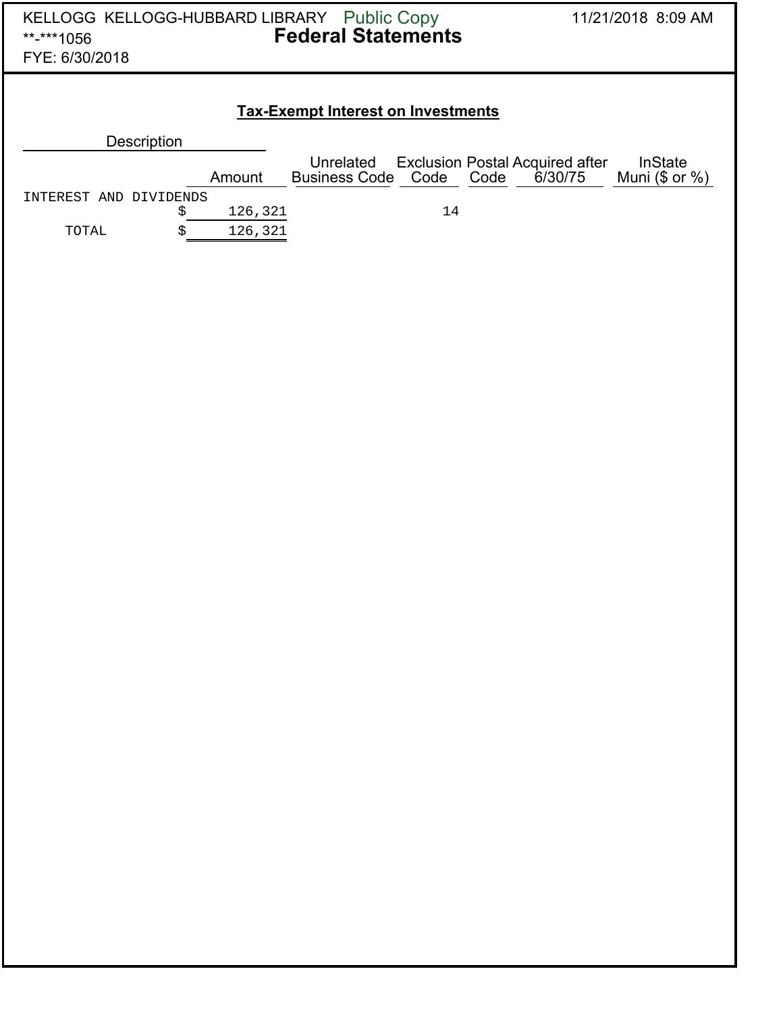| KELLOGG KELLOGG-HUBBARD LIBRARY Public Copy<br>**-***1056<br>FYE: 6/30/2018 | <b>Federal Statements</b> | 11/21/2018 8:09 AM                     |                                                           |                                       |  |  |  |  |  |
|-----------------------------------------------------------------------------|---------------------------|----------------------------------------|-----------------------------------------------------------|---------------------------------------|--|--|--|--|--|
| <b>Tax-Exempt Interest on Investments</b>                                   |                           |                                        |                                                           |                                       |  |  |  |  |  |
| <b>Description</b>                                                          |                           |                                        |                                                           |                                       |  |  |  |  |  |
|                                                                             | Amount                    | Unrelated<br><b>Business Code Code</b> | <b>Exclusion Postal Acquired after</b><br>Code<br>6/30/75 | <b>InState</b><br>Muni $(\$$ or $%$ ) |  |  |  |  |  |
| INTEREST AND DIVIDENDS<br>\$                                                | 126,321                   | 14                                     |                                                           |                                       |  |  |  |  |  |
| \$<br>TOTAL                                                                 | 126,321                   |                                        |                                                           |                                       |  |  |  |  |  |
|                                                                             |                           |                                        |                                                           |                                       |  |  |  |  |  |
|                                                                             |                           |                                        |                                                           |                                       |  |  |  |  |  |